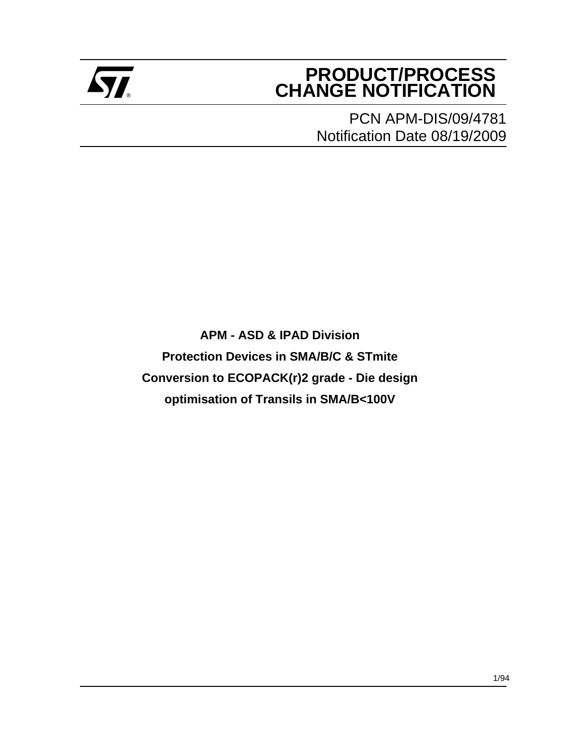

## **PRODUCT/PROCESS Example 2** CHANGE NOTIFICATION

PCN APM-DIS/09/4781 Notification Date 08/19/2009

**APM - ASD & IPAD Division Protection Devices in SMA/B/C & STmite Conversion to ECOPACK(r)2 grade - Die design optimisation of Transils in SMA/B<100V**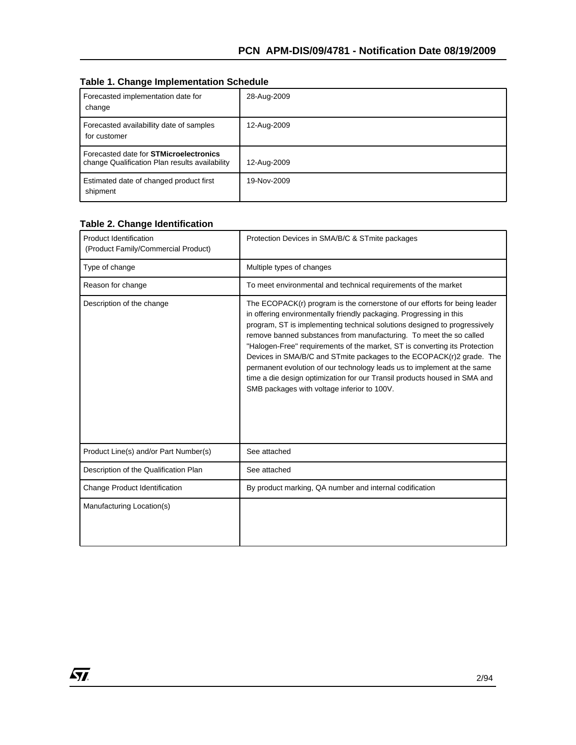|  |  | <b>Table 1. Change Implementation Schedule</b> |  |
|--|--|------------------------------------------------|--|
|--|--|------------------------------------------------|--|

| Forecasted implementation date for<br>change                                                    | 28-Aug-2009 |
|-------------------------------------------------------------------------------------------------|-------------|
| Forecasted availabillity date of samples<br>for customer                                        | 12-Aug-2009 |
| Forecasted date for <b>STMicroelectronics</b><br>change Qualification Plan results availability | 12-Aug-2009 |
| Estimated date of changed product first<br>shipment                                             | 19-Nov-2009 |

#### **Table 2. Change Identification**

| <b>Product Identification</b><br>(Product Family/Commercial Product) | Protection Devices in SMA/B/C & STmite packages                                                                                                                                                                                                                                                                                                                                                                                                                                                                                                                                                                                                                  |  |
|----------------------------------------------------------------------|------------------------------------------------------------------------------------------------------------------------------------------------------------------------------------------------------------------------------------------------------------------------------------------------------------------------------------------------------------------------------------------------------------------------------------------------------------------------------------------------------------------------------------------------------------------------------------------------------------------------------------------------------------------|--|
| Type of change                                                       | Multiple types of changes                                                                                                                                                                                                                                                                                                                                                                                                                                                                                                                                                                                                                                        |  |
| Reason for change                                                    | To meet environmental and technical requirements of the market                                                                                                                                                                                                                                                                                                                                                                                                                                                                                                                                                                                                   |  |
| Description of the change                                            | The ECOPACK(r) program is the cornerstone of our efforts for being leader<br>in offering environmentally friendly packaging. Progressing in this<br>program, ST is implementing technical solutions designed to progressively<br>remove banned substances from manufacturing. To meet the so called<br>"Halogen-Free" requirements of the market, ST is converting its Protection<br>Devices in SMA/B/C and STmite packages to the ECOPACK(r)2 grade. The<br>permanent evolution of our technology leads us to implement at the same<br>time a die design optimization for our Transil products housed in SMA and<br>SMB packages with voltage inferior to 100V. |  |
| Product Line(s) and/or Part Number(s)                                | See attached                                                                                                                                                                                                                                                                                                                                                                                                                                                                                                                                                                                                                                                     |  |
| Description of the Qualification Plan                                | See attached                                                                                                                                                                                                                                                                                                                                                                                                                                                                                                                                                                                                                                                     |  |
| Change Product Identification                                        | By product marking, QA number and internal codification                                                                                                                                                                                                                                                                                                                                                                                                                                                                                                                                                                                                          |  |
| Manufacturing Location(s)                                            |                                                                                                                                                                                                                                                                                                                                                                                                                                                                                                                                                                                                                                                                  |  |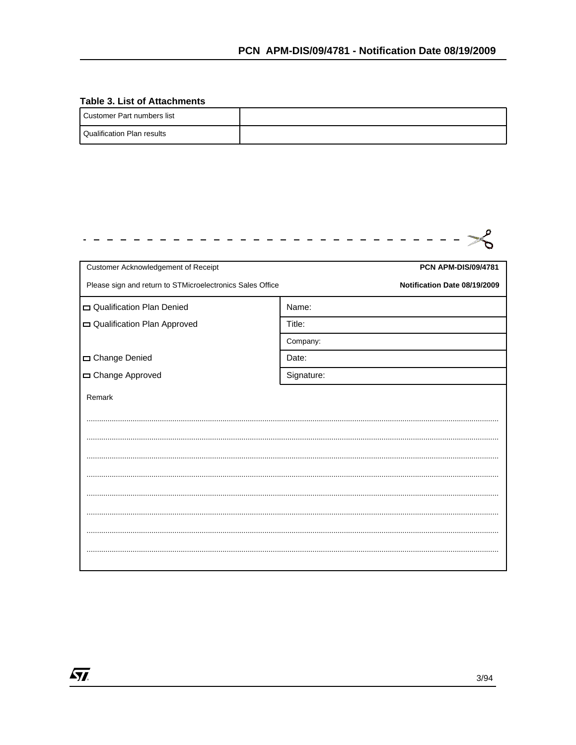#### **Table 3. List of Attachments**

 $\sqrt{M}$ 

| I Customer Part numbers list |  |
|------------------------------|--|
| l Qualification Plan results |  |

| Customer Acknowledgement of Receipt                       | <b>PCN APM-DIS/09/4781</b>   |
|-----------------------------------------------------------|------------------------------|
| Please sign and return to STMicroelectronics Sales Office | Notification Date 08/19/2009 |
| Qualification Plan Denied                                 | Name:                        |
| Qualification Plan Approved                               | Title:                       |
|                                                           | Company:                     |
| Change Denied                                             | Date:                        |
| Change Approved                                           | Signature:                   |
| Remark                                                    |                              |
|                                                           |                              |
|                                                           |                              |
|                                                           |                              |
|                                                           |                              |
|                                                           |                              |
|                                                           |                              |
|                                                           |                              |
|                                                           |                              |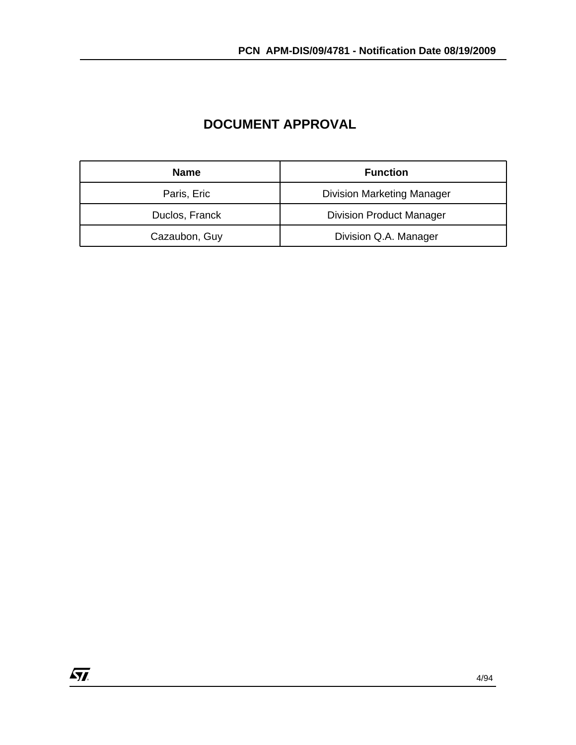| <b>Name</b>    | <b>Function</b>                   |
|----------------|-----------------------------------|
| Paris, Eric    | <b>Division Marketing Manager</b> |
| Duclos, Franck | <b>Division Product Manager</b>   |
| Cazaubon, Guy  | Division Q.A. Manager             |

#### **DOCUMENT APPROVAL**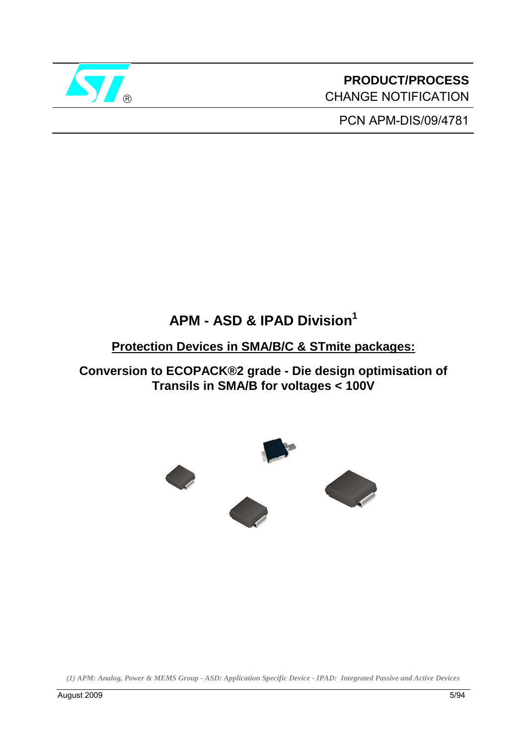

**PRODUCT/PROCESS** CHANGE NOTIFICATION

PCN APM-DIS/09/4781

## **APM - ASD & IPAD Division1**

#### **Protection Devices in SMA/B/C & STmite packages:**

**Conversion to ECOPACK®2 grade - Die design optimisation of Transils in SMA/B for voltages < 100V** 



*<sup>(1)</sup> APM: Analog, Power & MEMS Group - ASD: Application Specific Device - IPAD: Integrated Passive and Active Devices*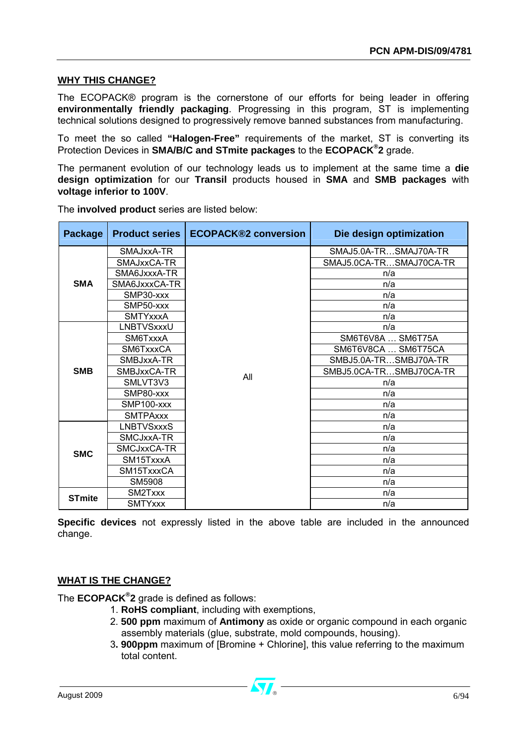#### **WHY THIS CHANGE?**

The ECOPACK® program is the cornerstone of our efforts for being leader in offering **environmentally friendly packaging**. Progressing in this program, ST is implementing technical solutions designed to progressively remove banned substances from manufacturing.

To meet the so called **"Halogen-Free"** requirements of the market, ST is converting its Protection Devices in **SMA/B/C and STmite packages** to the **ECOPACK® 2** grade.

The permanent evolution of our technology leads us to implement at the same time a **die design optimization** for our **Transil** products housed in **SMA** and **SMB packages** with **voltage inferior to 100V**.

| Package       | <b>Product series</b> | <b>ECOPACK®2 conversion</b> | Die design optimization |  |
|---------------|-----------------------|-----------------------------|-------------------------|--|
|               | SMAJxxA-TR            |                             | SMAJ5.0A-TRSMAJ70A-TR   |  |
|               | SMAJxxCA-TR           |                             | SMAJ5.0CA-TRSMAJ70CA-TR |  |
|               | SMA6JxxxA-TR          |                             | n/a                     |  |
| <b>SMA</b>    | SMA6JxxxCA-TR         |                             | n/a                     |  |
|               | SMP30-xxx             |                             | n/a                     |  |
|               | SMP50-xxx             |                             | n/a                     |  |
|               | <b>SMTYxxxA</b>       |                             | n/a                     |  |
|               | LNBTVSxxxU            |                             | n/a                     |  |
|               | SM6TxxxA              |                             | SM6T6V8A  SM6T75A       |  |
|               | SM6TxxxCA             |                             | SM6T6V8CA  SM6T75CA     |  |
|               | SMBJxxA-TR            |                             | SMBJ5.0A-TRSMBJ70A-TR   |  |
| <b>SMB</b>    | SMBJxxCA-TR           |                             | SMBJ5.0CA-TRSMBJ70CA-TR |  |
|               | SMLVT3V3              | All                         | n/a                     |  |
|               | SMP80-xxx             |                             | n/a                     |  |
|               | SMP100-xxx            |                             | n/a                     |  |
|               | <b>SMTPAxxx</b>       |                             | n/a                     |  |
|               | <b>LNBTVSxxxS</b>     |                             | n/a                     |  |
|               | SMCJxxA-TR            |                             | n/a                     |  |
| <b>SMC</b>    | SMCJxxCA-TR           |                             | n/a                     |  |
|               | SM15TxxxA             |                             | n/a                     |  |
|               | SM15TxxxCA            |                             | n/a                     |  |
|               | SM5908                |                             | n/a                     |  |
| <b>STmite</b> | SM2Txxx               |                             | n/a                     |  |
|               | <b>SMTYxxx</b>        |                             | n/a                     |  |

The **involved product** series are listed below:

**Specific devices** not expressly listed in the above table are included in the announced change.

#### **WHAT IS THE CHANGE?**

The **ECOPACK® 2** grade is defined as follows:

- 1. **RoHS compliant**, including with exemptions,
- 2. **500 ppm** maximum of **Antimony** as oxide or organic compound in each organic assembly materials (glue, substrate, mold compounds, housing).
- 3**. 900ppm** maximum of [Bromine + Chlorine], this value referring to the maximum total content.

August 2009  $6/94$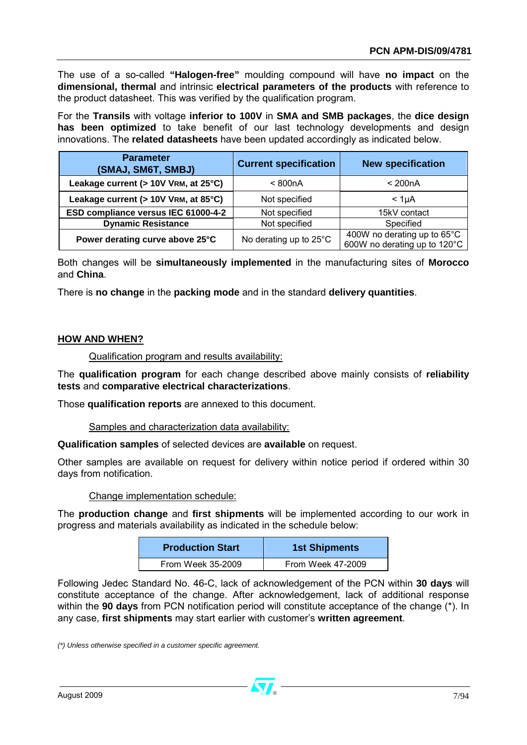The use of a so-called **"Halogen-free"** moulding compound will have **no impact** on the **dimensional, thermal** and intrinsic **electrical parameters of the products** with reference to the product datasheet. This was verified by the qualification program.

For the **Transils** with voltage **inferior to 100V** in **SMA and SMB packages**, the **dice design has been optimized** to take benefit of our last technology developments and design innovations. The **related datasheets** have been updated accordingly as indicated below.

| <b>Parameter</b><br>(SMAJ, SM6T, SMBJ) | <b>Current specification</b> | <b>New specification</b>                                    |
|----------------------------------------|------------------------------|-------------------------------------------------------------|
| Leakage current (> 10V VRM, at 25°C)   | < 800nA                      | $<$ 200 $nA$                                                |
| Leakage current (> 10V VRM, at 85°C)   | Not specified                | < 1 <sub>U</sub> A                                          |
| ESD compliance versus IEC 61000-4-2    | Not specified                | 15kV contact                                                |
| <b>Dynamic Resistance</b>              | Not specified                | Specified                                                   |
| Power derating curve above 25°C        | No derating up to 25°C       | 400W no derating up to 65°C<br>600W no derating up to 120°C |

Both changes will be **simultaneously implemented** in the manufacturing sites of **Morocco** and **China**.

There is **no change** in the **packing mode** and in the standard **delivery quantities**.

#### **HOW AND WHEN?**

Qualification program and results availability:

The **qualification program** for each change described above mainly consists of **reliability tests** and **comparative electrical characterizations**.

Those **qualification reports** are annexed to this document.

Samples and characterization data availability:

**Qualification samples** of selected devices are **available** on request.

Other samples are available on request for delivery within notice period if ordered within 30 days from notification.

#### Change implementation schedule:

The **production change** and **first shipments** will be implemented according to our work in progress and materials availability as indicated in the schedule below:

| <b>Production Start</b> | <b>1st Shipments</b> |  |
|-------------------------|----------------------|--|
| From Week 35-2009       | From Week 47-2009    |  |

Following Jedec Standard No. 46-C, lack of acknowledgement of the PCN within **30 days** will constitute acceptance of the change. After acknowledgement, lack of additional response within the **90 days** from PCN notification period will constitute acceptance of the change (\*). In any case, **first shipments** may start earlier with customer's **written agreement**.

*(\*) Unless otherwise specified in a customer specific agreement.*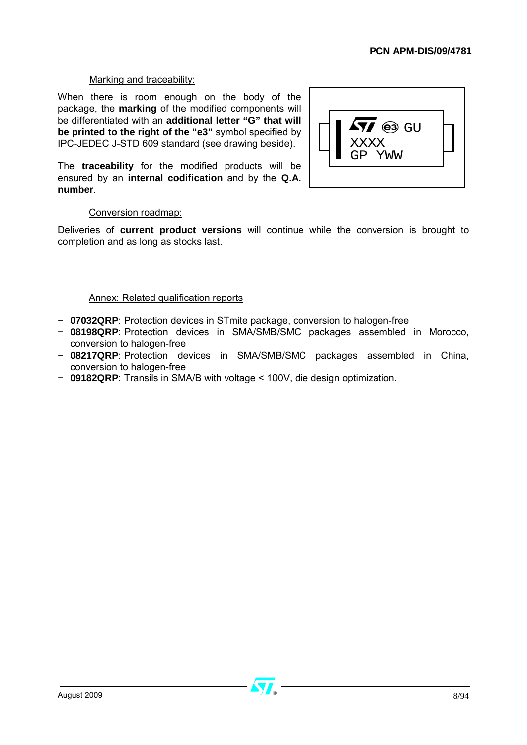#### Marking and traceability:

When there is room enough on the body of the package, the **marking** of the modified components will be differentiated with an **additional letter "G" that will be printed to the right of the "e3"** symbol specified by IPC-JEDEC J-STD 609 standard (see drawing beside).

The **traceability** for the modified products will be ensured by an **internal codification** and by the **Q.A. number**.



#### Conversion roadmap:

Deliveries of **current product versions** will continue while the conversion is brought to completion and as long as stocks last.

#### Annex: Related qualification reports

- − **07032QRP**: Protection devices in STmite package, conversion to halogen-free
- − **08198QRP**: Protection devices in SMA/SMB/SMC packages assembled in Morocco, conversion to halogen-free
- − **08217QRP**: Protection devices in SMA/SMB/SMC packages assembled in China, conversion to halogen-free
- − **09182QRP**: Transils in SMA/B with voltage < 100V, die design optimization.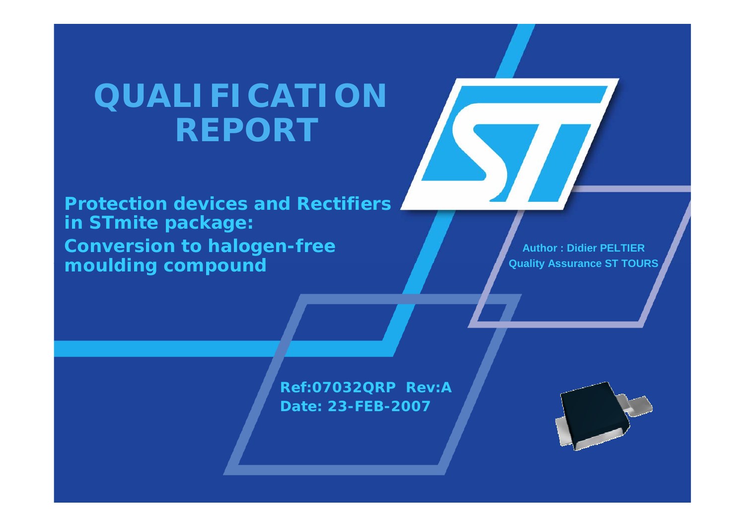# *QUALIFICATIONREPORT*

**Protection devices and Rectifiersin STmite package: Conversion to halogen-free moulding compound**

**Author : Didier PELTIERQuality Assurance ST TOURS**

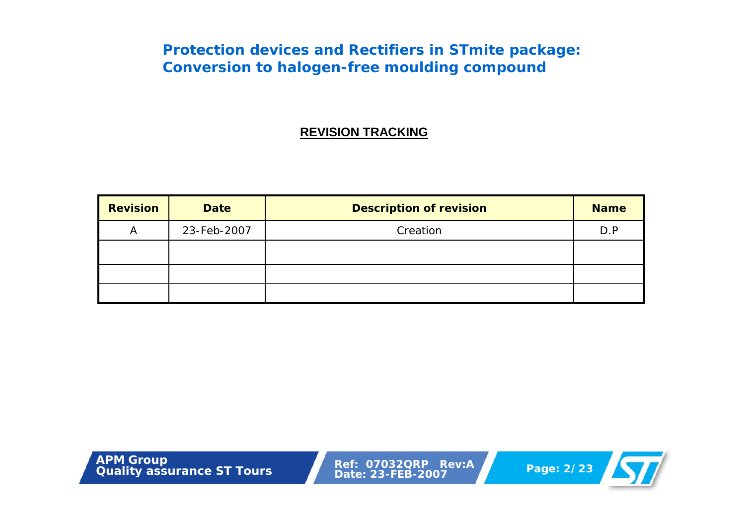#### **REVISION TRACKING**

| <b>Revision</b> | <b>Date</b> | <b>Description of revision</b> | <b>Name</b> |
|-----------------|-------------|--------------------------------|-------------|
| A               | 23-Feb-2007 | Creation                       | D.P         |
|                 |             |                                |             |
|                 |             |                                |             |
|                 |             |                                |             |

**Page: 2/23 APM Group**<br> **Quality** assurance ST Tours<br> **Page: 2/23** 

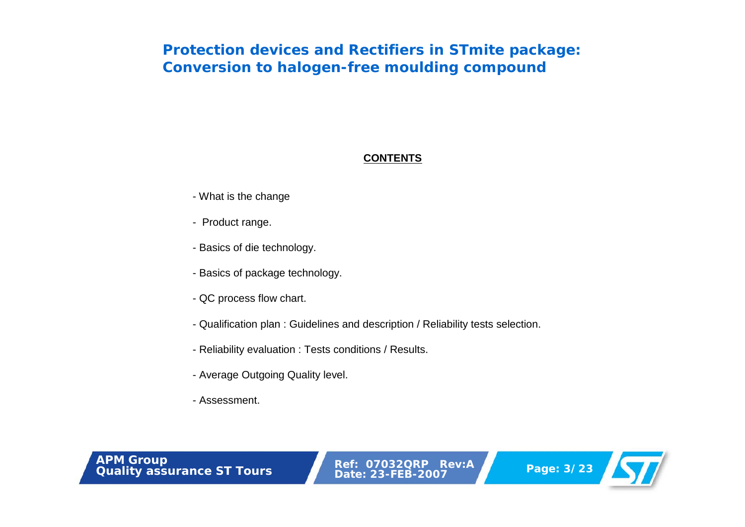#### **CONTENTS**

- What is the change
- Product range.
- Basics of die technology.
- Basics of package technology.
- QC process flow chart.
- Qualification plan : Guidelines and description / Reliability tests selection.
- Reliability evaluation : Tests conditions / Results.
- Average Outgoing Quality level.
- Assessment.

**Page: 3/23**<br> **Page: 3/23**<br> **Page: 3/23** 

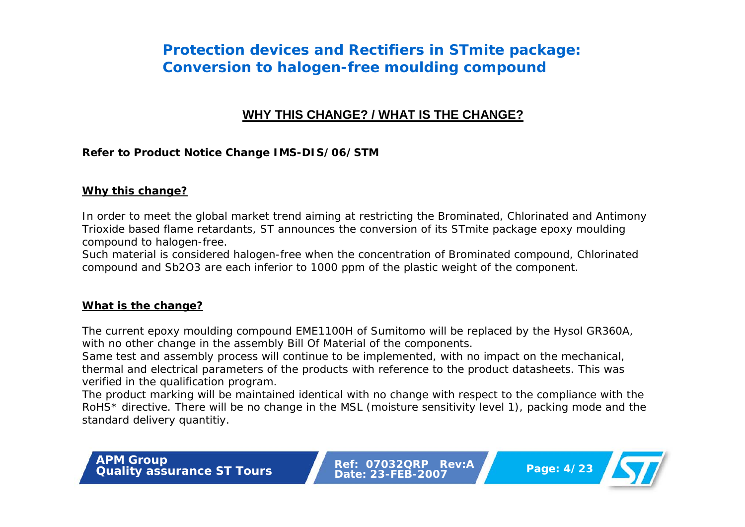#### **WHY THIS CHANGE? / WHAT IS THE CHANGE?**

#### **Refer to Product Notice Change IMS-DIS/06/STM**

#### **Why this change?**

In order to meet the global market trend aiming at restricting the Brominated, Chlorinated and Antimony Trioxide based flame retardants, ST announces the conversion of its STmite package epoxy moulding compound to halogen-free.

Such material is considered halogen-free when the concentration of Brominated compound, Chlorinated compound and Sb2O3 are each inferior to 1000 ppm of the plastic weight of the component.

#### **What is the change?**

The current epoxy moulding compound EME1100H of Sumitomo will be replaced by the Hysol GR360A, with no other change in the assembly Bill Of Material of the components.

Same test and assembly process will continue to be implemented, with no impact on the mechanical, thermal and electrical parameters of the products with reference to the product datasheets. This was verified in the qualification program.

The product marking will be maintained identical with no change with respect to the compliance with the RoHS\* directive. There will be no change in the MSL (moisture sensitivity level 1), packing mode and the standard delivery quantitiy.

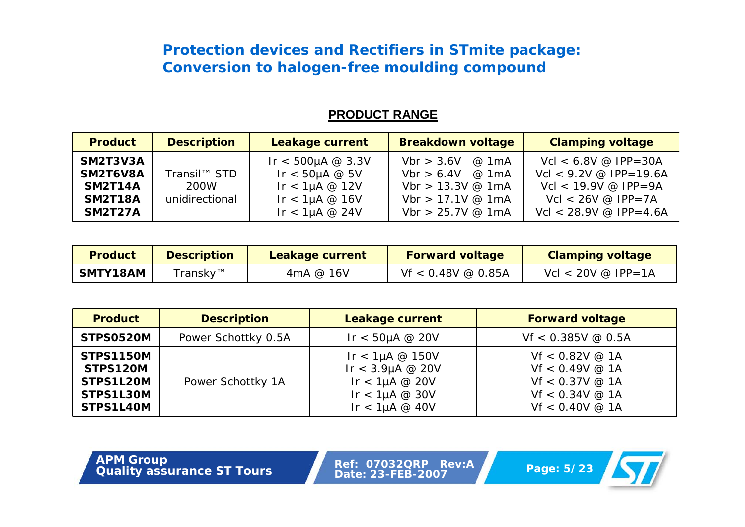#### **PRODUCT RANGE**

| <b>Product</b>                                                             | <b>Description</b>                                 | <b>Leakage current</b>                                                                             | <b>Breakdown voltage</b>                                                                                     | <b>Clamping voltage</b>                                                                                                                                 |
|----------------------------------------------------------------------------|----------------------------------------------------|----------------------------------------------------------------------------------------------------|--------------------------------------------------------------------------------------------------------------|---------------------------------------------------------------------------------------------------------------------------------------------------------|
| SM2T3V3A<br>SM2T6V8A<br><b>SM2T14A</b><br><b>SM2T18A</b><br><b>SM2T27A</b> | Transil <sup>™</sup> STD<br>200W<br>unidirectional | Ir < 500µA $@3.3V$<br>Ir $<$ 50µA @ 5V<br>Ir $<$ 1µA @ 12V<br>Ir $<$ 1µA @ 16V<br>Ir $<$ 1µA @ 24V | Vbr > 3.6V<br>@ 1mA<br>Vbr $> 6.4V$ @ 1mA<br>Vbr $> 13.3V$ @ 1mA<br>Vbr $> 17.1V$ @ 1mA<br>Vbr > 25.7V @ 1mA | $Vcl < 6.8V @ IPP = 30A$<br>$Vcl < 9.2V \text{ @ } IPP = 19.6A$<br>$Vcl < 19.9V @ IPP = 9A$<br>$Vcl < 26V \text{ @ IPP} = 7A$<br>Vcl < 28.9V @ IPP=4.6A |

| <b>Product</b>  | <b>Description</b> | Leakage current | <b>Forward voltage</b> | <b>Clamping voltage</b>         |
|-----------------|--------------------|-----------------|------------------------|---------------------------------|
| <b>SMTY18AM</b> | Transky™           | 4mA @ 16V       | $Vf < 0.48V \& 0.85A$  | $Vcl < 20V \text{ @ } IPP = 1A$ |

| <b>Product</b>                                                      | <b>Description</b>  | <b>Leakage current</b>                                                                                 | <b>Forward voltage</b>                                                                                    |
|---------------------------------------------------------------------|---------------------|--------------------------------------------------------------------------------------------------------|-----------------------------------------------------------------------------------------------------------|
| <b>STPS0520M</b>                                                    | Power Schottky 0.5A | Ir $<$ 50µA @ 20V                                                                                      | $Vf < 0.385V \ @ 0.5A$                                                                                    |
| <b>STPS1150M</b><br>STPS120M<br>STPS1L20M<br>STPS1L30M<br>STPS1L40M | Power Schottky 1A   | Ir $<$ 1µA @ 150V<br>Ir < $3.9\mu$ A @ 20V<br>Ir $<$ 1µA @ 20V<br>Ir $<$ 1µA @ 30V<br>Ir $<$ 1µA @ 40V | $Vf < 0.82V$ @ 1A<br>$Vf < 0.49V$ @ 1A<br>$Vf < 0.37V$ @ 1A<br>$Vf < 0.34V \ @ 1A$<br>$Vf < 0.40V \ @ 1A$ |

**Page: 5/23 APM Group**<br> **Quality** assurance ST Tours<br> **Page: 5/23** 

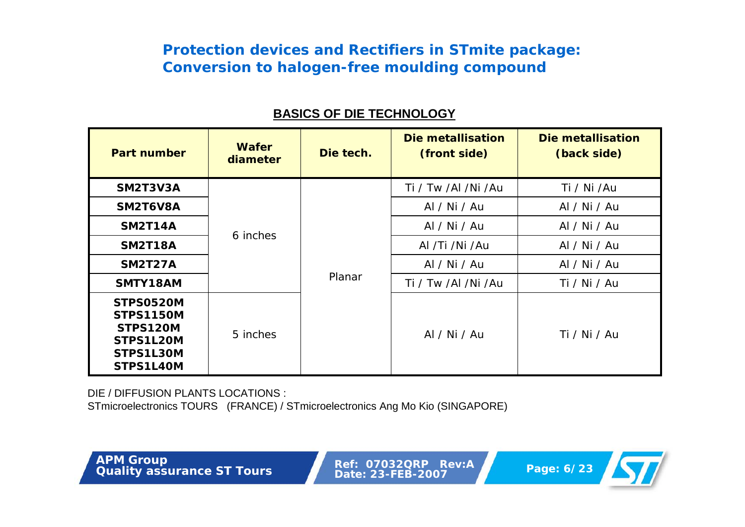| <b>Part number</b>                                                               | <b>Wafer</b><br>diameter | Die tech. | Die metallisation<br>(front side) | Die metallisation<br>(back side) |
|----------------------------------------------------------------------------------|--------------------------|-----------|-----------------------------------|----------------------------------|
| SM2T3V3A                                                                         |                          |           | Ti / Tw /Al /Ni /Au               | Ti / Ni /Au                      |
| SM2T6V8A                                                                         | 6 inches                 | Planar    | Al / Ni / Au                      | Al / Ni / Au                     |
| <b>SM2T14A</b>                                                                   |                          |           | Al / Ni / Au                      | Al / Ni / Au                     |
| <b>SM2T18A</b>                                                                   |                          |           | Al /Ti /Ni /Au                    | Al / Ni / Au                     |
| <b>SM2T27A</b>                                                                   |                          |           | Al / Ni / Au                      | Al / Ni / Au                     |
| SMTY18AM                                                                         |                          |           | Ti / Tw /Al /Ni /Au               | Ti / Ni / Au                     |
| STPS0520M<br><b>STPS1150M</b><br>STPS120M<br>STPS1L20M<br>STPS1L30M<br>STPS1L40M | 5 inches                 |           | Al / Ni / Au                      | Ti / Ni / Au                     |

#### **BASICS OF DIE TECHNOLOGY**

DIE / DIFFUSION PLANTS LOCATIONS :

STmicroelectronics TOURS (FRANCE) / STmicroelectronics Ang Mo Kio (SINGAPORE)

**Page: 6/23**<br> **Page: 6/23**<br> **Page: 6/23** 

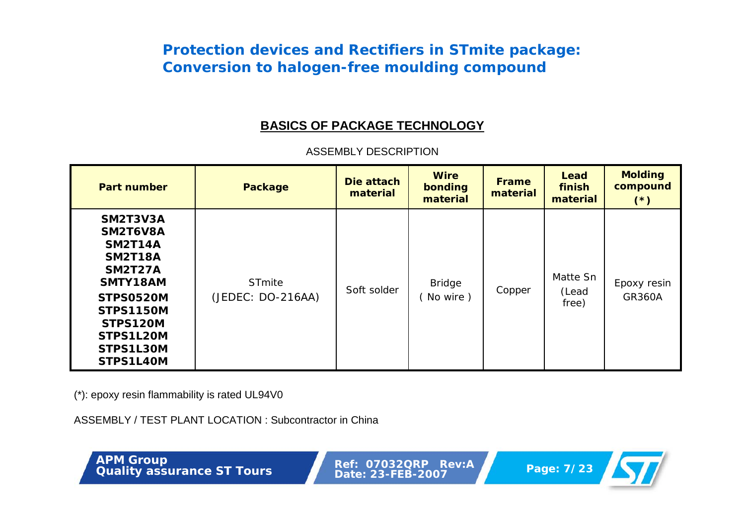#### **BASICS OF PACKAGE TECHNOLOGY**

| <b>Part number</b>                                                                                                                                                         | <b>Package</b>              | Die attach<br>material | <b>Wire</b><br>bonding<br>material | <b>Frame</b><br>material | Lead<br>finish<br>material | <b>Molding</b><br>compound<br>$(*)$ |
|----------------------------------------------------------------------------------------------------------------------------------------------------------------------------|-----------------------------|------------------------|------------------------------------|--------------------------|----------------------------|-------------------------------------|
| SM2T3V3A<br>SM2T6V8A<br><b>SM2T14A</b><br><b>SM2T18A</b><br><b>SM2T27A</b><br>SMTY18AM<br>STPS0520M<br><b>STPS1150M</b><br>STPS120M<br>STPS1L20M<br>STPS1L30M<br>STPS1L40M | STmite<br>(JEDEC: DO-216AA) | Soft solder            | <b>Bridge</b><br>No wire)          | Copper                   | Matte Sn<br>(Lead<br>free) | Epoxy resin<br><b>GR360A</b>        |

ASSEMBLY DESCRIPTION

(\*): epoxy resin flammability is rated UL94V0

ASSEMBLY / TEST PLANT LOCATION : Subcontractor in China

**Page: 7/23**<br> **Page: 7/23**<br> **Page: 7/23** 

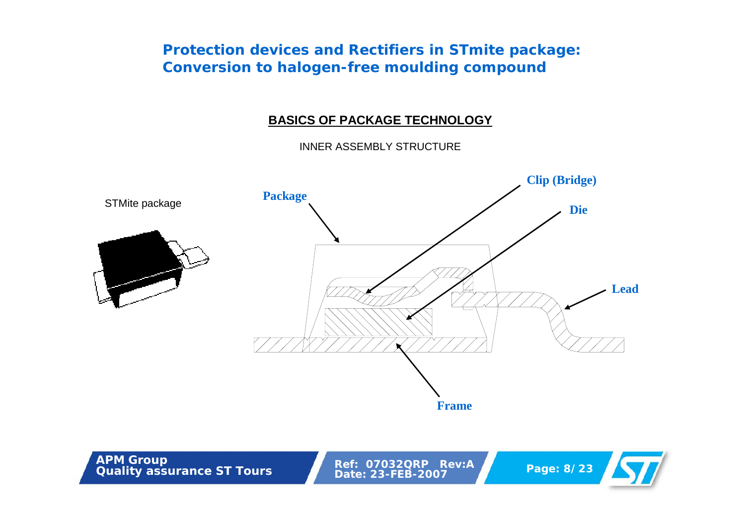#### **BASICS OF PACKAGE TECHNOLOGY**

INNER ASSEMBLY STRUCTURE



**Page: 8/23 APM Group CONSIDEREM Ref: 07032QRP Rev:A Page: 8/23** 

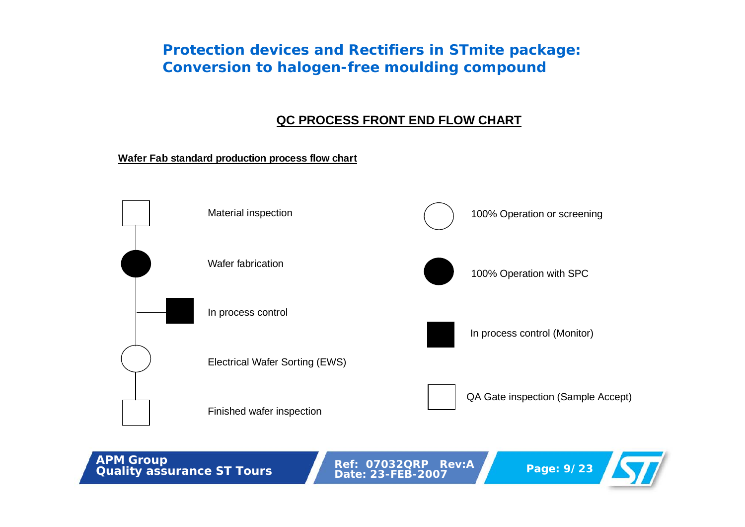#### **QC PROCESS FRONT END FLOW CHART**

**Wafer Fab standard production process flow chart**



**Page: 9/23 APM Group CONSURF Ref: 07032QRP Rev:A Page: 9/23 Page: 9/23** 

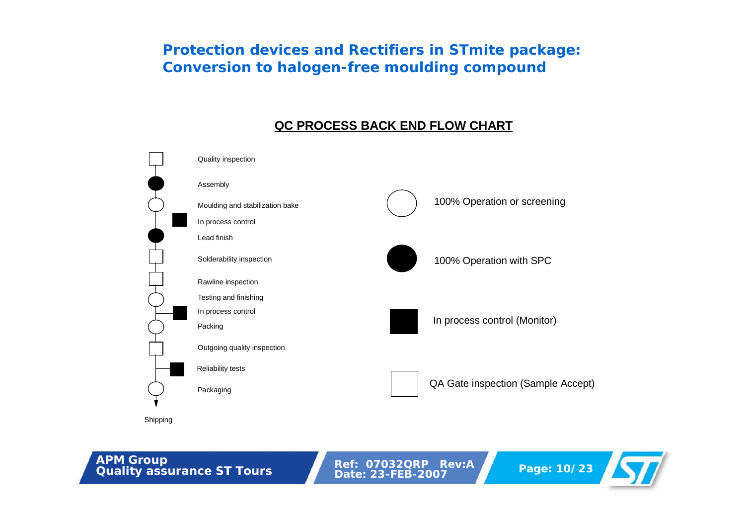#### **QC PROCESS BACK END FLOW CHART**



**Page: 10/23 APM Group**<br> **Quality** assurance ST Tours<br> **Page: 10/23** 

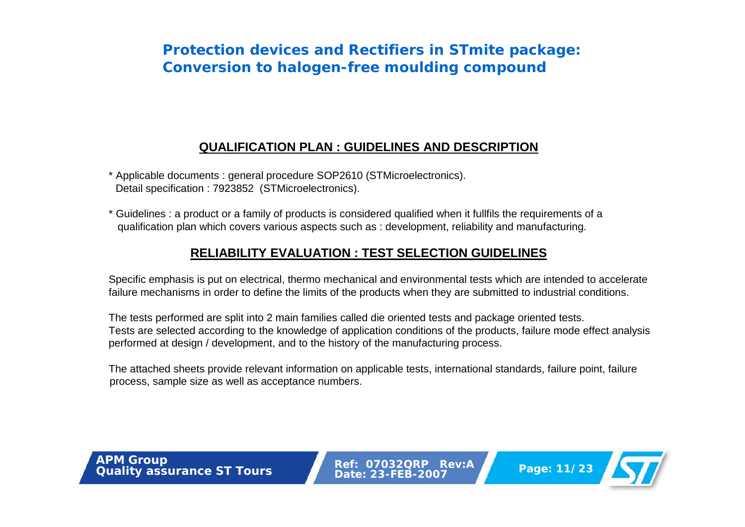#### **QUALIFICATION PLAN : GUIDELINES AND DESCRIPTION**

- \* Applicable documents : general procedure SOP2610 (STMicroelectronics). Detail specification : 7923852 (STMicroelectronics).
- \* Guidelines : a product or a family of products is considered qualified when it fullfils the requirements of a qualification plan which covers various aspects such as : development, reliability and manufacturing.

#### **RELIABILITY EVALUATION : TEST SELECTION GUIDELINES**

Specific emphasis is put on electrical, thermo mechanical and environmental tests which are intended to accelerate failure mechanisms in order to define the limits of the products when they are submitted to industrial conditions.

The tests performed are split into 2 main families called die oriented tests and package oriented tests. Tests are selected according to the knowledge of application conditions of the products, failure mode effect analysis performed at design / development, and to the history of the manufacturing process.

The attached sheets provide relevant information on applicable tests, international standards, failure point, failure process, sample size as well as acceptance numbers.

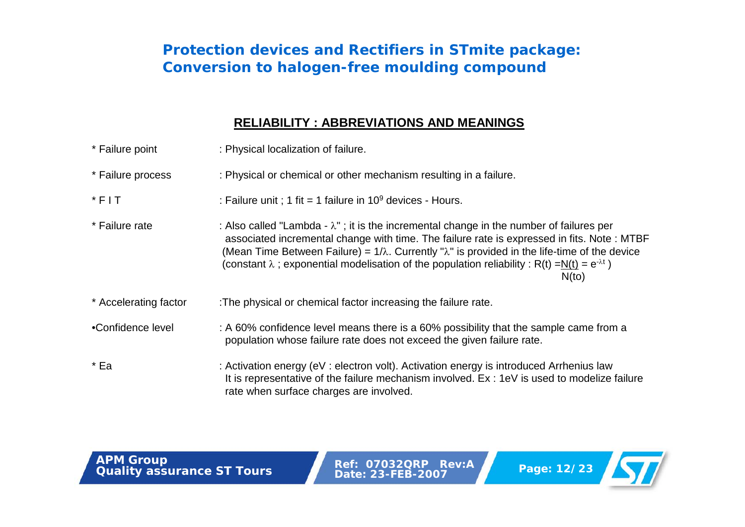#### **RELIABILITY : ABBREVIATIONS AND MEANINGS**

| * Failure point       | : Physical localization of failure.                                                                                                                                                                                                                                                                                                                                                                                                        |
|-----------------------|--------------------------------------------------------------------------------------------------------------------------------------------------------------------------------------------------------------------------------------------------------------------------------------------------------------------------------------------------------------------------------------------------------------------------------------------|
| * Failure process     | : Physical or chemical or other mechanism resulting in a failure.                                                                                                                                                                                                                                                                                                                                                                          |
| $*$ FIT               | : Failure unit ; 1 fit = 1 failure in $10^9$ devices - Hours.                                                                                                                                                                                                                                                                                                                                                                              |
| * Failure rate        | : Also called "Lambda - $\lambda$ "; it is the incremental change in the number of failures per<br>associated incremental change with time. The failure rate is expressed in fits. Note: MTBF<br>(Mean Time Between Failure) = $1/\lambda$ . Currently " $\lambda$ " is provided in the life-time of the device<br>(constant $\lambda$ ; exponential modelisation of the population reliability : R(t) =N(t) = $e^{-\lambda t}$ )<br>N(to) |
| * Accelerating factor | : The physical or chemical factor increasing the failure rate.                                                                                                                                                                                                                                                                                                                                                                             |
| •Confidence level     | : A 60% confidence level means there is a 60% possibility that the sample came from a<br>population whose failure rate does not exceed the given failure rate.                                                                                                                                                                                                                                                                             |
| * Ea                  | : Activation energy (eV : electron volt). Activation energy is introduced Arrhenius law<br>It is representative of the failure mechanism involved. Ex: 1eV is used to modelize failure<br>rate when surface charges are involved.                                                                                                                                                                                                          |

**Page: 12/23 APM Group**<br> **Page: 12/23 Budget 23-FEB-2007** 

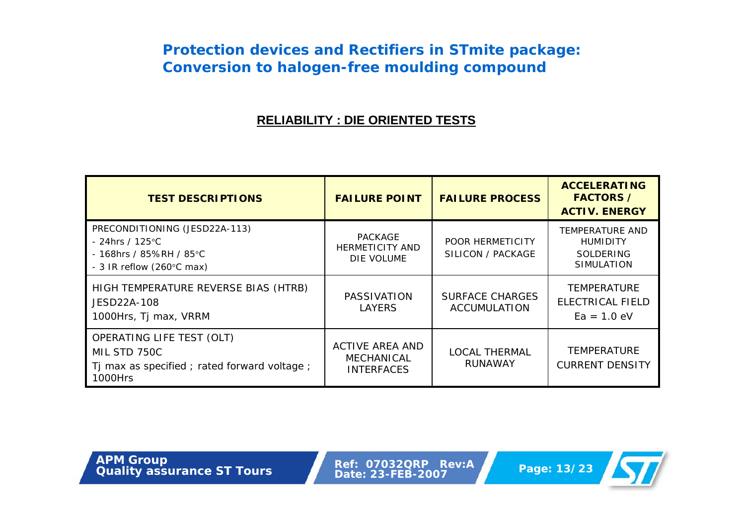#### **RELIABILITY : DIE ORIENTED TESTS**

| <b>TEST DESCRIPTIONS</b>                                                                                                      | <b>FAILURE POINT</b>                                      | <b>FAILURE PROCESS</b>                        | <b>ACCELERATING</b><br><b>FACTORS /</b><br><b>ACTIV. ENERGY</b>             |
|-------------------------------------------------------------------------------------------------------------------------------|-----------------------------------------------------------|-----------------------------------------------|-----------------------------------------------------------------------------|
| PRECONDITIONING (JESD22A-113)<br>- 24hrs / 125 $^{\circ}$ C<br>- 168hrs / 85%RH / 85°C<br>- 3 IR reflow $(260^{\circ}$ C max) | PACKAGE<br><b>HERMETICITY AND</b><br>DIE VOLUME           | POOR HERMETICITY<br>SILICON / PACKAGE         | <b>TEMPERATURE AND</b><br><b>HUMIDITY</b><br>SOLDERING<br><b>SIMULATION</b> |
| HIGH TEMPERATURE REVERSE BIAS (HTRB)<br>JESD22A-108<br>1000Hrs, Tj max, VRRM                                                  | <b>PASSIVATION</b><br><b>LAYERS</b>                       | <b>SURFACE CHARGES</b><br><b>ACCUMULATION</b> | <b>TEMPERATURE</b><br>ELECTRICAL FIELD<br>$Ea = 1.0 eV$                     |
| OPERATING LIFE TEST (OLT)<br>MIL STD 750C<br>Tj max as specified; rated forward voltage;<br>1000Hrs                           | ACTIVE AREA AND<br><b>MECHANICAL</b><br><b>INTERFACES</b> | <b>LOCAL THERMAL</b><br><b>RUNAWAY</b>        | <b>TEMPERATURE</b><br><b>CURRENT DENSITY</b>                                |

**Page: 13/23 APM Group**<br> **Quality** assurance ST Tours<br> **Page: 23-FEB-2007** 

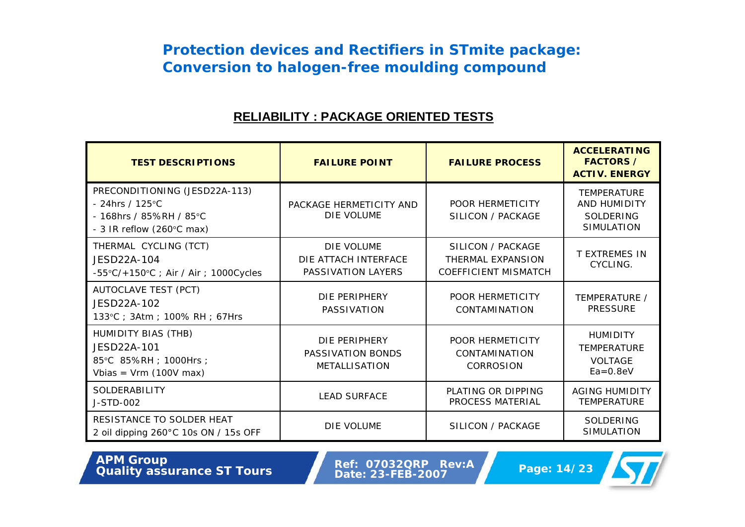#### **RELIABILITY : PACKAGE ORIENTED TESTS**

| <b>TEST DESCRIPTIONS</b>                                                                                                      | <b>FAILURE POINT</b>                                       | <b>FAILURE PROCESS</b>                                                | <b>ACCELERATING</b><br><b>FACTORS /</b><br><b>ACTIV. ENERGY</b>         |
|-------------------------------------------------------------------------------------------------------------------------------|------------------------------------------------------------|-----------------------------------------------------------------------|-------------------------------------------------------------------------|
| PRECONDITIONING (JESD22A-113)<br>- 24hrs / 125 $^{\circ}$ C<br>- 168hrs / 85%RH / 85°C<br>- 3 IR reflow $(260^{\circ}$ C max) | PACKAGE HERMETICITY AND<br>DIE VOLUME                      | <b>POOR HERMETICITY</b><br>SILICON / PACKAGE                          | <b>TEMPERATURE</b><br>AND HUMIDITY<br>SOLDERING<br><b>SIMULATION</b>    |
| THERMAL CYCLING (TCT)<br>JESD22A-104<br>$-55^{\circ}$ C/+150 $^{\circ}$ C; Air / Air; 1000Cycles                              | DIE VOLUME<br>DIE ATTACH INTERFACE<br>PASSIVATION LAYERS   | SILICON / PACKAGE<br>THERMAL EXPANSION<br><b>COEFFICIENT MISMATCH</b> | <b>T EXTREMES IN</b><br>CYCLING.                                        |
| AUTOCLAVE TEST (PCT)<br>JESD22A-102<br>133°C; 3Atm; 100% RH; 67Hrs                                                            | DIE PERIPHERY<br>PASSIVATION                               | <b>POOR HERMETICITY</b><br>CONTAMINATION                              | TEMPERATURE /<br><b>PRESSURE</b>                                        |
| HUMIDITY BIAS (THB)<br>JESD22A-101<br>85°C 85%RH ; 1000Hrs ;<br>Vbias = $Vrm (100V max)$                                      | DIE PERIPHERY<br>PASSIVATION BONDS<br><b>METALLISATION</b> | <b>POOR HERMETICITY</b><br>CONTAMINATION<br><b>CORROSION</b>          | <b>HUMIDITY</b><br><b>TEMPERATURE</b><br><b>VOLTAGE</b><br>$Ea = 0.8eV$ |
| <b>SOLDERABILITY</b><br>J-STD-002                                                                                             | <b>LEAD SURFACE</b>                                        | PLATING OR DIPPING<br><b>PROCESS MATERIAL</b>                         | <b>AGING HUMIDITY</b><br><b>TEMPERATURE</b>                             |
| RESISTANCE TO SOLDER HEAT<br>2 oil dipping 260°C 10s ON / 15s OFF                                                             | DIE VOLUME                                                 | SILICON / PACKAGE                                                     | SOLDERING<br><b>SIMULATION</b>                                          |

**Page: 14/23**<br> **Page: 14/23**<br> **Page: 14/23** 

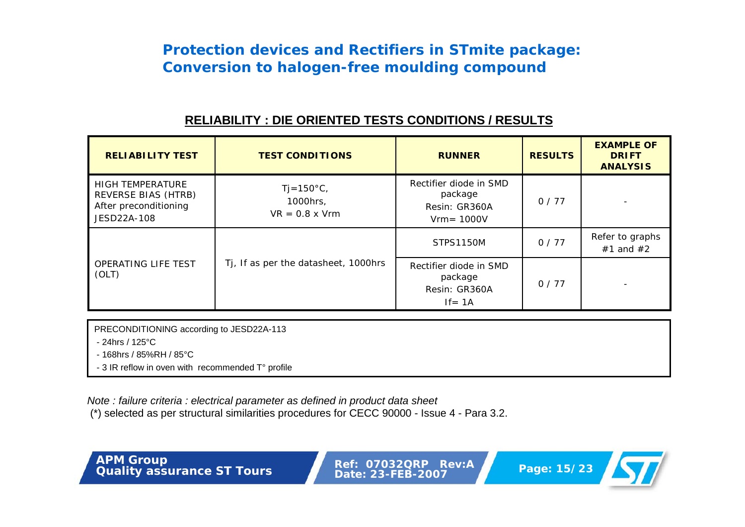#### **RELIABILITY : DIE ORIENTED TESTS CONDITIONS / RESULTS**

| <b>RELIABILITY TEST</b>                                                                | <b>TEST CONDITIONS</b>                                     | <b>RUNNER</b>                                                       | <b>RESULTS</b> | <b>EXAMPLE OF</b><br><b>DRIFT</b><br><b>ANALYSIS</b> |
|----------------------------------------------------------------------------------------|------------------------------------------------------------|---------------------------------------------------------------------|----------------|------------------------------------------------------|
| <b>HIGH TEMPERATURE</b><br>REVERSE BIAS (HTRB)<br>After preconditioning<br>JESD22A-108 | $Tj = 150^{\circ}C$ ,<br>1000hrs,<br>$VR = 0.8 \times Vrm$ | Rectifier diode in SMD<br>package<br>Resin: GR360A<br>$Vrm = 1000V$ | 0/77           |                                                      |
|                                                                                        |                                                            | STPS1150M                                                           | 0/77           | Refer to graphs<br>$#1$ and $#2$                     |
| <b>OPERATING LIFE TEST</b><br>(OLT)                                                    | Tj, If as per the datasheet, 1000hrs                       | Rectifier diode in SMD<br>package<br>Resin: GR360A<br>$If = 1A$     | 0/77           |                                                      |

PRECONDITIONING according to JESD22A-113

- 24hrs / 125°C

- 168hrs / 85%RH / 85°C

- 3 IR reflow in oven with recommended T° profile

*Note : failure criteria : electrical parameter as defined in product data sheet*

(\*) selected as per structural similarities procedures for CECC 90000 - Issue 4 - Para 3.2.

**Page: 15/23 APM Group**<br> **Quality** assurance ST Tours<br> **Page: 15/23** 

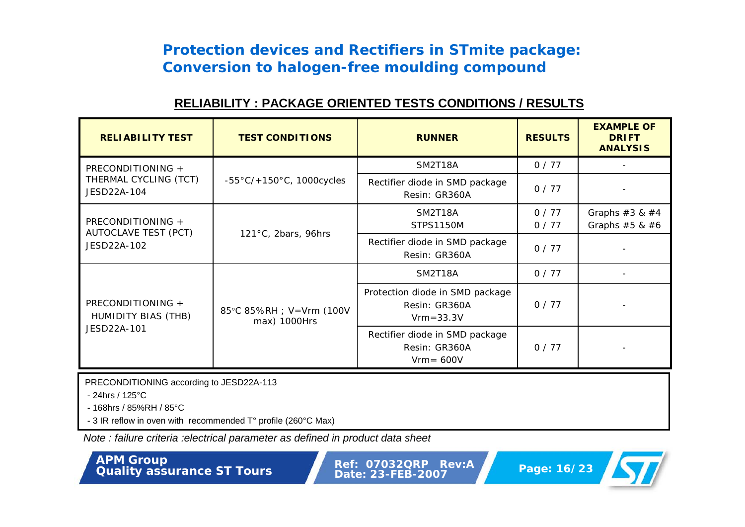#### **RELIABILITY : PACKAGE ORIENTED TESTS CONDITIONS / RESULTS**

| <b>RELIABILITY TEST</b>                          | <b>TEST CONDITIONS</b>                    | <b>RUNNER</b>                                                     | <b>RESULTS</b> | <b>EXAMPLE OF</b><br><b>DRIFT</b><br><b>ANALYSIS</b> |
|--------------------------------------------------|-------------------------------------------|-------------------------------------------------------------------|----------------|------------------------------------------------------|
| PRECONDITIONING +                                |                                           | SM2T18A                                                           | 0/77           |                                                      |
| THERMAL CYCLING (TCT)<br>JESD22A-104             | $-55\degree C/+150\degree C$ , 1000cycles | Rectifier diode in SMD package<br>Resin: GR360A                   | 0/77           |                                                      |
|                                                  |                                           | SM2T18A                                                           | 0/77           | Graphs $#3 & 4$                                      |
| PRECONDITIONING +<br><b>AUTOCLAVE TEST (PCT)</b> | 121°C, 2bars, 96hrs                       | STPS1150M                                                         | 0/77           | Graphs $#5 & 46$                                     |
| JESD22A-102                                      |                                           | Rectifier diode in SMD package<br>Resin: GR360A                   | 0/77           |                                                      |
|                                                  |                                           | SM2T18A                                                           | 0/77           |                                                      |
| PRECONDITIONING +<br>HUMIDITY BIAS (THB)         | 85°C 85%RH ; V=Vrm (100V<br>max) 1000Hrs  | Protection diode in SMD package<br>Resin: GR360A<br>$Vrm = 33.3V$ | 0/77           |                                                      |
| JESD22A-101                                      |                                           | Rectifier diode in SMD package<br>Resin: GR360A<br>$Vrm = 600V$   | 0/77           |                                                      |

PRECONDITIONING according to JESD22A-113

- 24hrs / 125°C

- 168hrs / 85%RH / 85°C

- 3 IR reflow in oven with recommended T° profile (260°C Max)

*Note : failure criteria :electrical parameter as defined in product data sheet*

**Page: 16/23 APM Group Page: 16/23 Ref: 07032QRP Rev:A Page: 16/23** 

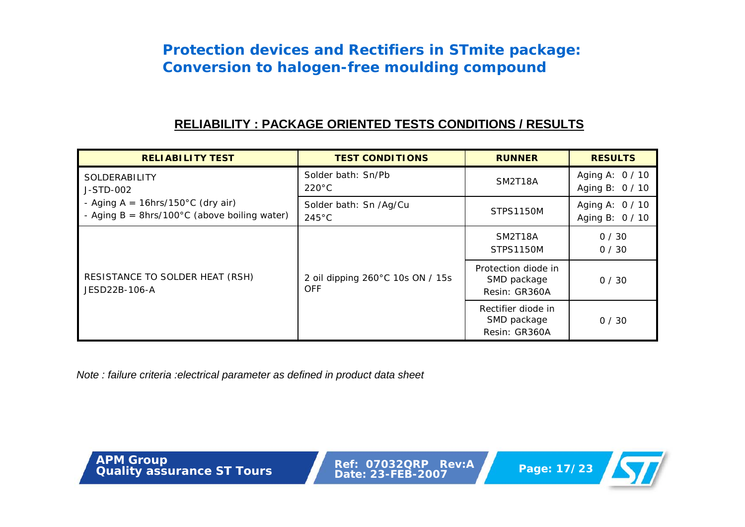#### **RELIABILITY : PACKAGE ORIENTED TESTS CONDITIONS / RESULTS**

| <b>RELIABILITY TEST</b>                                                                 | <b>TEST CONDITIONS</b>                         | <b>RUNNER</b>                                       | <b>RESULTS</b>                     |
|-----------------------------------------------------------------------------------------|------------------------------------------------|-----------------------------------------------------|------------------------------------|
| SOLDERABILITY<br>J-STD-002                                                              | Solder bath: Sn/Pb<br>$220^{\circ}$ C          | SM2T18A                                             | Aging A: 0 / 10<br>Aging B: 0 / 10 |
| - Aging $A = 16$ hrs/150°C (dry air)<br>- Aging $B = 8$ hrs/100°C (above boiling water) | Solder bath: Sn /Ag/Cu<br>$245^{\circ}$ C      | STPS1150M                                           | Aging A: 0 / 10<br>Aging B: 0 / 10 |
|                                                                                         |                                                | SM2T18A<br><b>STPS1150M</b>                         | 0/30<br>0/30                       |
| RESISTANCE TO SOLDER HEAT (RSH)<br>JESD22B-106-A                                        | 2 oil dipping 260°C 10s ON / 15s<br><b>OFF</b> | Protection diode in<br>SMD package<br>Resin: GR360A | 0/30                               |
|                                                                                         |                                                | Rectifier diode in<br>SMD package<br>Resin: GR360A  | 0/30                               |

*Note : failure criteria :electrical parameter as defined in product data sheet*

**Page: 17/23**<br> **Page: 17/23**<br> **Page: 17/23** 

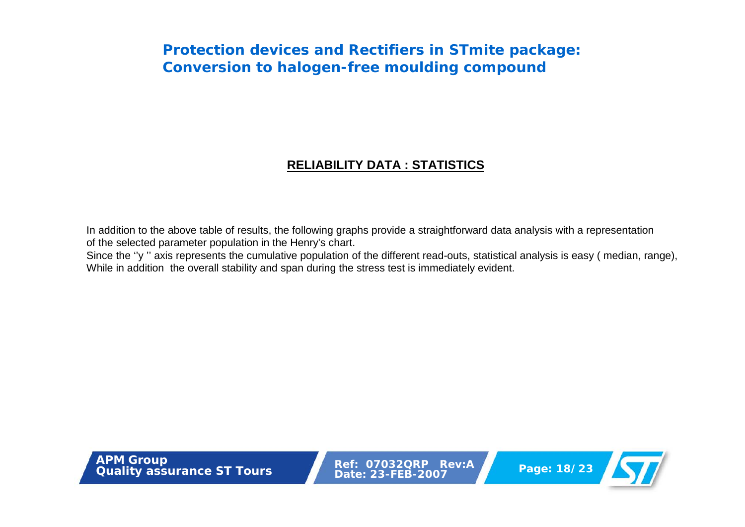#### **RELIABILITY DATA : STATISTICS**

In addition to the above table of results, the following graphs provide a straightforward data analysis with a representation of the selected parameter population in the Henry's chart.

Since the "y" axis represents the cumulative population of the different read-outs, statistical analysis is easy (median, range), While in addition the overall stability and span during the stress test is immediately evident.

**Page: 18/23 APM Group**<br> **Quality** assurance ST Tours<br> **Page: 18/23** 

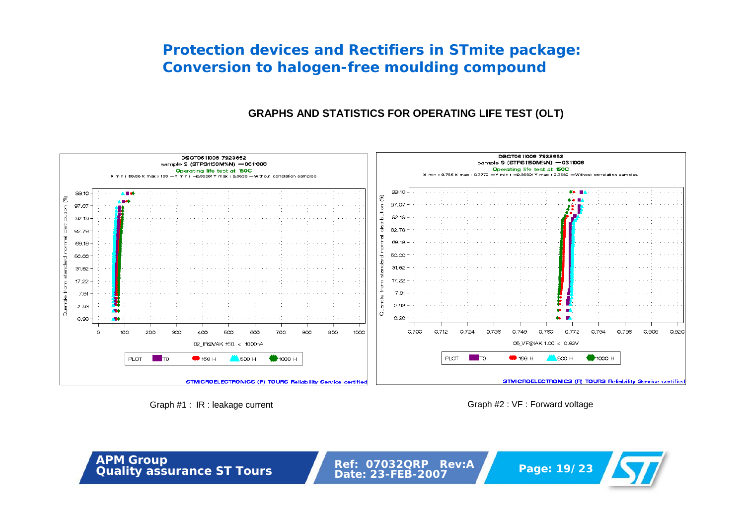#### **GRAPHS AND STATISTICS FOR OPERATING LIFE TEST (OLT)**



Graph #1 : IR : leakage current Graph #2 : VF : Forward voltage

**Page: 19/23**<br> **Page: 19/23**<br> **Page: 19/23**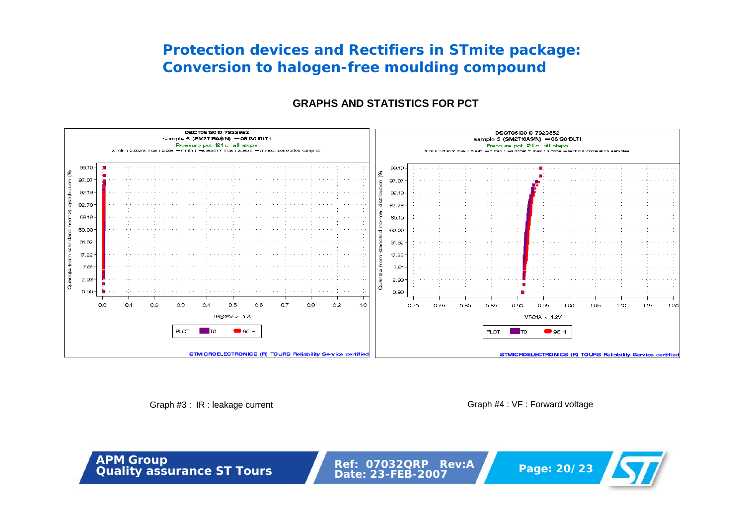#### **GRAPHS AND STATISTICS FOR PCT**



Graph #3: IR : leakage current Graph #4 : VF : Forward voltage

**Page: 20/23** 

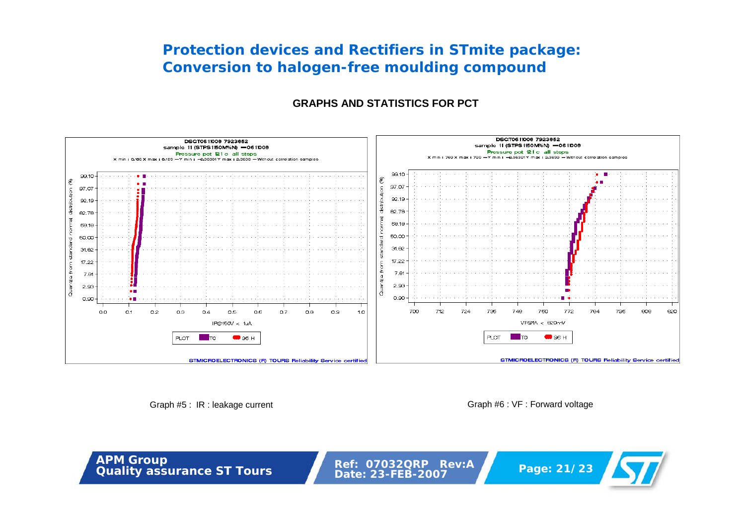#### **GRAPHS AND STATISTICS FOR PCT**



Graph #5: IR : leakage current Graph #6 : VF : Forward voltage

**Page: 21/23 APM Group**<br> **Quality** assurance ST Tours<br> **Page: 21/23**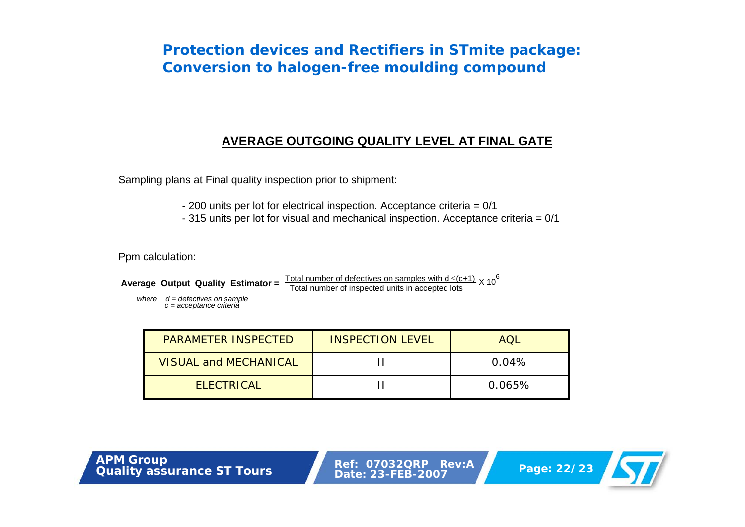#### **AVERAGE OUTGOING QUALITY LEVEL AT FINAL GATE**

Sampling plans at Final quality inspection prior to shipment:

- 200 units per lot for electrical inspection. Acceptance criteria = 0/1
- 315 units per lot for visual and mechanical inspection. Acceptance criteria = 0/1

Ppm calculation:

**Average Output Quality Estimator =**  $\frac{\text{Total number of defectives on samples with d} \leq (c+1)}{\text{Total number of inspected units in accepted lots}} \times 10^6$ 

*where d = defectives on sample c = acceptance criteria*

| <b>PARAMETER INSPECTED</b>   | <b>INSPECTION LEVEL</b> | AOL    |
|------------------------------|-------------------------|--------|
| <b>VISUAL and MECHANICAL</b> |                         | 0.04%  |
| <b>ELECTRICAL</b>            |                         | 0.065% |

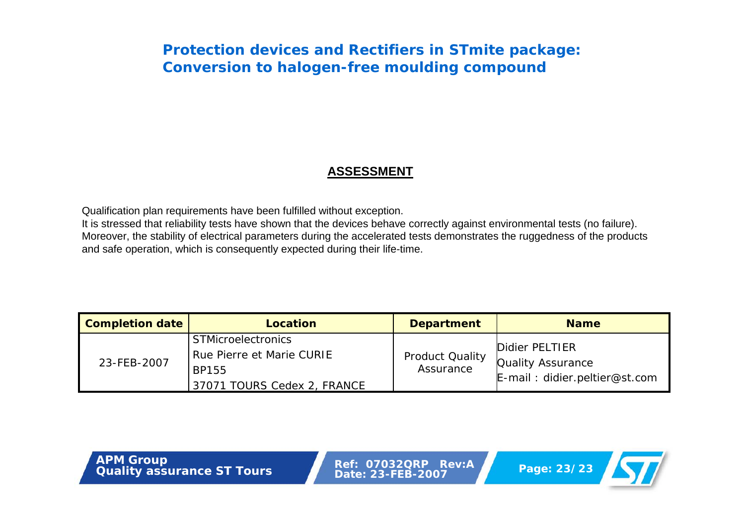#### **ASSESSMENT**

Qualification plan requirements have been fulfilled without exception.

It is stressed that reliability tests have shown that the devices behave correctly against environmental tests (no failure). Moreover, the stability of electrical parameters during the accelerated tests demonstrates the ruggedness of the products and safe operation, which is consequently expected during their life-time.

| <b>Completion date</b> | Location                                                                                              | <b>Department</b>                   | <b>Name</b>                                                                    |
|------------------------|-------------------------------------------------------------------------------------------------------|-------------------------------------|--------------------------------------------------------------------------------|
| 23-FEB-2007            | STMicroelectronics<br><b>Rue Pierre et Marie CURIE</b><br><b>BP155</b><br>37071 TOURS Cedex 2, FRANCE | <b>Product Quality</b><br>Assurance | Didier PELTIER<br><b>Quality Assurance</b><br>$E$ -mail: didier.peltier@st.com |

**Page: 23/23 APM Group**<br> **Quality** assurance ST Tours<br> **Page: 23/23 Date: 23-FEB-2007** 

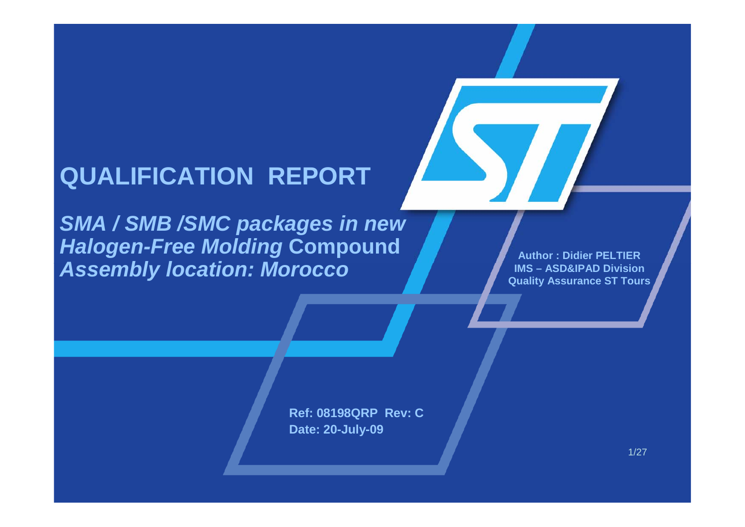# **QUALIFICATION REPORT**

*SMA / SMB /SMC packages in new Halogen-Free Molding* **Compound** *Assembly location: Morocco*

**Author : Didier PELTIERIMS – ASD&IPAD DivisionQuality Assurance ST Tours**

**Ref: 08198QRP Rev: CDate: 20-July-09**

1/27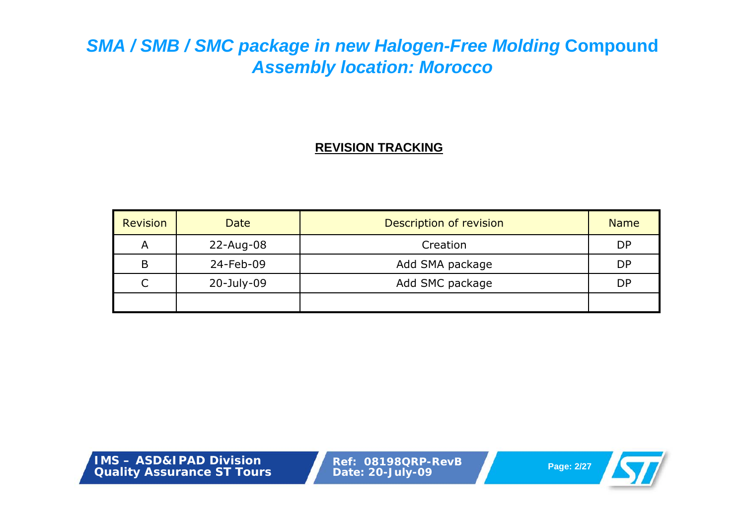#### **REVISION TRACKING**

| <b>Revision</b> | <b>Date</b> | Description of revision | <b>Name</b> |
|-----------------|-------------|-------------------------|-------------|
| A               | 22-Aug-08   | Creation                | <b>DP</b>   |
| B               | 24-Feb-09   | Add SMA package         | <b>DP</b>   |
|                 | 20-July-09  | Add SMC package         | DP          |
|                 |             |                         |             |

**IMS – ASD&IPAD DivisionQuality Assurance ST Tours**

**Ref: 08198QRP-RevB Page: 2/27 Date: 20-July-09**

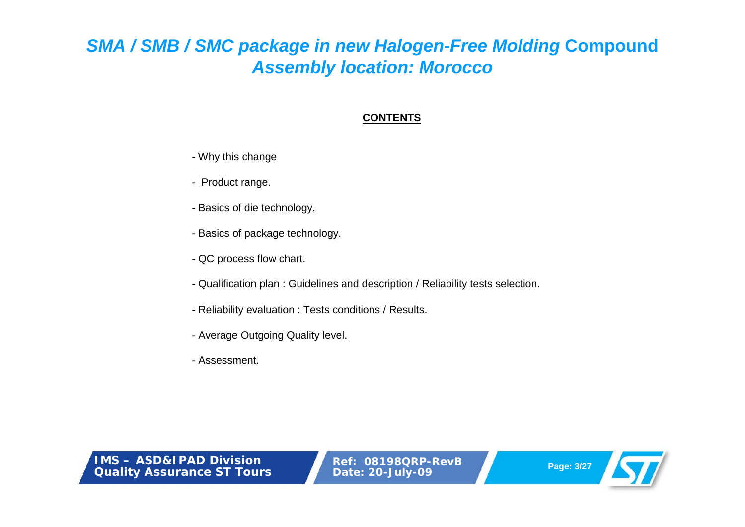#### **CONTENTS**

- Why this change
- Product range.
- Basics of die technology.
- Basics of package technology.
- QC process flow chart.
- Qualification plan : Guidelines and description / Reliability tests selection.
- Reliability evaluation : Tests conditions / Results.
- Average Outgoing Quality level.
- Assessment.

**IMS – ASD&IPAD DivisionQuality Assurance ST Tours**

**Ref: 08198QRP-RevB Page: 3/27 Date: 20-July-09**

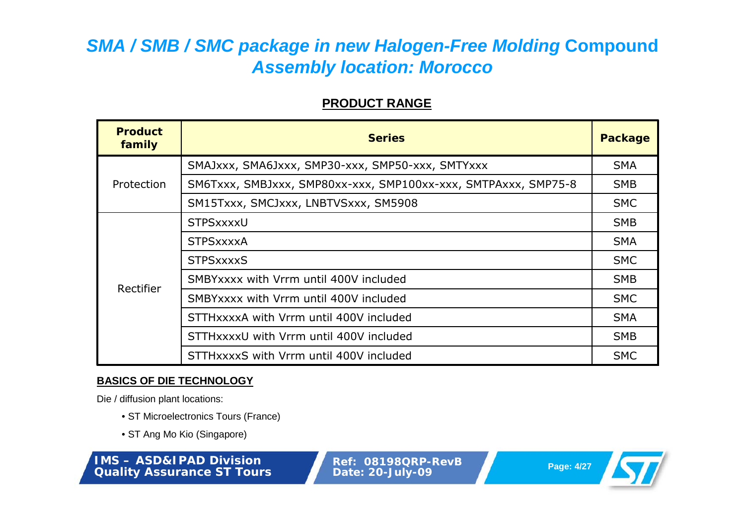#### **PRODUCT RANGE**

| <b>Product</b><br>family | <b>Series</b>                                                  |            |  |  |  |
|--------------------------|----------------------------------------------------------------|------------|--|--|--|
| Protection               | SMAJxxx, SMA6Jxxx, SMP30-xxx, SMP50-xxx, SMTYxxx               |            |  |  |  |
|                          | SM6Txxx, SMBJxxx, SMP80xx-xxx, SMP100xx-xxx, SMTPAxxx, SMP75-8 |            |  |  |  |
|                          | SM15Txxx, SMCJxxx, LNBTVSxxx, SM5908                           | <b>SMC</b> |  |  |  |
| Rectifier                | STPSxxxxU                                                      |            |  |  |  |
|                          | <b>STPSxxxxA</b>                                               |            |  |  |  |
|                          | <b>STPSxxxxS</b>                                               |            |  |  |  |
|                          | SMBYXXXX with Vrrm until 400V included                         | <b>SMB</b> |  |  |  |
|                          | SMBY xxxx with Vrrm until 400V included                        | <b>SMC</b> |  |  |  |
|                          | STTHXXXXA with Vrrm until 400V included                        |            |  |  |  |
|                          | STTHxxxxU with Vrrm until 400V included                        | <b>SMB</b> |  |  |  |
|                          | STTHXXXXS with Vrrm until 400V included                        | <b>SMC</b> |  |  |  |

#### **BASICS OF DIE TECHNOLOGY**

Die / diffusion plant locations:

- ST Microelectronics Tours (France)
- ST Ang Mo Kio (Singapore)

**IMS – ASD&IPAD DivisionQuality Assurance ST Tours**

**Ref: 08198QRP-RevB Page: 4/27 Date: 20-July-09**

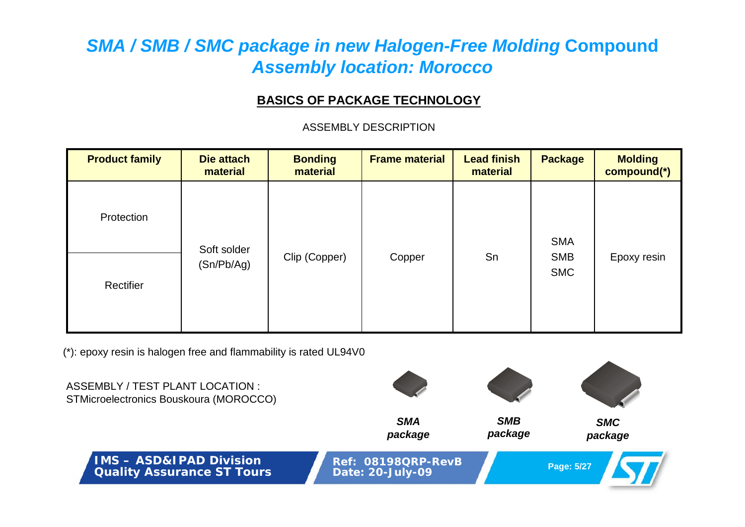#### **BASICS OF PACKAGE TECHNOLOGY**

ASSEMBLY DESCRIPTION

| <b>Product family</b> | Die attach<br>material    | <b>Bonding</b><br>material | <b>Frame material</b> | <b>Lead finish</b><br>material | <b>Package</b>                         | <b>Molding</b><br>compound(*) |
|-----------------------|---------------------------|----------------------------|-----------------------|--------------------------------|----------------------------------------|-------------------------------|
| Protection            | Soft solder<br>(Sn/Pb/Ag) | Clip (Copper)              | Copper                | Sn                             | <b>SMA</b><br><b>SMB</b><br><b>SMC</b> | Epoxy resin                   |
| Rectifier             |                           |                            |                       |                                |                                        |                               |

(\*): epoxy resin is halogen free and flammability is rated UL94V0

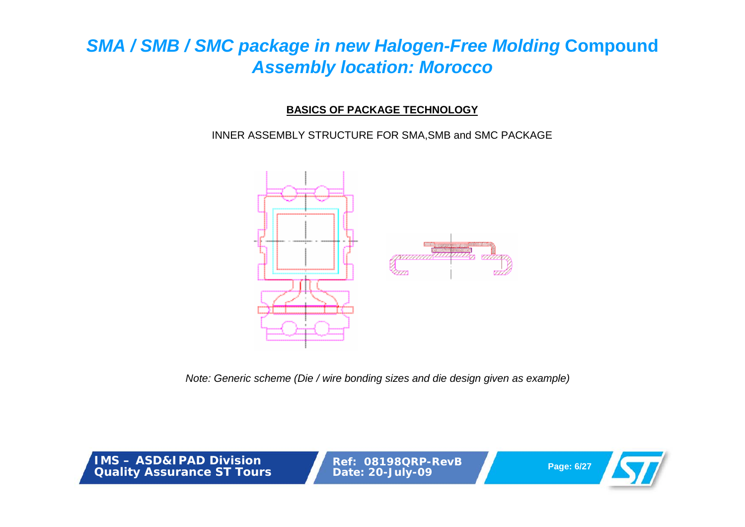### **BASICS OF PACKAGE TECHNOLOGY**

INNER ASSEMBLY STRUCTURE FOR SMA,SMB and SMC PACKAGE



*Note: Generic scheme (Die / wire bonding sizes and die design given as example)*

**IMS – ASD&IPAD DivisionQuality Assurance ST Tours**

**Ref: 08198QRP-RevB Page: 6/27 Date: 20-July-09**

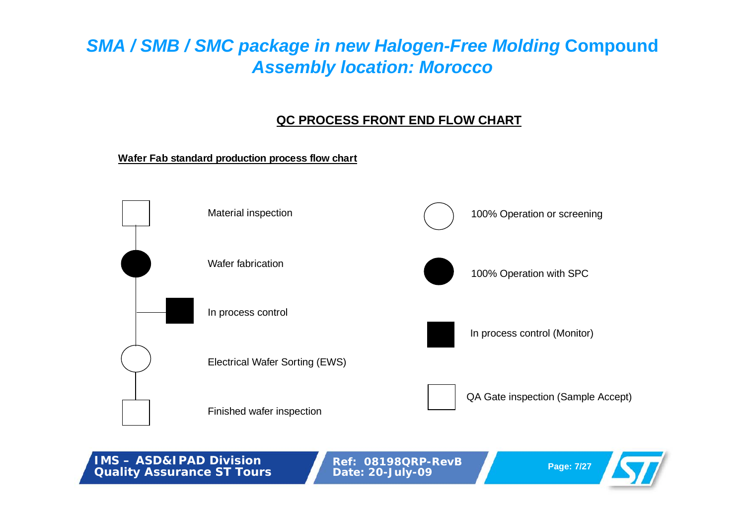### **QC PROCESS FRONT END FLOW CHART**

**Wafer Fab standard production process flow chart**



**IMS – ASD&IPAD DivisionQuality Assurance ST Tours**

**Ref: 08198QRP-RevB Page: 7/27 Date: 20-July-09**

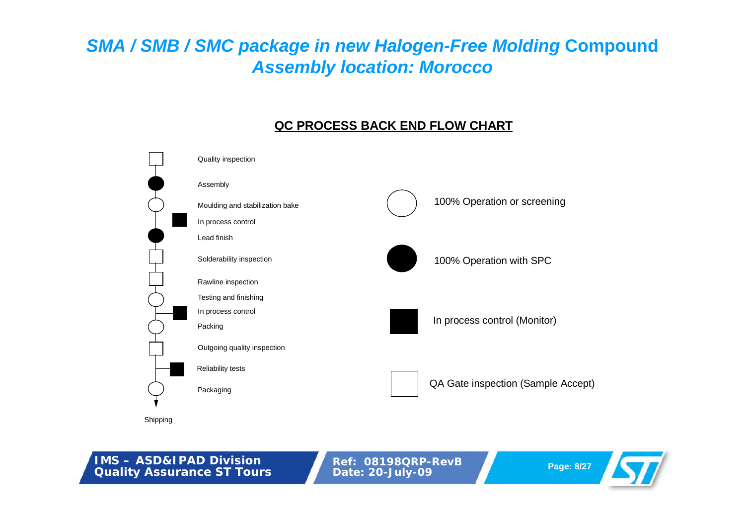### **QC PROCESS BACK END FLOW CHART**



**IMS – ASD&IPAD DivisionQuality Assurance ST Tours**

**Ref: 08198QRP-RevB Page: 8/27 Date: 20-July-09**

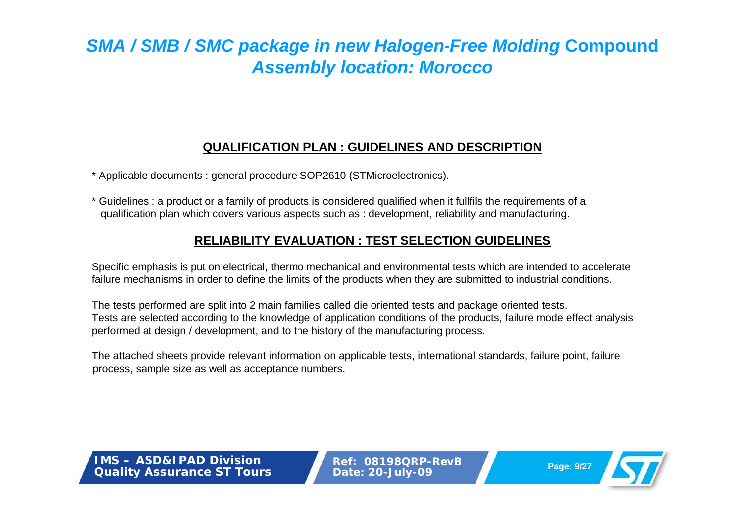### **QUALIFICATION PLAN : GUIDELINES AND DESCRIPTION**

\* Applicable documents : general procedure SOP2610 (STMicroelectronics).

\* Guidelines : a product or a family of products is considered qualified when it fullfils the requirements of a qualification plan which covers various aspects such as : development, reliability and manufacturing.

### **RELIABILITY EVALUATION : TEST SELECTION GUIDELINES**

Specific emphasis is put on electrical, thermo mechanical and environmental tests which are intended to accelerate failure mechanisms in order to define the limits of the products when they are submitted to industrial conditions.

The tests performed are split into 2 main families called die oriented tests and package oriented tests. Tests are selected according to the knowledge of application conditions of the products, failure mode effect analysis performed at design / development, and to the history of the manufacturing process.

The attached sheets provide relevant information on applicable tests, international standards, failure point, failure process, sample size as well as acceptance numbers.

**IMS – ASD&IPAD DivisionQuality Assurance ST Tours**

**Ref: 08198QRP-RevBPage: 9/27 Date: 20-July-09**

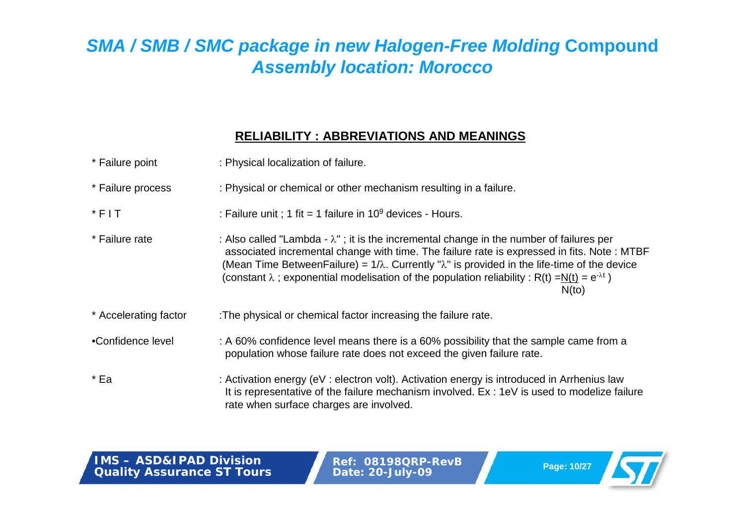### **RELIABILITY : ABBREVIATIONS AND MEANINGS**

| * Failure point       | : Physical localization of failure.                                                                                                                                                                                                                                                                                                                                                                                                       |
|-----------------------|-------------------------------------------------------------------------------------------------------------------------------------------------------------------------------------------------------------------------------------------------------------------------------------------------------------------------------------------------------------------------------------------------------------------------------------------|
| * Failure process     | : Physical or chemical or other mechanism resulting in a failure.                                                                                                                                                                                                                                                                                                                                                                         |
| $*$ FIT               | : Failure unit ; 1 fit = 1 failure in $10^9$ devices - Hours.                                                                                                                                                                                                                                                                                                                                                                             |
| * Failure rate        | : Also called "Lambda - $\lambda$ "; it is the incremental change in the number of failures per<br>associated incremental change with time. The failure rate is expressed in fits. Note: MTBF<br>(Mean Time Between Failure) = $1/\lambda$ . Currently " $\lambda$ " is provided in the life-time of the device<br>(constant $\lambda$ ; exponential modelisation of the population reliability: R(t) =N(t) = $e^{-\lambda t}$ )<br>N(to) |
| * Accelerating factor | : The physical or chemical factor increasing the failure rate.                                                                                                                                                                                                                                                                                                                                                                            |
| •Confidence level     | : A 60% confidence level means there is a 60% possibility that the sample came from a<br>population whose failure rate does not exceed the given failure rate.                                                                                                                                                                                                                                                                            |
| * Ea                  | : Activation energy (eV : electron volt). Activation energy is introduced in Arrhenius law<br>It is representative of the failure mechanism involved. Ex: 1eV is used to modelize failure<br>rate when surface charges are involved.                                                                                                                                                                                                      |

**IMS – ASD&IPAD DivisionQuality Assurance ST Tours**

**Ref: 08198QRP-RevB Page: 10/27 Date: 20-July-09**

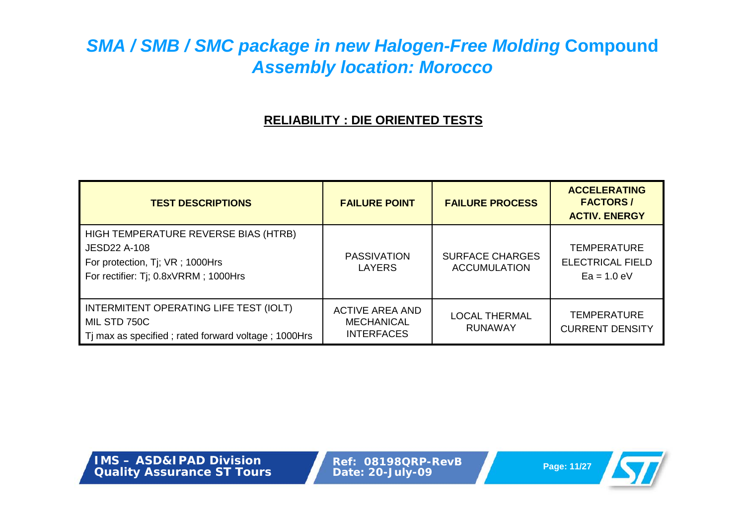### **RELIABILITY : DIE ORIENTED TESTS**

| <b>TEST DESCRIPTIONS</b>                                                                                                               | <b>FAILURE POINT</b>                                             | <b>FAILURE PROCESS</b>                        | <b>ACCELERATING</b><br><b>FACTORS/</b><br><b>ACTIV. ENERGY</b> |
|----------------------------------------------------------------------------------------------------------------------------------------|------------------------------------------------------------------|-----------------------------------------------|----------------------------------------------------------------|
| HIGH TEMPERATURE REVERSE BIAS (HTRB)<br><b>JESD22 A-108</b><br>For protection, Tj; VR; 1000Hrs<br>For rectifier: Tj; 0.8xVRRM; 1000Hrs | <b>PASSIVATION</b><br>LAYERS                                     | <b>SURFACE CHARGES</b><br><b>ACCUMULATION</b> | <b>TEMPERATURE</b><br><b>ELECTRICAL FIELD</b><br>$Ea = 1.0 eV$ |
| INTERMITENT OPERATING LIFE TEST (IOLT)<br>MIL STD 750C<br>Tj max as specified; rated forward voltage; 1000Hrs                          | <b>ACTIVE AREA AND</b><br><b>MECHANICAL</b><br><b>INTERFACES</b> | <b>LOCAL THERMAL</b><br>RUNAWAY               | <b>TEMPERATURE</b><br><b>CURRENT DENSITY</b>                   |

**IMS – ASD&IPAD DivisionQuality Assurance ST Tours**

**Ref: 08198QRP-RevB Page: 11/27 Date: 20-July-09**

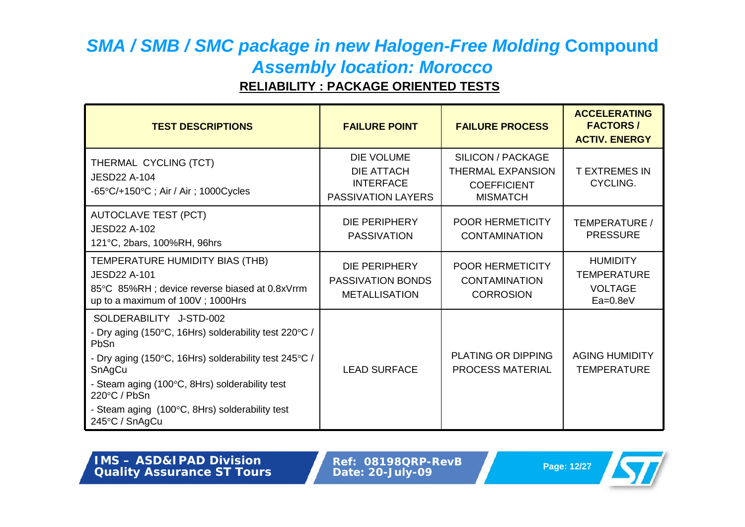### **RELIABILITY : PACKAGE ORIENTED TESTS**

| <b>TEST DESCRIPTIONS</b>                                                                                                                                                                                                                                                                          | <b>FAILURE POINT</b>                                                             | <b>FAILURE PROCESS</b>                                                                        | <b>ACCELERATING</b><br><b>FACTORS/</b><br><b>ACTIV. ENERGY</b>        |
|---------------------------------------------------------------------------------------------------------------------------------------------------------------------------------------------------------------------------------------------------------------------------------------------------|----------------------------------------------------------------------------------|-----------------------------------------------------------------------------------------------|-----------------------------------------------------------------------|
| THERMAL CYCLING (TCT)<br><b>JESD22 A-104</b><br>$-65^{\circ}$ C/+150 $^{\circ}$ C; Air / Air; 1000Cycles                                                                                                                                                                                          | <b>DIE VOLUME</b><br><b>DIE ATTACH</b><br><b>INTERFACE</b><br>PASSIVATION LAYERS | <b>SILICON / PACKAGE</b><br><b>THERMAL EXPANSION</b><br><b>COEFFICIENT</b><br><b>MISMATCH</b> | <b>T EXTREMES IN</b><br>CYCLING.                                      |
| <b>AUTOCLAVE TEST (PCT)</b><br><b>JESD22 A-102</b><br>121°C, 2bars, 100%RH, 96hrs                                                                                                                                                                                                                 | DIE PERIPHERY<br><b>PASSIVATION</b>                                              | POOR HERMETICITY<br><b>CONTAMINATION</b>                                                      | TEMPERATURE /<br><b>PRESSURE</b>                                      |
| TEMPERATURE HUMIDITY BIAS (THB)<br><b>JESD22 A-101</b><br>85°C 85%RH; device reverse biased at 0.8xVrrm<br>up to a maximum of 100V; 1000Hrs                                                                                                                                                       | DIE PERIPHERY<br><b>PASSIVATION BONDS</b><br><b>METALLISATION</b>                | <b>POOR HERMETICITY</b><br><b>CONTAMINATION</b><br><b>CORROSION</b>                           | <b>HUMIDITY</b><br><b>TEMPERATURE</b><br><b>VOLTAGE</b><br>$Ea=0.8eV$ |
| SOLDERABILITY J-STD-002<br>- Dry aging (150°C, 16Hrs) solderability test 220°C /<br>PbSn<br>- Dry aging (150°C, 16Hrs) solderability test 245°C /<br>SnAgCu<br>- Steam aging (100°C, 8Hrs) solderability test<br>220°C / PbSn<br>- Steam aging (100°C, 8Hrs) solderability test<br>245°C / SnAgCu | <b>LEAD SURFACE</b>                                                              | <b>PLATING OR DIPPING</b><br><b>PROCESS MATERIAL</b>                                          | <b>AGING HUMIDITY</b><br><b>TEMPERATURE</b>                           |

| <b>IMS – ASD&amp;IPAD Division</b> |
|------------------------------------|
| <b>Quality Assurance ST Tours</b>  |

**Ref: 08198QRP-RevB Page: 12/27 Date: 20-July-09**

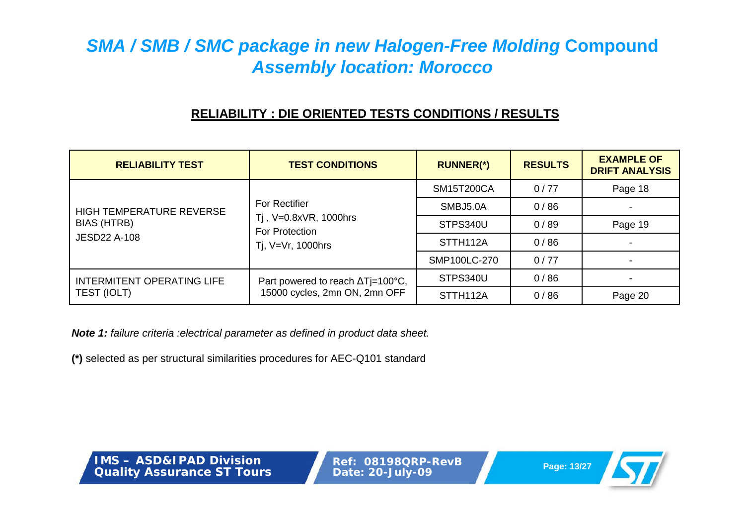### **RELIABILITY : DIE ORIENTED TESTS CONDITIONS / RESULTS**

| <b>RELIABILITY TEST</b>            | <b>TEST CONDITIONS</b>                                       | <b>RUNNER(*)</b>  | <b>RESULTS</b> | <b>EXAMPLE OF</b><br><b>DRIFT ANALYSIS</b> |
|------------------------------------|--------------------------------------------------------------|-------------------|----------------|--------------------------------------------|
|                                    |                                                              | <b>SM15T200CA</b> | 0/77           | Page 18                                    |
| HIGH TEMPERATURE REVERSE           | <b>For Rectifier</b>                                         | SMBJ5.0A          | 0/86           |                                            |
| BIAS (HTRB)<br><b>JESD22 A-108</b> | Tj, V=0.8xVR, 1000hrs<br>For Protection<br>Tj, V=Vr, 1000hrs | STPS340U          | 0/89           | Page 19                                    |
|                                    |                                                              | STTH112A          | 0/86           |                                            |
|                                    |                                                              | SMP100LC-270      | 0/77           |                                            |
| <b>INTERMITENT OPERATING LIFE</b>  | Part powered to reach ∆Tj=100°C,                             | STPS340U          | 0/86           |                                            |
| TEST (IOLT)                        | 15000 cycles, 2mn ON, 2mn OFF                                | STTH112A          | 0/86           | Page 20                                    |

*Note 1: failure criteria :electrical parameter as defined in product data sheet.*

**(\*)** selected as per structural similarities procedures for AEC-Q101 standard

**IMS – ASD&IPAD DivisionQuality Assurance ST Tours**

**Ref: 08198QRP-RevB Page: 13/27 Date: 20-July-09**

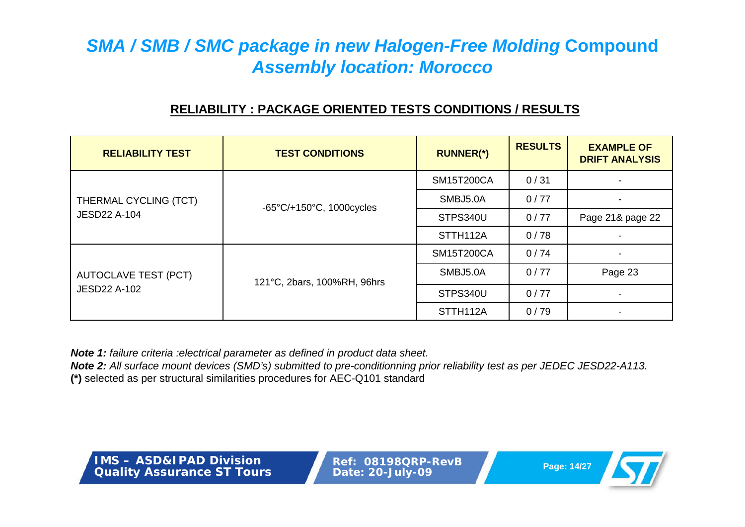### **RELIABILITY : PACKAGE ORIENTED TESTS CONDITIONS / RESULTS**

| <b>RELIABILITY TEST</b>                            | <b>TEST CONDITIONS</b>                        | <b>RUNNER(*)</b>  | <b>RESULTS</b> | <b>EXAMPLE OF</b><br><b>DRIFT ANALYSIS</b> |
|----------------------------------------------------|-----------------------------------------------|-------------------|----------------|--------------------------------------------|
|                                                    |                                               | <b>SM15T200CA</b> | 0/31           | ۰                                          |
| THERMAL CYCLING (TCT)                              | $-65^{\circ}$ C/+150 $^{\circ}$ C, 1000cycles | SMBJ5.0A          | 0/77           | $\overline{\phantom{a}}$                   |
| <b>JESD22 A-104</b>                                |                                               | STPS340U          | 0/77           | Page 21& page 22                           |
|                                                    |                                               | STTH112A          | 0/78           | -                                          |
| <b>AUTOCLAVE TEST (PCT)</b><br><b>JESD22 A-102</b> | 121°C, 2bars, 100%RH, 96hrs                   | <b>SM15T200CA</b> | 0/74           | $\overline{\phantom{a}}$                   |
|                                                    |                                               | SMBJ5.0A          | 0/77           | Page 23                                    |
|                                                    |                                               | STPS340U          | 0/77           | $\blacksquare$                             |
|                                                    |                                               | STTH112A          | 0/79           |                                            |

*Note 1: failure criteria :electrical parameter as defined in product data sheet.*

*Note 2: All surface mount devices (SMD's) submitted to pre-conditionning prior reliability test as per JEDEC JESD22-A113.*

**(\*)** selected as per structural similarities procedures for AEC-Q101 standard

**IMS – ASD&IPAD DivisionQuality Assurance ST Tours**

**Ref: 08198QRP-RevBPage: 14/27 Date: 20-July-09**

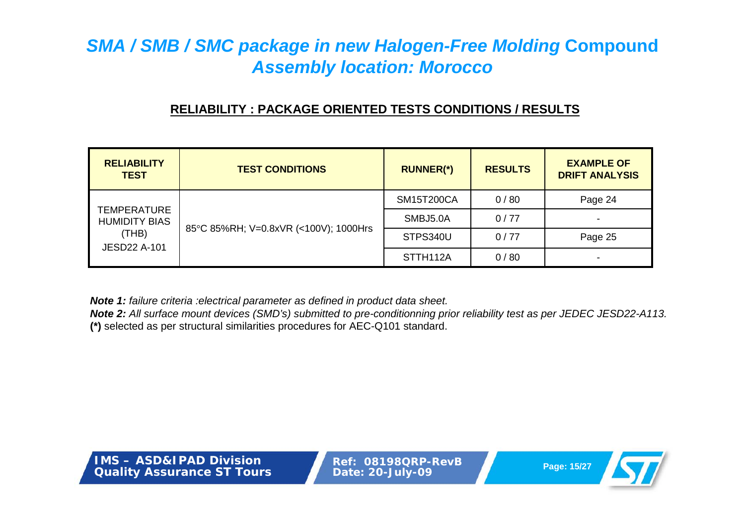### **RELIABILITY : PACKAGE ORIENTED TESTS CONDITIONS / RESULTS**

| <b>RELIABILITY</b><br><b>TEST</b>                                                                                   | <b>TEST CONDITIONS</b> | <b>RUNNER(*)</b>      | <b>RESULTS</b> | <b>EXAMPLE OF</b><br><b>DRIFT ANALYSIS</b> |
|---------------------------------------------------------------------------------------------------------------------|------------------------|-----------------------|----------------|--------------------------------------------|
| <b>TEMPERATURE</b><br><b>HUMIDITY BIAS</b><br>85°C 85%RH; V=0.8xVR (<100V); 1000Hrs<br>(THB)<br><b>JESD22 A-101</b> | <b>SM15T200CA</b>      | 0/80                  | Page 24        |                                            |
|                                                                                                                     |                        | SMBJ5.0A              | 0/77           | $\overline{\phantom{0}}$                   |
|                                                                                                                     |                        | STPS340U              | 0/77           | Page 25                                    |
|                                                                                                                     |                        | STTH <sub>112</sub> A | 0/80           | $\overline{\phantom{0}}$                   |

*Note 1: failure criteria :electrical parameter as defined in product data sheet.*

*Note 2: All surface mount devices (SMD's) submitted to pre-conditionning prior reliability test as per JEDEC JESD22-A113.* **(\*)** selected as per structural similarities procedures for AEC-Q101 standard.

**IMS – ASD&IPAD DivisionQuality Assurance ST Tours**

**Ref: 08198QRP-RevBPage: 15/27 Date: 20-July-09**

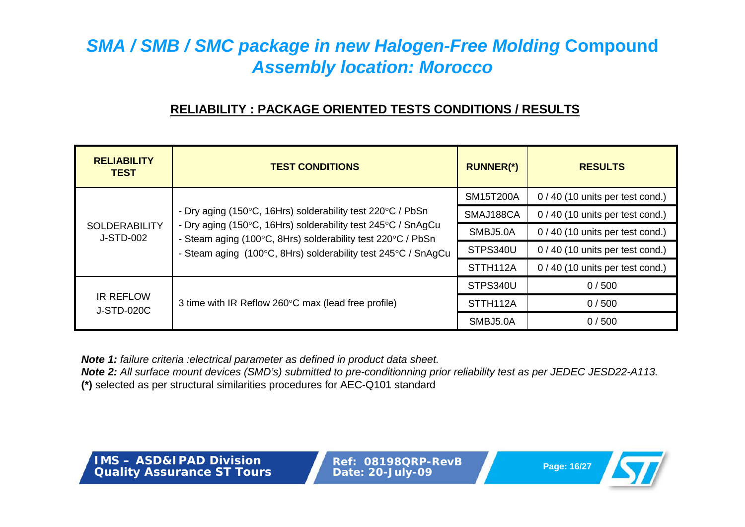### **RELIABILITY : PACKAGE ORIENTED TESTS CONDITIONS / RESULTS**

| <b>RELIABILITY</b><br><b>TEST</b>     | <b>TEST CONDITIONS</b>                                                                                                                                                                                                                                     | <b>RUNNER(*)</b> | <b>RESULTS</b>                   |
|---------------------------------------|------------------------------------------------------------------------------------------------------------------------------------------------------------------------------------------------------------------------------------------------------------|------------------|----------------------------------|
|                                       |                                                                                                                                                                                                                                                            | <b>SM15T200A</b> | $0/40$ (10 units per test cond.) |
|                                       | - Dry aging (150°C, 16Hrs) solderability test 220°C / PbSn<br>- Dry aging (150°C, 16Hrs) solderability test 245°C / SnAgCu<br>- Steam aging (100°C, 8Hrs) solderability test 220°C / PbSn<br>- Steam aging (100°C, 8Hrs) solderability test 245°C / SnAgCu | SMAJ188CA        | $0/40$ (10 units per test cond.) |
| <b>SOLDERABILITY</b><br>J-STD-002     |                                                                                                                                                                                                                                                            | SMBJ5.0A         | 0 / 40 (10 units per test cond.) |
|                                       |                                                                                                                                                                                                                                                            | STPS340U         | $0/40$ (10 units per test cond.) |
|                                       |                                                                                                                                                                                                                                                            | STTH112A         | $0/40$ (10 units per test cond.) |
| <b>IR REFLOW</b><br><b>J-STD-020C</b> | 3 time with IR Reflow 260°C max (lead free profile)                                                                                                                                                                                                        | STPS340U         | 0/500                            |
|                                       |                                                                                                                                                                                                                                                            | STTH112A         | 0/500                            |
|                                       |                                                                                                                                                                                                                                                            | SMBJ5.0A         | 0/500                            |

*Note 1: failure criteria :electrical parameter as defined in product data sheet.*

*Note 2: All surface mount devices (SMD's) submitted to pre-conditionning prior reliability test as per JEDEC JESD22-A113.* **(\*)** selected as per structural similarities procedures for AEC-Q101 standard

**IMS – ASD&IPAD DivisionQuality Assurance ST Tours**

**Ref: 08198QRP-RevBPage: 16/27 Date: 20-July-09**

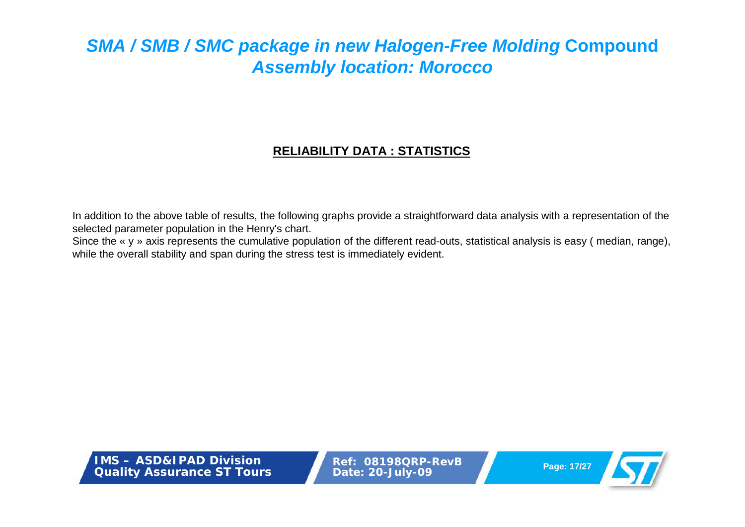### **RELIABILITY DATA : STATISTICS**

In addition to the above table of results, the following graphs provide a straightforward data analysis with <sup>a</sup> representation of the selected parameter population in the Henry's chart.

Since the « y » axis represents the cumulative population of the different read-outs, statistical analysis is easy (median, range), while the overall stability and span during the stress test is immediately evident.

**IMS – ASD&IPAD DivisionQuality Assurance ST Tours**

**Ref: 08198QRP-RevBPage: 17/27 Date: 20-July-09**

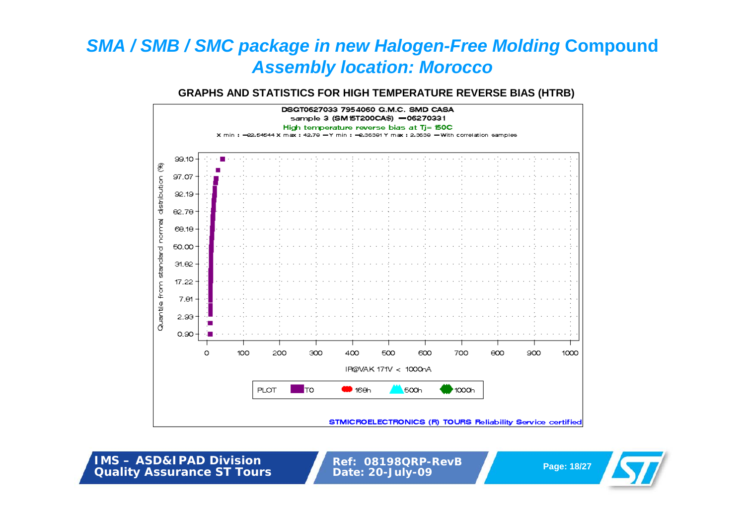#### **GRAPHS AND STATISTICS FOR HIGH TEMPERATURE REVERSE BIAS (HTRB)**



**IMS – ASD&IPAD DivisionQuality Assurance ST Tours**

**Ref: 08198QRP-RevB Page: 18/27 Date: 20-July-09**

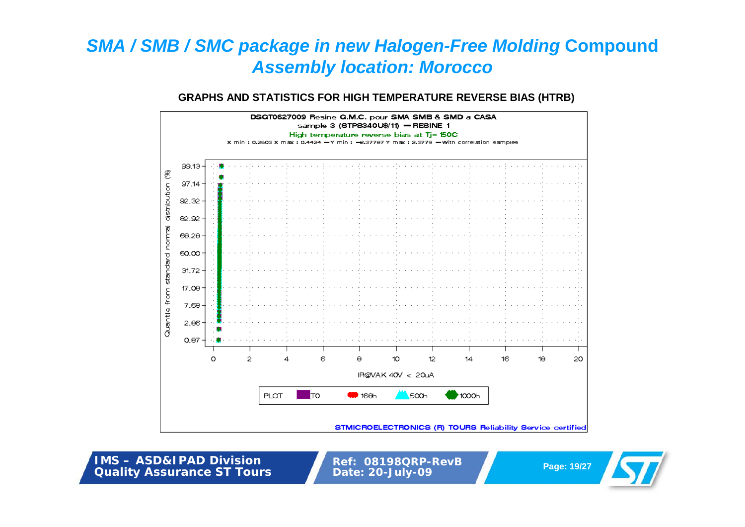#### **GRAPHS AND STATISTICS FOR HIGH TEMPERATURE REVERSE BIAS (HTRB)**



**IMS – ASD&IPAD DivisionQuality Assurance ST Tours**

**Ref: 08198QRP-RevB Page: 19/27 Date: 20-July-09**

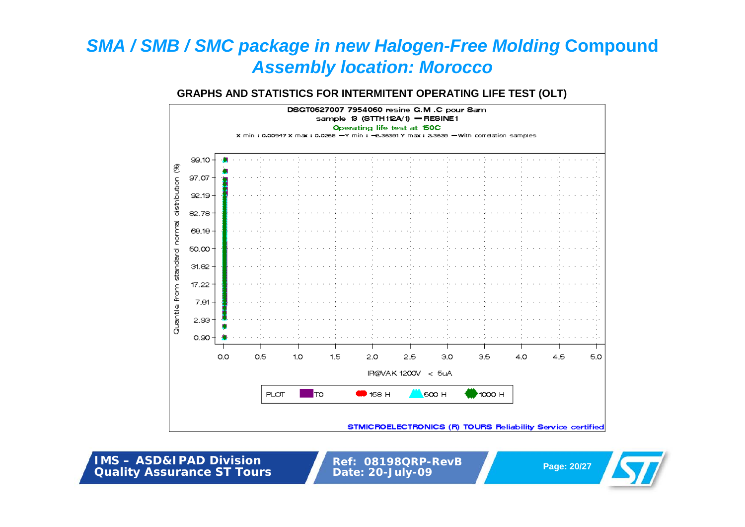#### **GRAPHS AND STATISTICS FOR INTERMITENT OPERATING LIFE TEST (OLT)**



**IMS – ASD&IPAD DivisionQuality Assurance ST Tours**

**Ref: 08198QRP-RevB Page: 20/27 Date: 20-July-09**

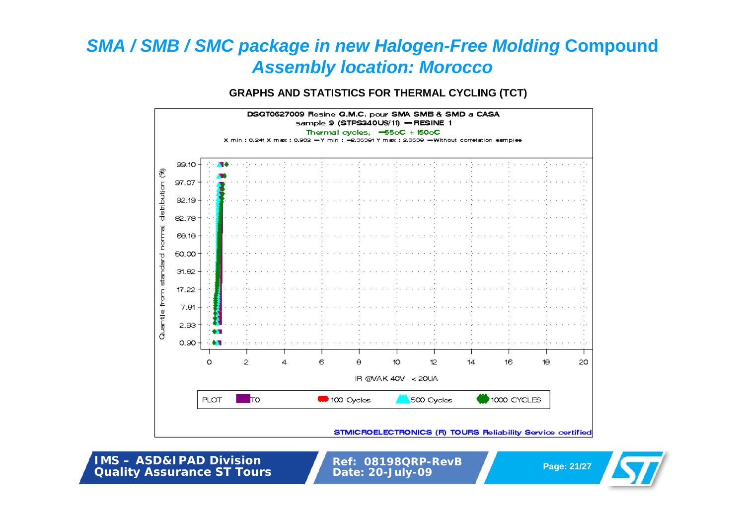**GRAPHS AND STATISTICS FOR THERMAL CYCLING (TCT)**



**IMS – ASD&IPAD DivisionQuality Assurance ST Tours**

**Ref: 08198QRP-RevB Page: 21/27 Date: 20-July-09**

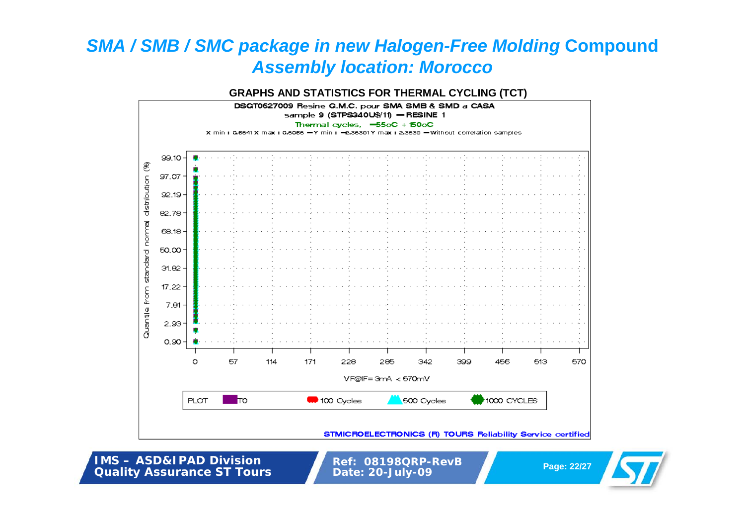#### **GRAPHS AND STATISTICS FOR THERMAL CYCLING (TCT)**



**IMS – ASD&IPAD DivisionQuality Assurance ST Tours**

**Ref: 08198QRP-RevB Page: 22/27 Date: 20-July-09**

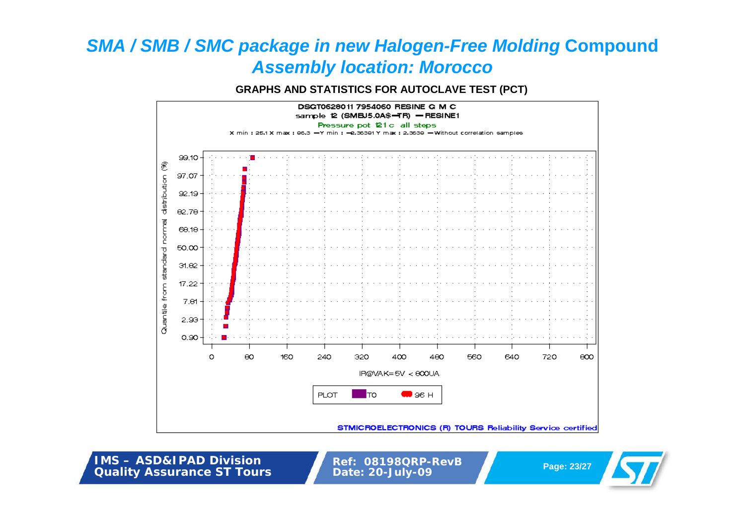**GRAPHS AND STATISTICS FOR AUTOCLAVE TEST (PCT)**



**IMS – ASD&IPAD DivisionQuality Assurance ST Tours**

**Ref: 08198QRP-RevB Page: 23/27 Date: 20-July-09**

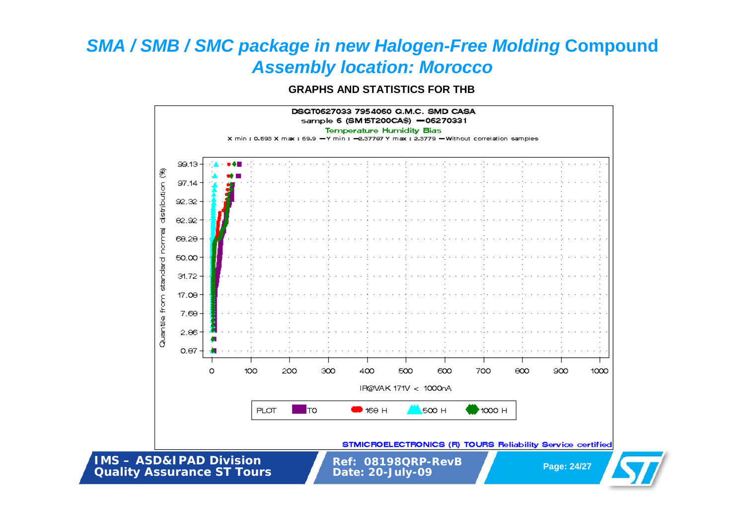**GRAPHS AND STATISTICS FOR THB**

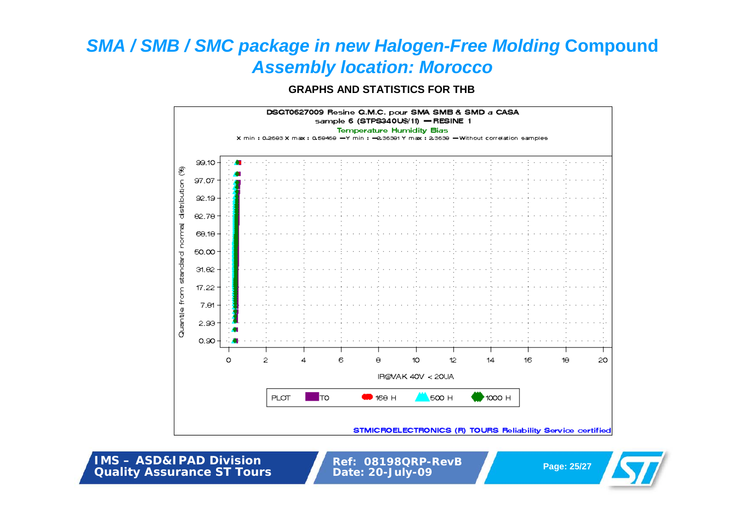**GRAPHS AND STATISTICS FOR THB**



**IMS – ASD&IPAD DivisionQuality Assurance ST Tours**

**Ref: 08198QRP-RevB Page: 25/27 Date: 20-July-09**

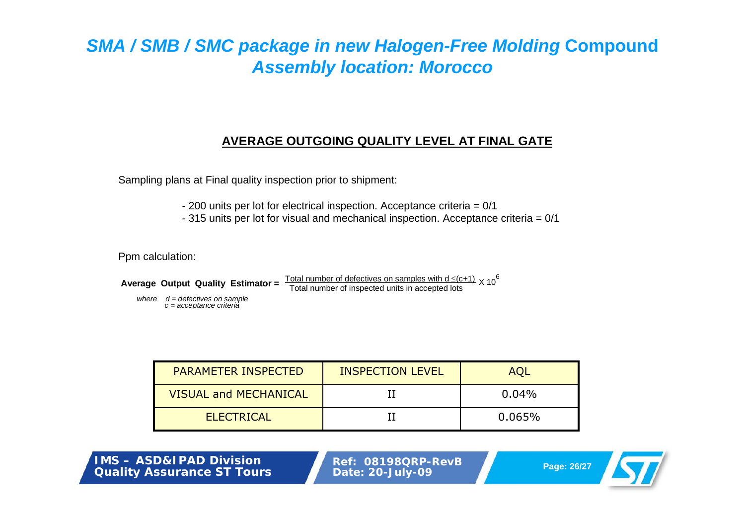### **AVERAGE OUTGOING QUALITY LEVEL AT FINAL GATE**

Sampling plans at Final quality inspection prior to shipment:

- 200 units per lot for electrical inspection. Acceptance criteria = 0/1
- 315 units per lot for visual and mechanical inspection. Acceptance criteria = 0/1

Ppm calculation:

```
Average Output Quality Estimator = \frac{\text{Total number of defectives on samples with d} \leq (c+1)}{\text{Total number of inspected units in accepted lots}} \times 10^6
```
*where d = defectives on sample c = acceptance criteria*

| <b>PARAMETER INSPECTED</b>   | <b>INSPECTION LEVEL</b> | AOL       |
|------------------------------|-------------------------|-----------|
| <b>VISUAL and MECHANICAL</b> |                         | $0.04\%$  |
| <b>ELECTRICAL</b>            |                         | $0.065\%$ |

**IMS – ASD&IPAD Division Quality Assurance ST Tours**

**Ref: 08198QRP-RevB Page: 26/27 Date: 20-July-09**

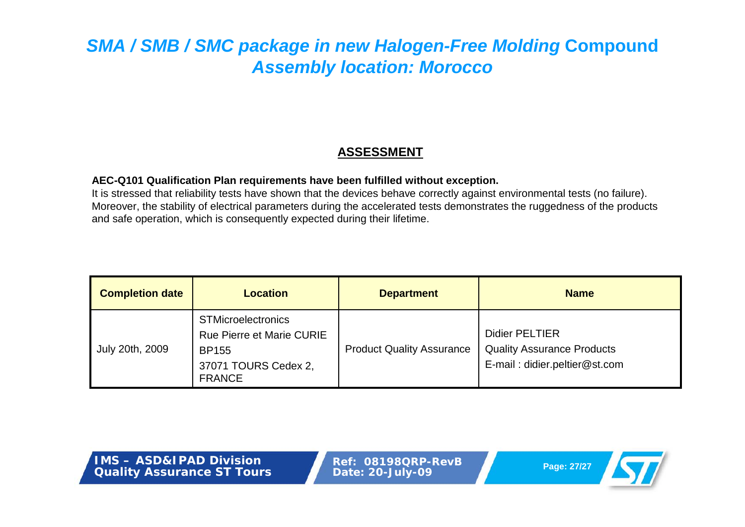### **ASSESSMENT**

#### **AEC-Q101 Qualification Plan requirements have been fulfilled without exception.**

It is stressed that reliability tests have shown that the devices behave correctly against environmental tests (no failure). Moreover, the stability of electrical parameters during the accelerated tests demonstrates the ruggedness of the products and safe operation, which is consequently expected during their lifetime.

| <b>Completion date</b> | <b>Location</b>                                                                                                 | <b>Department</b>                | <b>Name</b>                                                                                 |
|------------------------|-----------------------------------------------------------------------------------------------------------------|----------------------------------|---------------------------------------------------------------------------------------------|
| July 20th, 2009        | <b>STMicroelectronics</b><br>Rue Pierre et Marie CURIE<br><b>BP155</b><br>37071 TOURS Cedex 2,<br><b>FRANCE</b> | <b>Product Quality Assurance</b> | <b>Didier PELTIER</b><br><b>Quality Assurance Products</b><br>E-mail: didier.peltier@st.com |

**IMS – ASD&IPAD DivisionQuality Assurance ST Tours**

**Ref: 08198QRP-RevBPage: 27/27 Date: 20-July-09**

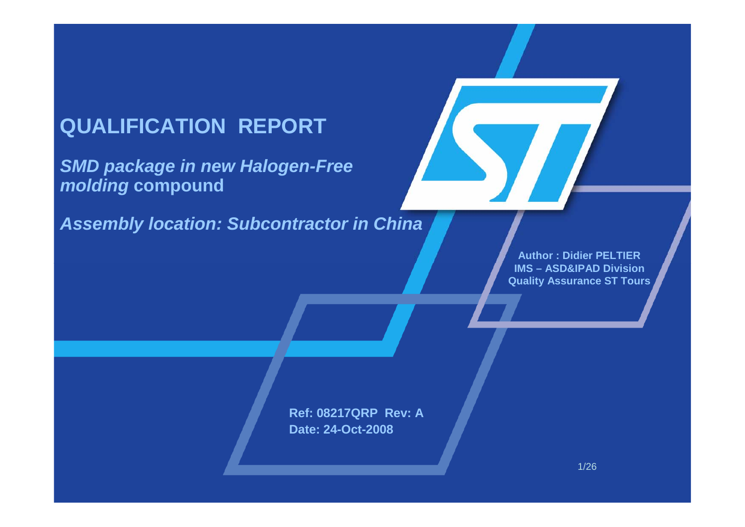# **QUALIFICATION REPORT**

*SMD package in new Halogen-Free molding* **compound**

*Assembly location: Subcontractor in China*

**Author : Didier PELTIER IMS – ASD&IPAD Division Quality Assurance ST Tours**

**Ref: 08217QRP Rev: ADate: 24-Oct-2008**

1/26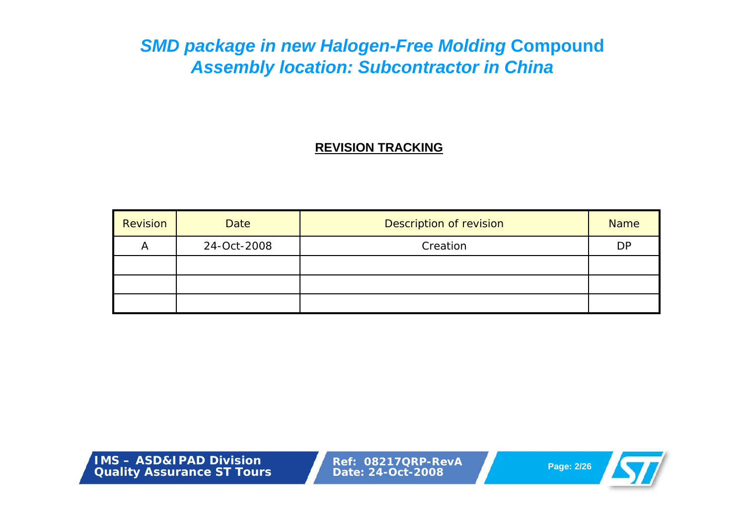### **REVISION TRACKING**

| Revision | <b>Date</b> | Description of revision | <b>Name</b> |
|----------|-------------|-------------------------|-------------|
| A        | 24-Oct-2008 | Creation                | <b>DP</b>   |
|          |             |                         |             |
|          |             |                         |             |
|          |             |                         |             |

**IMS – ASD&IPAD DivisionQuality Assurance ST Tours**

**Ref: 08217QRP-RevA Page: 2/26 Date: 24-Oct-2008**

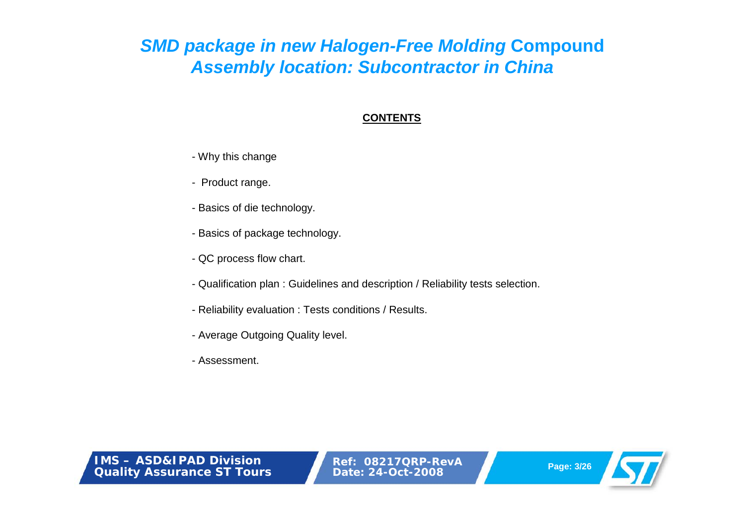### **CONTENTS**

- Why this change
- Product range.
- Basics of die technology.
- Basics of package technology.
- QC process flow chart.
- Qualification plan : Guidelines and description / Reliability tests selection.
- Reliability evaluation : Tests conditions / Results.
- Average Outgoing Quality level.
- Assessment.

**IMS – ASD&IPAD DivisionQuality Assurance ST Tours**

**Ref: 08217QRP-RevAPage: 3/26 Date: 24-Oct-2008**

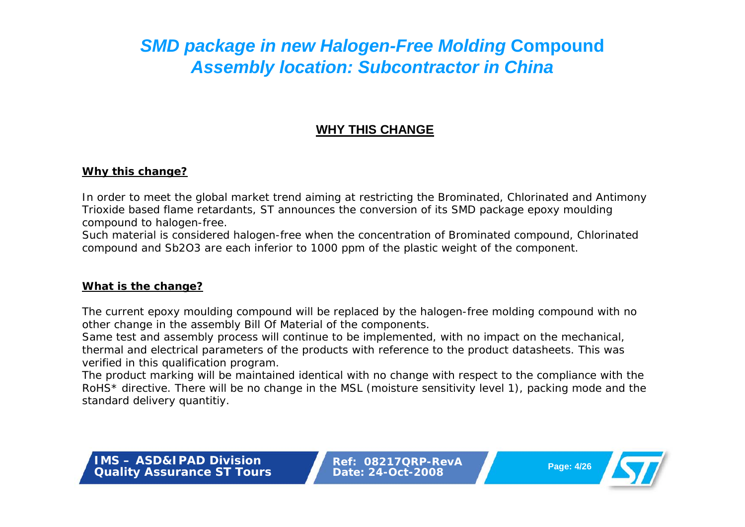### **WHY THIS CHANGE**

#### **Why this change?**

In order to meet the global market trend aiming at restricting the Brominated, Chlorinated and Antimony Trioxide based flame retardants, ST announces the conversion of its SMD package epoxy moulding compound to halogen-free.

Such material is considered halogen-free when the concentration of Brominated compound, Chlorinated compound and Sb2O3 are each inferior to 1000 ppm of the plastic weight of the component.

### **What is the change?**

The current epoxy moulding compound will be replaced by the halogen-free molding compound with no other change in the assembly Bill Of Material of the components.

Same test and assembly process will continue to be implemented, with no impact on the mechanical, thermal and electrical parameters of the products with reference to the product datasheets. This was verified in this qualification program.

The product marking will be maintained identical with no change with respect to the compliance with the RoHS\* directive. There will be no change in the MSL (moisture sensitivity level 1), packing mode and the standard delivery quantitiy.

**IMS – ASD&IPAD DivisionQuality Assurance ST Tours**

**Ref: 08217QRP-RevAPage: 4/26 Date: 24-Oct-2008**

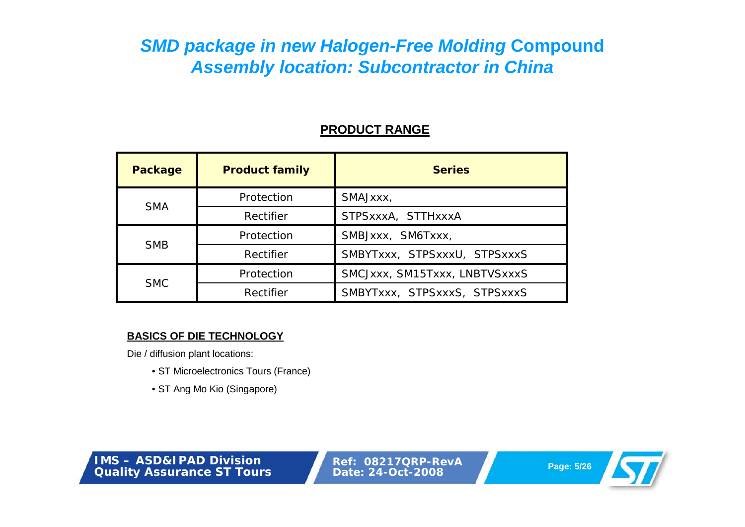### **PRODUCT RANGE**

| <b>Package</b> | <b>Product family</b> | <b>Series</b>                 |
|----------------|-----------------------|-------------------------------|
| <b>SMA</b>     | Protection            | SMAJxxx,                      |
|                | Rectifier             | STPSxxxA, STTHxxxA            |
|                | Protection            | SMBJxxx, SM6Txxx,             |
| <b>SMB</b>     | Rectifier             | SMBYTxxx, STPSxxxU, STPSxxxS  |
| <b>SMC</b>     | Protection            | SMCJxxx, SM15Txxx, LNBTVSxxxS |
|                | Rectifier             | SMBYTxxx, STPSxxxS, STPSxxxS  |

#### **BASICS OF DIE TECHNOLOGY**

Die / diffusion plant locations:

- ST Microelectronics Tours (France)
- ST Ang Mo Kio (Singapore)

**IMS – ASD&IPAD DivisionQuality Assurance ST Tours**

**Ref: 08217QRP-RevA Page: 5/26 Date: 24-Oct-2008**

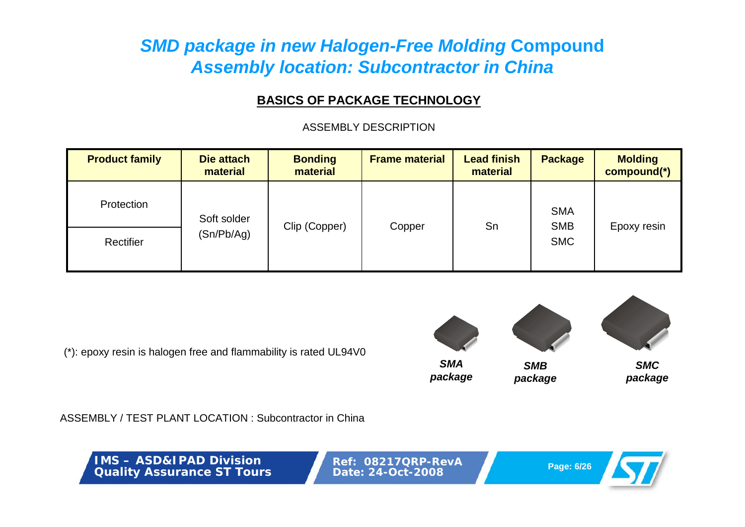### **BASICS OF PACKAGE TECHNOLOGY**

ASSEMBLY DESCRIPTION

| <b>Product family</b> | Die attach<br>material | <b>Bonding</b><br>material | <b>Frame material</b> | <b>Lead finish</b><br>material | <b>Package</b>           | <b>Molding</b><br>compound(*) |
|-----------------------|------------------------|----------------------------|-----------------------|--------------------------------|--------------------------|-------------------------------|
| Protection            | Soft solder            |                            |                       |                                | <b>SMA</b><br><b>SMB</b> |                               |
| Rectifier             | (Sn/Pb/Ag)             | Clip (Copper)              | Copper                | Sn                             | <b>SMC</b>               | Epoxy resin                   |

(\*): epoxy resin is halogen free and flammability is rated UL94V0



ASSEMBLY / TEST PLANT LOCATION : Subcontractor in China

**IMS – ASD&IPAD DivisionQuality Assurance ST Tours**

**Ref: 08217QRP-RevA Page: 6/26 Date: 24-Oct-2008**

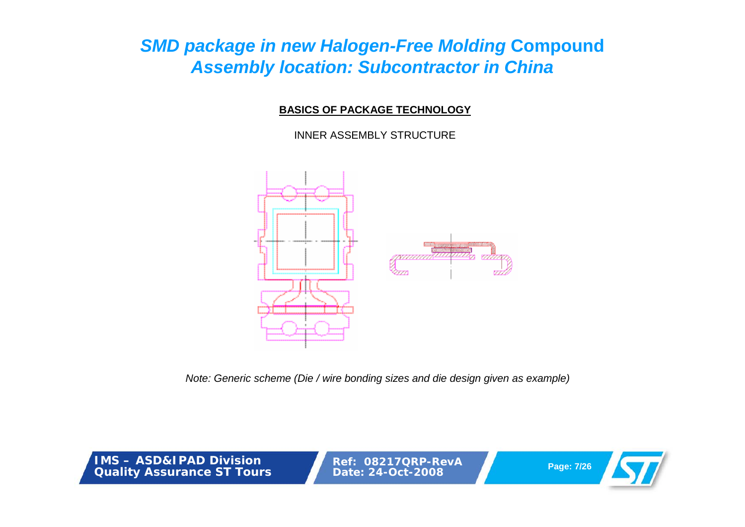### **BASICS OF PACKAGE TECHNOLOGY**

### INNER ASSEMBLY STRUCTURE



*Note: Generic scheme (Die / wire bonding sizes and die design given as example)*

**IMS – ASD&IPAD DivisionQuality Assurance ST Tours**

**Ref: 08217QRP-RevAPage: 7/26 Date: 24-Oct-2008**

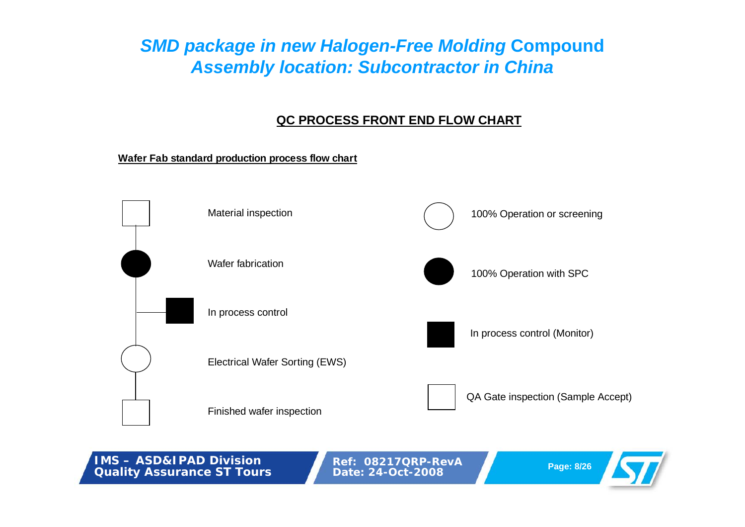### **QC PROCESS FRONT END FLOW CHART**

#### **Wafer Fab standard production process flow chart**



**IMS – ASD&IPAD Division Quality Assurance ST Tours**

**Ref: 08217QRP-RevAPage: 8/26 Date: 24-Oct-2008**

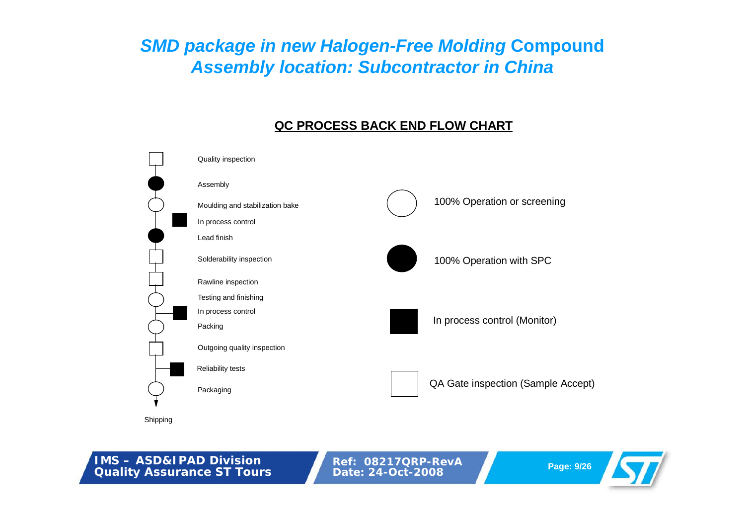### **QC PROCESS BACK END FLOW CHART**



**IMS – ASD&IPAD Division**

**Quality Assurance ST Tours**

**Ref: 08217QRP-RevA Page: 9/26 Date: 24-Oct-2008**

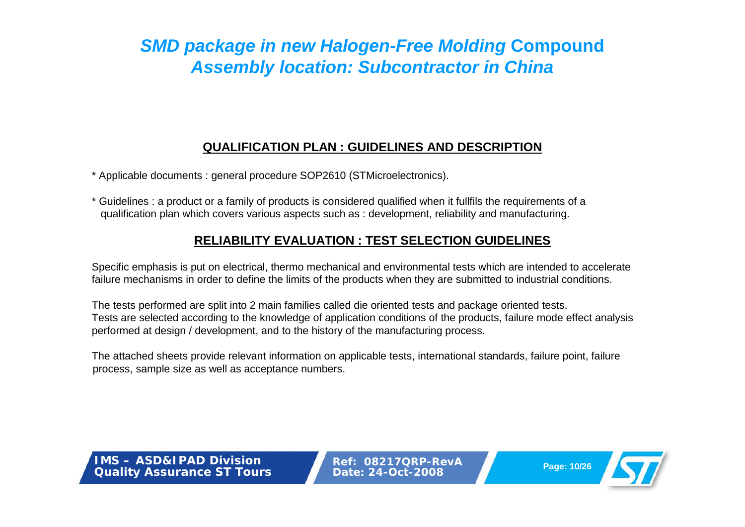### **QUALIFICATION PLAN : GUIDELINES AND DESCRIPTION**

\* Applicable documents : general procedure SOP2610 (STMicroelectronics).

\* Guidelines : a product or a family of products is considered qualified when it fullfils the requirements of a qualification plan which covers various aspects such as : development, reliability and manufacturing.

### **RELIABILITY EVALUATION : TEST SELECTION GUIDELINES**

Specific emphasis is put on electrical, thermo mechanical and environmental tests which are intended to accelerate failure mechanisms in order to define the limits of the products when they are submitted to industrial conditions.

The tests performed are split into 2 main families called die oriented tests and package oriented tests. Tests are selected according to the knowledge of application conditions of the products, failure mode effect analysis performed at design / development, and to the history of the manufacturing process.

The attached sheets provide relevant information on applicable tests, international standards, failure point, failure process, sample size as well as acceptance numbers.

**IMS – ASD&IPAD DivisionQuality Assurance ST Tours**

**Ref: 08217QRP-RevAPage: 10/26 Date: 24-Oct-2008**

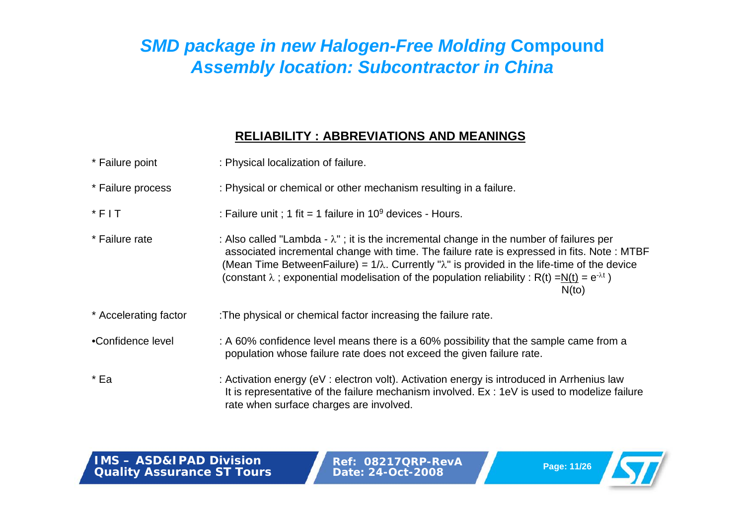### **RELIABILITY : ABBREVIATIONS AND MEANINGS**

| * Failure point       | : Physical localization of failure.                                                                                                                                                                                                                                                                                                                                                                                                       |
|-----------------------|-------------------------------------------------------------------------------------------------------------------------------------------------------------------------------------------------------------------------------------------------------------------------------------------------------------------------------------------------------------------------------------------------------------------------------------------|
| * Failure process     | : Physical or chemical or other mechanism resulting in a failure.                                                                                                                                                                                                                                                                                                                                                                         |
| $*$ FIT               | : Failure unit ; 1 fit = 1 failure in $10^9$ devices - Hours.                                                                                                                                                                                                                                                                                                                                                                             |
| * Failure rate        | : Also called "Lambda - $\lambda$ "; it is the incremental change in the number of failures per<br>associated incremental change with time. The failure rate is expressed in fits. Note: MTBF<br>(Mean Time Between Failure) = $1/\lambda$ . Currently " $\lambda$ " is provided in the life-time of the device<br>(constant $\lambda$ ; exponential modelisation of the population reliability: R(t) =N(t) = $e^{-\lambda t}$ )<br>N(to) |
| * Accelerating factor | : The physical or chemical factor increasing the failure rate.                                                                                                                                                                                                                                                                                                                                                                            |
| •Confidence level     | : A 60% confidence level means there is a 60% possibility that the sample came from a<br>population whose failure rate does not exceed the given failure rate.                                                                                                                                                                                                                                                                            |
| * Ea                  | : Activation energy (eV : electron volt). Activation energy is introduced in Arrhenius law<br>It is representative of the failure mechanism involved. Ex: 1eV is used to modelize failure<br>rate when surface charges are involved.                                                                                                                                                                                                      |

**IMS – ASD&IPAD DivisionQuality Assurance ST Tours**

**Ref: 08217QRP-RevA Page: 11/26 Date: 24-Oct-2008**

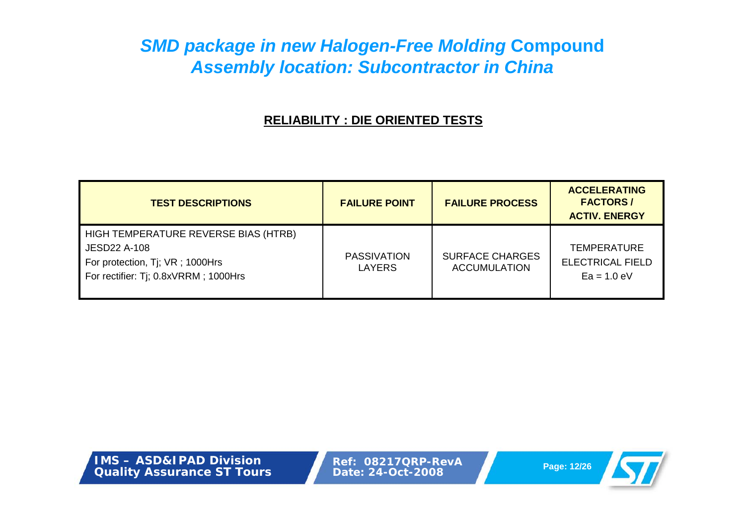### **RELIABILITY : DIE ORIENTED TESTS**

| <b>TEST DESCRIPTIONS</b>                                                                                                               | <b>FAILURE POINT</b>                | <b>FAILURE PROCESS</b>                        | <b>ACCELERATING</b><br><b>FACTORS/</b><br><b>ACTIV. ENERGY</b> |
|----------------------------------------------------------------------------------------------------------------------------------------|-------------------------------------|-----------------------------------------------|----------------------------------------------------------------|
| HIGH TEMPERATURE REVERSE BIAS (HTRB)<br><b>JESD22 A-108</b><br>For protection, Tj; VR; 1000Hrs<br>For rectifier: Tj; 0.8xVRRM; 1000Hrs | <b>PASSIVATION</b><br><b>LAYERS</b> | <b>SURFACE CHARGES</b><br><b>ACCUMULATION</b> | <b>TEMPERATURE</b><br><b>ELECTRICAL FIELD</b><br>$Ea = 1.0 eV$ |

**IMS – ASD&IPAD DivisionQuality Assurance ST Tours**

**Ref: 08217QRP-RevA Page: 12/26 Date: 24-Oct-2008**

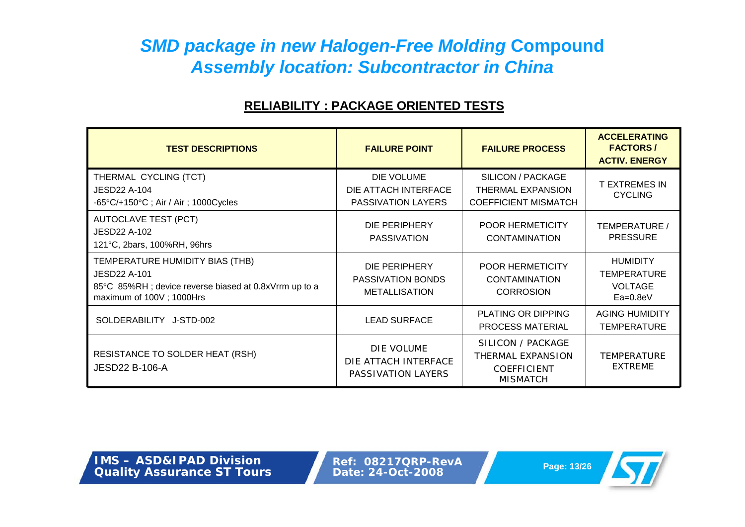### **RELIABILITY : PACKAGE ORIENTED TESTS**

| <b>TEST DESCRIPTIONS</b>                                                                                                                    | <b>FAILURE POINT</b>                                            | <b>FAILURE PROCESS</b>                                                          | <b>ACCELERATING</b><br><b>FACTORS/</b><br><b>ACTIV. ENERGY</b>        |
|---------------------------------------------------------------------------------------------------------------------------------------------|-----------------------------------------------------------------|---------------------------------------------------------------------------------|-----------------------------------------------------------------------|
| THERMAL CYCLING (TCT)<br>JESD22 A-104<br>$-65^{\circ}$ C/+150 $^{\circ}$ C; Air / Air; 1000Cycles                                           | DIE VOLUME<br>DIE ATTACH INTERFACE<br><b>PASSIVATION LAYERS</b> | SILICON / PACKAGE<br><b>THERMAL EXPANSION</b><br><b>COEFFICIENT MISMATCH</b>    | <b>T EXTREMES IN</b><br><b>CYCLING</b>                                |
| <b>AUTOCLAVE TEST (PCT)</b><br><b>JESD22 A-102</b><br>121°C, 2bars, 100%RH, 96hrs                                                           | DIE PERIPHERY<br><b>PASSIVATION</b>                             | <b>POOR HERMETICITY</b><br><b>CONTAMINATION</b>                                 | TEMPERATURE /<br><b>PRESSURE</b>                                      |
| TEMPERATURE HUMIDITY BIAS (THB)<br><b>JESD22 A-101</b><br>85°C 85%RH; device reverse biased at 0.8xVrrm up to a<br>maximum of 100V; 1000Hrs | DIE PERIPHERY<br>PASSIVATION BONDS<br><b>METALLISATION</b>      | <b>POOR HERMETICITY</b><br>CONTAMINATION<br><b>CORROSION</b>                    | <b>HUMIDITY</b><br><b>TEMPERATURE</b><br><b>VOLTAGE</b><br>$Ea=0.8eV$ |
| SOLDERABILITY J-STD-002                                                                                                                     | <b>LEAD SURFACE</b>                                             | <b>PLATING OR DIPPING</b><br><b>PROCESS MATERIAL</b>                            | <b>AGING HUMIDITY</b><br><b>TEMPERATURE</b>                           |
| RESISTANCE TO SOLDER HEAT (RSH)<br><b>JESD22 B-106-A</b>                                                                                    | DIE VOLUME<br>DIE ATTACH INTERFACE<br>PASSIVATION LAYERS        | SILICON / PACKAGE<br>THERMAL EXPANSION<br><b>COEFFICIENT</b><br><b>MISMATCH</b> | <b>TEMPERATURE</b><br><b>EXTREME</b>                                  |

**IMS – ASD&IPAD DivisionQuality Assurance ST Tours**

**Ref: 08217QRP-RevA Page: 13/26 Date: 24-Oct-2008**

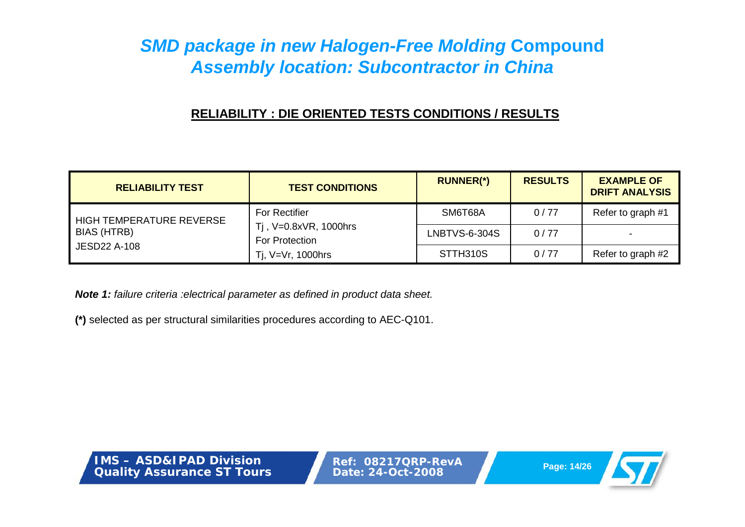### **RELIABILITY : DIE ORIENTED TESTS CONDITIONS / RESULTS**

| <b>RELIABILITY TEST</b>                                        | <b>TEST CONDITIONS</b>                                                                  | <b>RUNNER(*)</b>     | <b>RESULTS</b> | <b>EXAMPLE OF</b><br><b>DRIFT ANALYSIS</b> |
|----------------------------------------------------------------|-----------------------------------------------------------------------------------------|----------------------|----------------|--------------------------------------------|
| HIGH TEMPERATURE REVERSE<br>BIAS (HTRB)<br><b>JESD22 A-108</b> | <b>For Rectifier</b><br>Tj, V=0.8xVR, 1000hrs<br>For Protection<br>Ti, $V=Vr$ , 1000hrs | SM6T68A              | 0/77           | Refer to graph #1                          |
|                                                                |                                                                                         | <b>LNBTVS-6-304S</b> | 0/77           |                                            |
|                                                                |                                                                                         | STTH310S             | 0/77           | Refer to graph #2                          |

*Note 1: failure criteria :electrical parameter as defined in product data sheet.*

**(\*)** selected as per structural similarities procedures according to AEC-Q101.

**IMS – ASD&IPAD DivisionQuality Assurance ST Tours**

**Ref: 08217QRP-RevAPage: 14/26 Date: 24-Oct-2008**

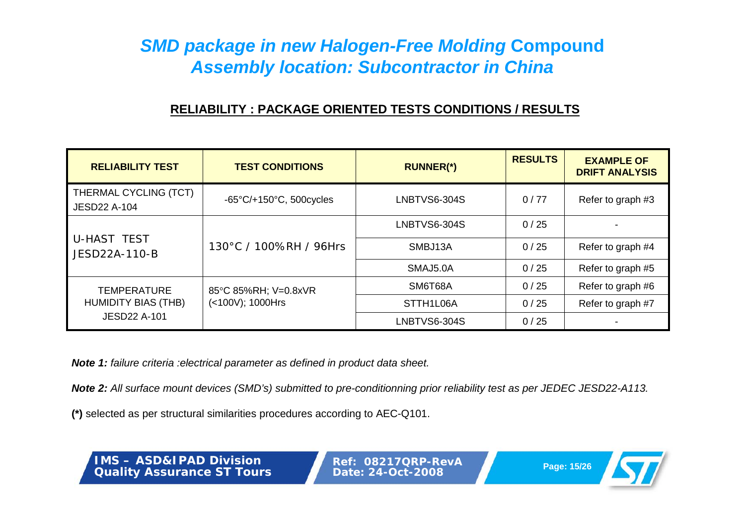# **RELIABILITY : PACKAGE ORIENTED TESTS CONDITIONS / RESULTS**

| <b>RELIABILITY TEST</b>                      | <b>TEST CONDITIONS</b>                       | <b>RUNNER(*)</b> | <b>RESULTS</b> | <b>EXAMPLE OF</b><br><b>DRIFT ANALYSIS</b> |
|----------------------------------------------|----------------------------------------------|------------------|----------------|--------------------------------------------|
| THERMAL CYCLING (TCT)<br><b>JESD22 A-104</b> | $-65^{\circ}$ C/+150 $^{\circ}$ C, 500cycles | LNBTVS6-304S     | 0/77           | Refer to graph #3                          |
| <b>U-HAST TEST</b><br>JESD22A-110-B          | 130°C / 100%RH / 96Hrs                       | LNBTVS6-304S     | 0/25           |                                            |
|                                              |                                              | SMBJ13A          | 0/25           | Refer to graph #4                          |
|                                              |                                              | SMAJ5.0A         | 0/25           | Refer to graph #5                          |
| <b>TEMPERATURE</b>                           | 85°C 85%RH; V=0.8xVR                         | SM6T68A          | 0/25           | Refer to graph #6                          |
| <b>HUMIDITY BIAS (THB)</b>                   | (<100V); 1000Hrs                             | STTH1L06A        | 0/25           | Refer to graph #7                          |
| <b>JESD22 A-101</b>                          |                                              | LNBTVS6-304S     | 0/25           |                                            |

*Note 1: failure criteria :electrical parameter as defined in product data sheet.*

*Note 2: All surface mount devices (SMD's) submitted to pre-conditionning prior reliability test as per JEDEC JESD22-A113.*

**(\*)** selected as per structural similarities procedures according to AEC-Q101.

**IMS – ASD&IPAD DivisionQuality Assurance ST Tours**

**Ref: 08217QRP-RevAPage: 15/26 Date: 24-Oct-2008**

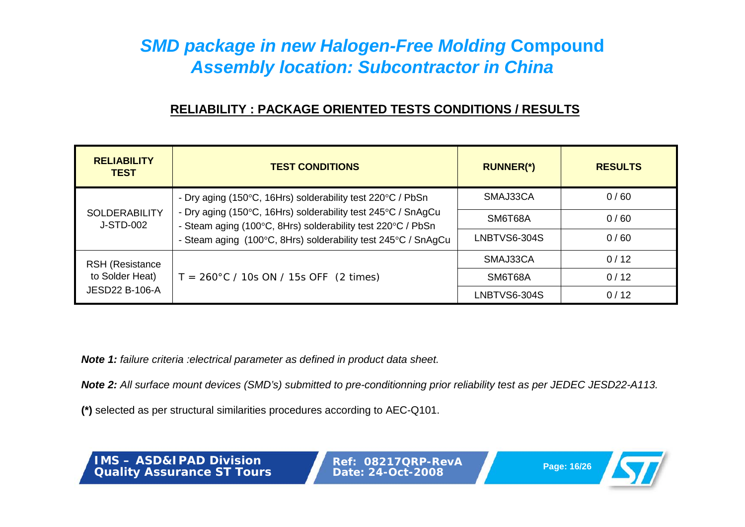# **RELIABILITY : PACKAGE ORIENTED TESTS CONDITIONS / RESULTS**

| <b>RELIABILITY</b><br><b>TEST</b>        | <b>TEST CONDITIONS</b>                                                                                                                                                                       | <b>RUNNER(*)</b> | <b>RESULTS</b> |
|------------------------------------------|----------------------------------------------------------------------------------------------------------------------------------------------------------------------------------------------|------------------|----------------|
|                                          | - Dry aging (150°C, 16Hrs) solderability test 220°C / PbSn                                                                                                                                   | SMAJ33CA         | 0/60           |
| <b>SOLDERABILITY</b><br>J-STD-002        | - Dry aging (150°C, 16Hrs) solderability test 245°C / SnAgCu<br>- Steam aging (100°C, 8Hrs) solderability test 220°C / PbSn<br>- Steam aging (100°C, 8Hrs) solderability test 245°C / SnAgCu | SM6T68A          | 0/60           |
|                                          |                                                                                                                                                                                              | LNBTVS6-304S     | 0/60           |
| <b>RSH (Resistance</b>                   |                                                                                                                                                                                              | SMAJ33CA         | 0/12           |
| to Solder Heat)<br><b>JESD22 B-106-A</b> | $T = 260^{\circ}$ C / 10s ON / 15s OFF (2 times)                                                                                                                                             | SM6T68A          | 0/12           |
|                                          |                                                                                                                                                                                              | LNBTVS6-304S     | 0/12           |

*Note 1: failure criteria :electrical parameter as defined in product data sheet.*

*Note 2: All surface mount devices (SMD's) submitted to pre-conditionning prior reliability test as per JEDEC JESD22-A113.*

**(\*)** selected as per structural similarities procedures according to AEC-Q101.

**IMS – ASD&IPAD DivisionQuality Assurance ST Tours** **Ref: 08217QRP-RevAPage: 16/26 Date: 24-Oct-2008**

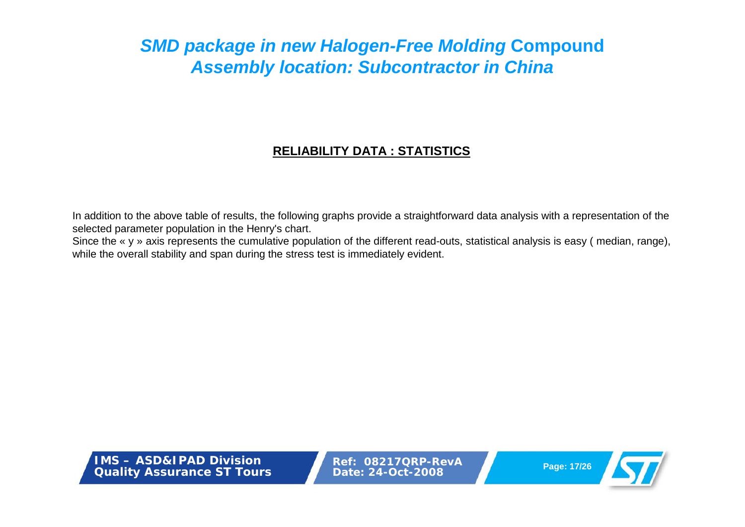# **RELIABILITY DATA : STATISTICS**

In addition to the above table of results, the following graphs provide a straightforward data analysis with <sup>a</sup> representation of the selected parameter population in the Henry's chart.

Since the « y » axis represents the cumulative population of the different read-outs, statistical analysis is easy (median, range), while the overall stability and span during the stress test is immediately evident.

**IMS – ASD&IPAD DivisionQuality Assurance ST Tours**

**Ref: 08217QRP-RevAPage: 17/26 Date: 24-Oct-2008**

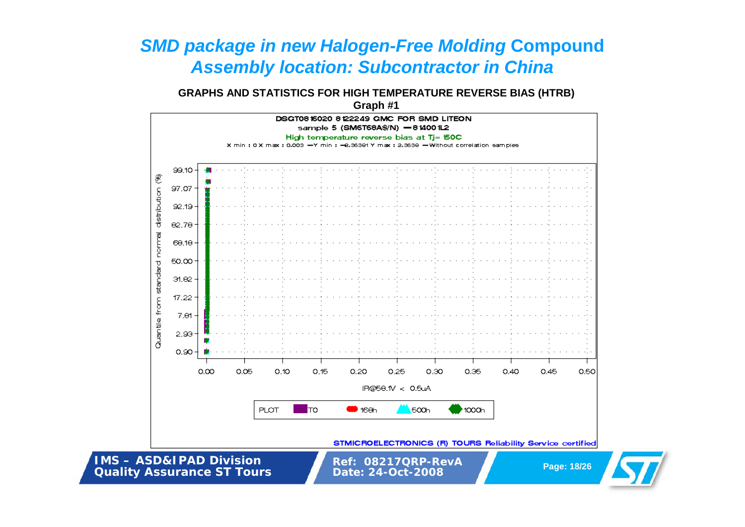## **GRAPHS AND STATISTICS FOR HIGH TEMPERATURE REVERSE BIAS (HTRB)**

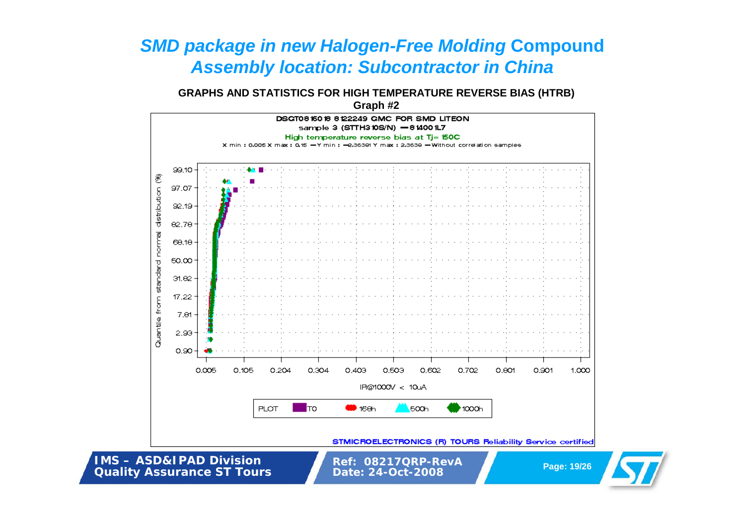## **GRAPHS AND STATISTICS FOR HIGH TEMPERATURE REVERSE BIAS (HTRB)**

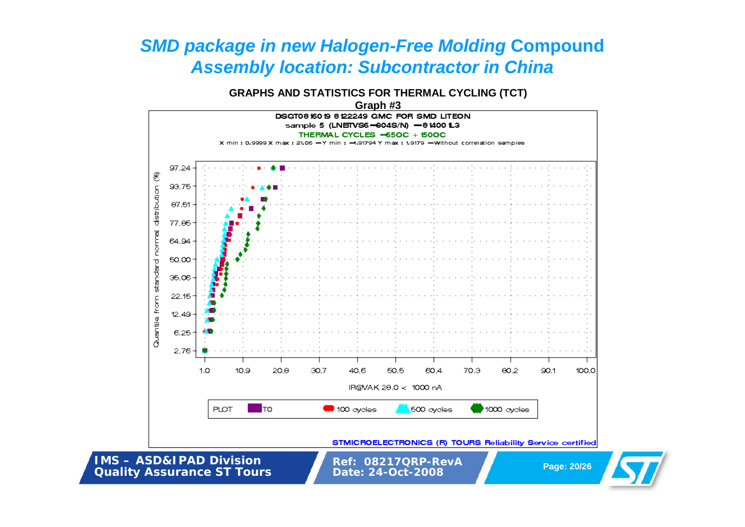## **GRAPHS AND STATISTICS FOR THERMAL CYCLING (TCT)**

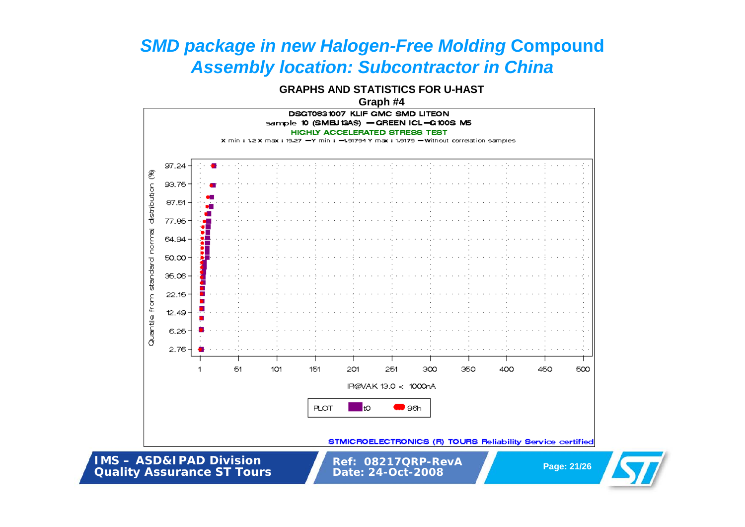**GRAPHS AND STATISTICS FOR U-HAST**

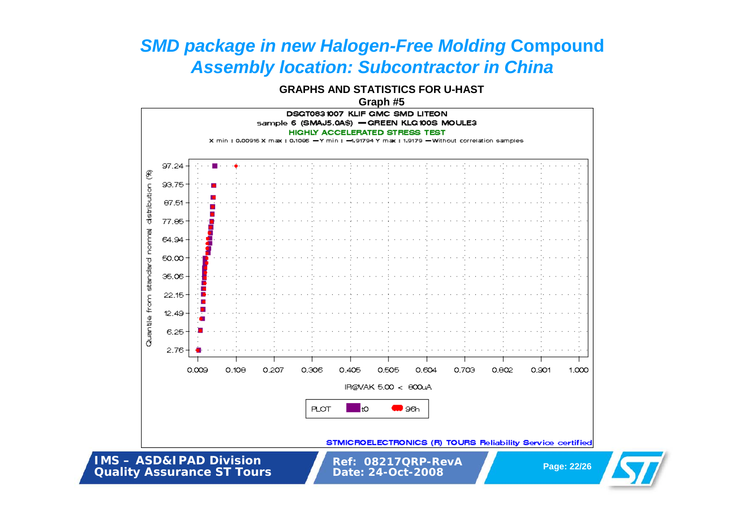**GRAPHS AND STATISTICS FOR U-HAST**



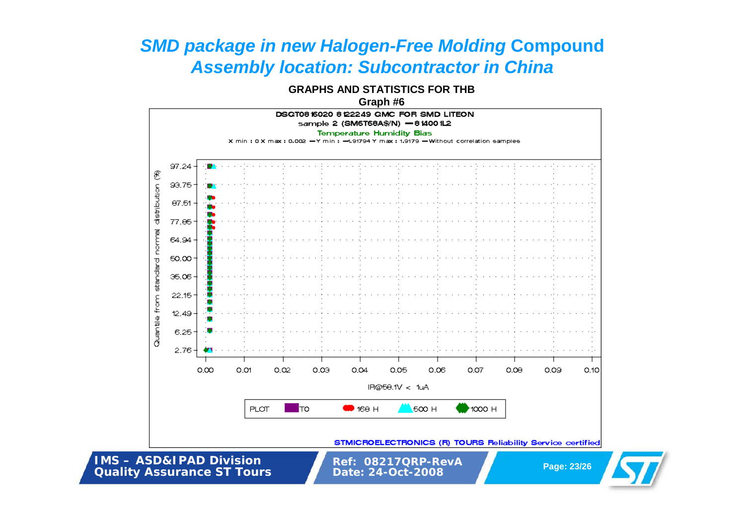**GRAPHS AND STATISTICS FOR THB**

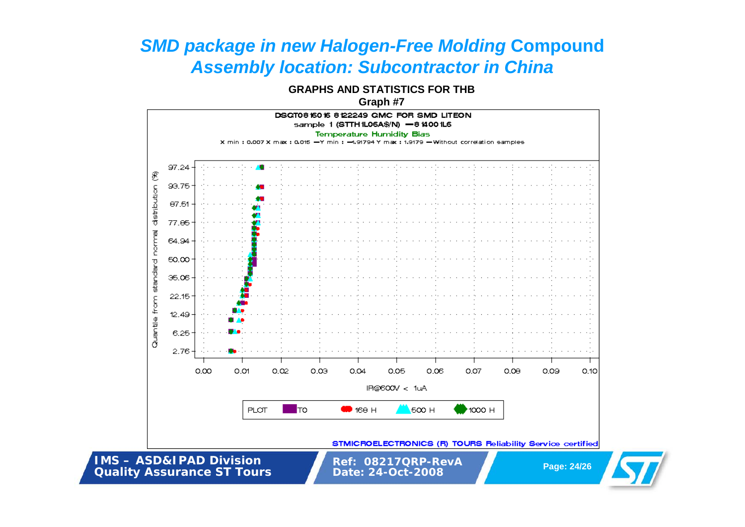**GRAPHS AND STATISTICS FOR THB**

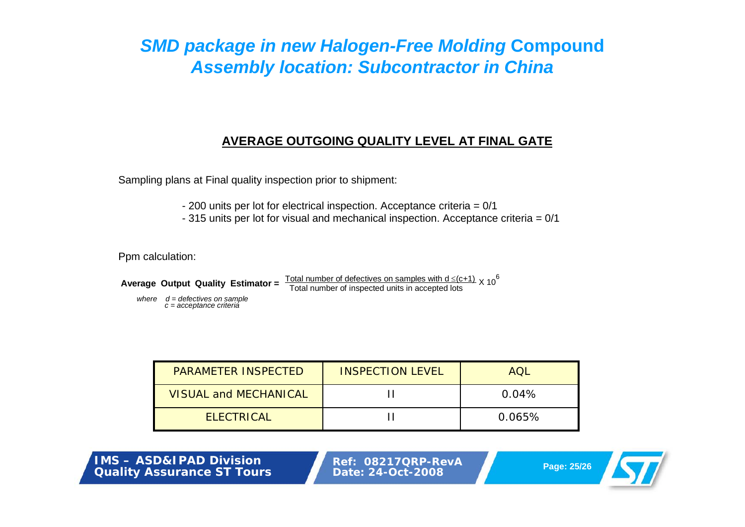## **AVERAGE OUTGOING QUALITY LEVEL AT FINAL GATE**

Sampling plans at Final quality inspection prior to shipment:

- 200 units per lot for electrical inspection. Acceptance criteria = 0/1
- 315 units per lot for visual and mechanical inspection. Acceptance criteria = 0/1

Ppm calculation:

**Average Output Quality Estimator =**  $\frac{\text{Total number of defectives on samples with d} \leq (c+1)}{\text{Total number of inspected units in accepted lots}} \times 10^6$ 

*where d = defectives on sample c = acceptance criteria*

| <b>PARAMETER INSPECTED</b>   | <b>INSPECTION LEVEL</b> | AOL    |
|------------------------------|-------------------------|--------|
| <b>VISUAL and MECHANICAL</b> |                         | 0.04%  |
| <b>ELECTRICAL</b>            |                         | 0.065% |

**IMS – ASD&IPAD Division Quality Assurance ST Tours**

**Ref: 08217QRP-RevAPage: 25/26 Date: 24-Oct-2008**

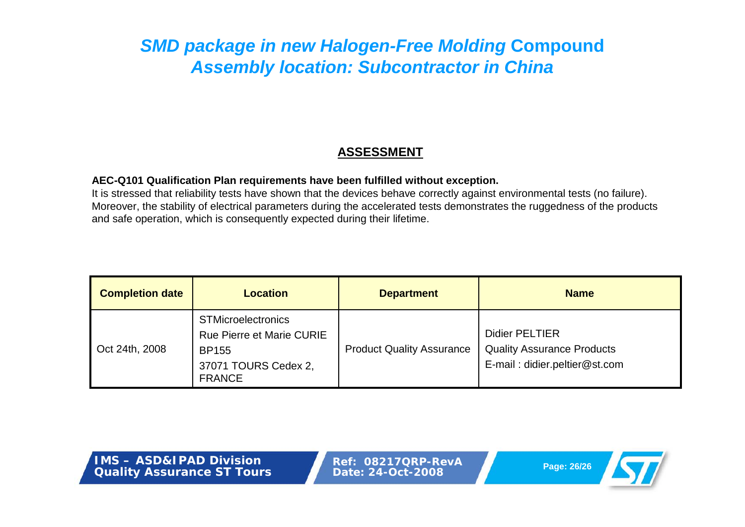## **ASSESSMENT**

#### **AEC-Q101 Qualification Plan requirements have been fulfilled without exception.**

It is stressed that reliability tests have shown that the devices behave correctly against environmental tests (no failure). Moreover, the stability of electrical parameters during the accelerated tests demonstrates the ruggedness of the products and safe operation, which is consequently expected during their lifetime.

| <b>Completion date</b> | <b>Location</b>                                                                                                        | <b>Department</b>                | <b>Name</b>                                                                                 |
|------------------------|------------------------------------------------------------------------------------------------------------------------|----------------------------------|---------------------------------------------------------------------------------------------|
| Oct 24th, 2008         | <b>STMicroelectronics</b><br><b>Rue Pierre et Marie CURIE</b><br><b>BP155</b><br>37071 TOURS Cedex 2,<br><b>FRANCE</b> | <b>Product Quality Assurance</b> | <b>Didier PELTIER</b><br><b>Quality Assurance Products</b><br>E-mail: didier.peltier@st.com |

**IMS – ASD&IPAD DivisionQuality Assurance ST Tours**

**Ref: 08217QRP-RevAPage: 26/26 Date: 24-Oct-2008**

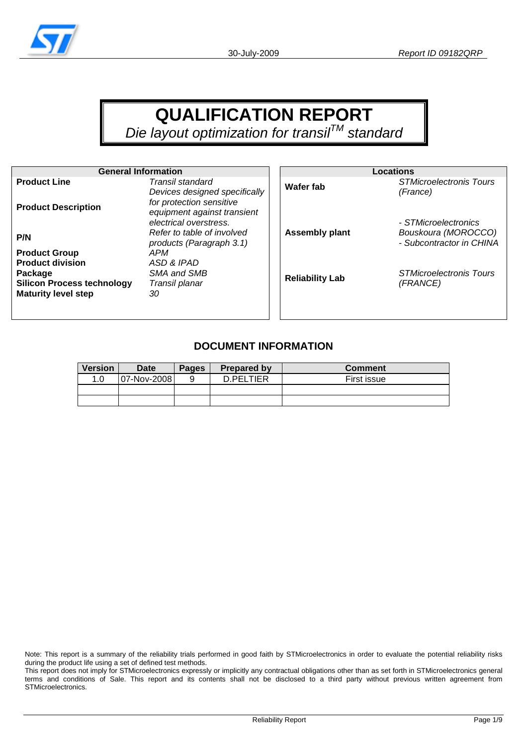

# **QUALIFICATION REPORT**

*Die layout optimization for transilTM standard* 

| <b>General Information</b>        |                                                                                                                    |                        | <b>Locations</b>                                |
|-----------------------------------|--------------------------------------------------------------------------------------------------------------------|------------------------|-------------------------------------------------|
| <b>Product Line</b>               | Transil standard                                                                                                   | Wafer fab              | <b>STMicroelectronis Tours</b>                  |
| <b>Product Description</b>        | Devices designed specifically<br>for protection sensitive<br>equipment against transient<br>electrical overstress. |                        | (France)<br>- STMicroelectronics                |
| P/N                               | Refer to table of involved<br>products (Paragraph 3.1)                                                             | <b>Assembly plant</b>  | Bouskoura (MOROCCO)<br>- Subcontractor in CHINA |
| <b>Product Group</b>              | APM                                                                                                                |                        |                                                 |
| <b>Product division</b>           | ASD & IPAD                                                                                                         |                        |                                                 |
| Package                           | SMA and SMB                                                                                                        | <b>Reliability Lab</b> | <b>STMicroelectronis Tours</b>                  |
| <b>Silicon Process technology</b> | Transil planar                                                                                                     |                        | (FRANCE)                                        |
| <b>Maturity level step</b>        | 30                                                                                                                 |                        |                                                 |
|                                   |                                                                                                                    |                        |                                                 |

### **DOCUMENT INFORMATION**

| <b>Version</b> | <b>Date</b> | <b>Pages</b> | <b>Prepared by</b> | <b>Comment</b> |
|----------------|-------------|--------------|--------------------|----------------|
| 1.0            | 07-Nov-2008 |              | D.PELTIER          | First issue    |
|                |             |              |                    |                |
|                |             |              |                    |                |

Note: This report is a summary of the reliability trials performed in good faith by STMicroelectronics in order to evaluate the potential reliability risks during the product life using a set of defined test methods.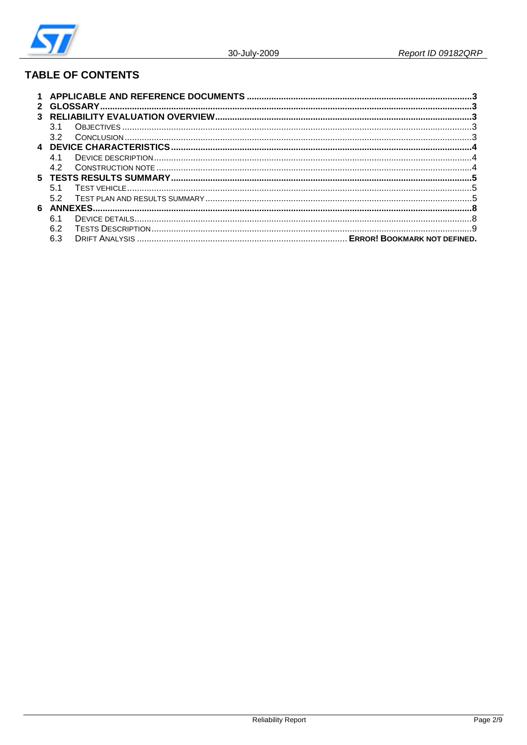

# **TABLE OF CONTENTS**

|    | 32   |  |  |  |  |
|----|------|--|--|--|--|
|    |      |  |  |  |  |
|    | 41   |  |  |  |  |
|    | 4.2  |  |  |  |  |
| 5. |      |  |  |  |  |
|    | .5.1 |  |  |  |  |
|    | 52   |  |  |  |  |
| 6  |      |  |  |  |  |
|    | հ 1  |  |  |  |  |
|    | 6.2  |  |  |  |  |
|    | 6.3  |  |  |  |  |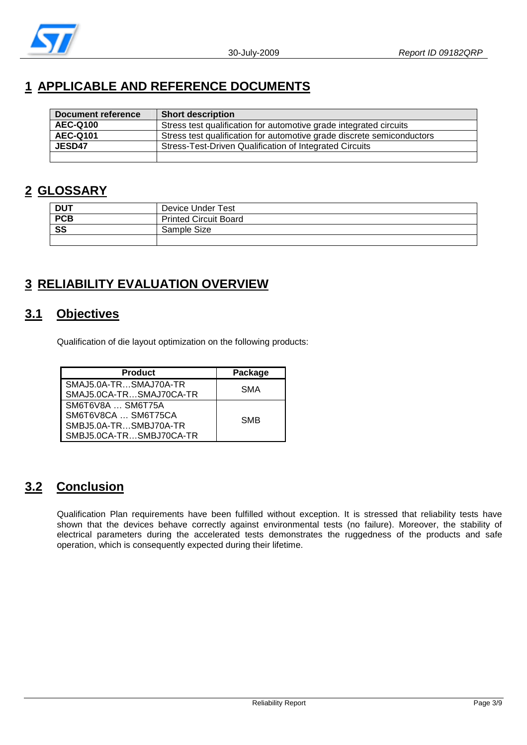

# **1 APPLICABLE AND REFERENCE DOCUMENTS**

| <b>Document reference</b> | <b>Short description</b>                                               |
|---------------------------|------------------------------------------------------------------------|
| <b>AEC-Q100</b>           | Stress test qualification for automotive grade integrated circuits     |
| <b>AEC-Q101</b>           | Stress test qualification for automotive grade discrete semiconductors |
| JESD47                    | Stress-Test-Driven Qualification of Integrated Circuits                |
|                           |                                                                        |

## **2 GLOSSARY**

| <b>DUT</b> | Device Under Test            |
|------------|------------------------------|
| <b>PCB</b> | <b>Printed Circuit Board</b> |
| SS         | Sample Size                  |
|            |                              |

# **3 RELIABILITY EVALUATION OVERVIEW**

## **3.1 Objectives**

Qualification of die layout optimization on the following products:

| <b>Product</b>                                                                               | Package    |
|----------------------------------------------------------------------------------------------|------------|
| SMAJ5.0A-TRSMAJ70A-TR<br>SMAJ5.0CA-TRSMAJ70CA-TR                                             | SMA        |
| SM6T6V8A  SM6T75A<br>SM6T6V8CA  SM6T75CA<br>SMBJ5.0A-TRSMBJ70A-TR<br>SMBJ5.0CA-TRSMBJ70CA-TR | <b>SMB</b> |

## **3.2 Conclusion**

Qualification Plan requirements have been fulfilled without exception. It is stressed that reliability tests have shown that the devices behave correctly against environmental tests (no failure). Moreover, the stability of electrical parameters during the accelerated tests demonstrates the ruggedness of the products and safe operation, which is consequently expected during their lifetime.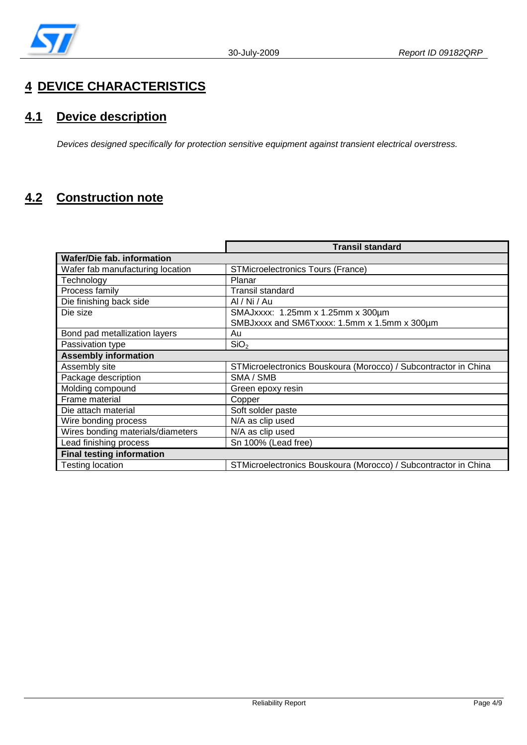

# **4 DEVICE CHARACTERISTICS**

# **4.1 Device description**

*Devices designed specifically for protection sensitive equipment against transient electrical overstress.* 

# **4.2 Construction note**

|                                   | <b>Transil standard</b>                                         |
|-----------------------------------|-----------------------------------------------------------------|
| <b>Wafer/Die fab. information</b> |                                                                 |
| Wafer fab manufacturing location  | <b>STMicroelectronics Tours (France)</b>                        |
| Technology                        | Planar                                                          |
| Process family                    | <b>Transil standard</b>                                         |
| Die finishing back side           | Al / Ni / Au                                                    |
| Die size                          | SMAJxxxx: 1.25mm x 1.25mm x 300µm                               |
|                                   | SMBJxxxx and SM6Txxxx: 1.5mm x 1.5mm x 300µm                    |
| Bond pad metallization layers     | Au                                                              |
| Passivation type                  | SiO <sub>2</sub>                                                |
| <b>Assembly information</b>       |                                                                 |
| Assembly site                     | STMicroelectronics Bouskoura (Morocco) / Subcontractor in China |
| Package description               | SMA / SMB                                                       |
| Molding compound                  | Green epoxy resin                                               |
| Frame material                    | Copper                                                          |
| Die attach material               | Soft solder paste                                               |
| Wire bonding process              | N/A as clip used                                                |
| Wires bonding materials/diameters | N/A as clip used                                                |
| Lead finishing process            | Sn 100% (Lead free)                                             |
| <b>Final testing information</b>  |                                                                 |
| Testing location                  | STMicroelectronics Bouskoura (Morocco) / Subcontractor in China |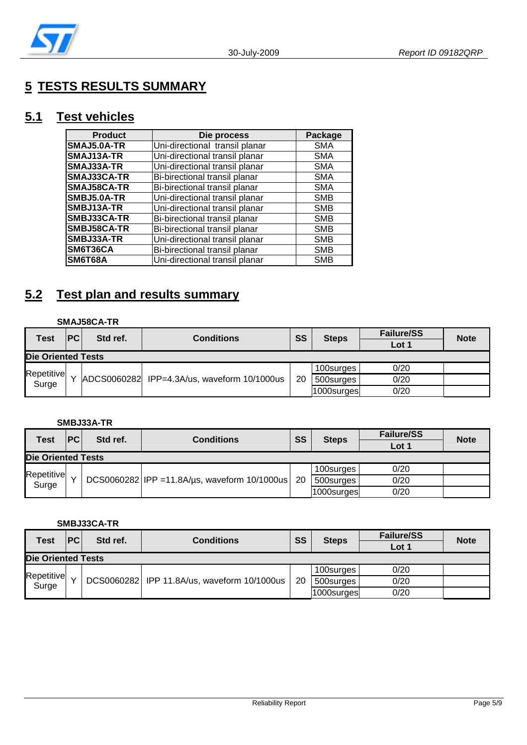

# **5 TESTS RESULTS SUMMARY**

## **5.1 Test vehicles**

| <b>Product</b>     | Die process                    | Package    |
|--------------------|--------------------------------|------------|
| SMAJ5.0A-TR        | Uni-directional transil planar | <b>SMA</b> |
| SMAJ13A-TR         | Uni-directional transil planar | <b>SMA</b> |
| SMAJ33A-TR         | Uni-directional transil planar | <b>SMA</b> |
| SMAJ33CA-TR        | Bi-birectional transil planar  | <b>SMA</b> |
| <b>SMAJ58CA-TR</b> | Bi-birectional transil planar  | <b>SMA</b> |
| SMBJ5.0A-TR        | Uni-directional transil planar | <b>SMB</b> |
| SMBJ13A-TR         | Uni-directional transil planar | <b>SMB</b> |
| SMBJ33CA-TR        | Bi-birectional transil planar  | <b>SMB</b> |
| SMBJ58CA-TR        | Bi-birectional transil planar  | <b>SMB</b> |
| SMBJ33A-TR         | Uni-directional transil planar | <b>SMB</b> |
| SM6T36CA           | Bi-birectional transil planar  | <b>SMB</b> |
| SM6T68A            | Uni-directional transil planar | <b>SMB</b> |

# **5.2 Test plan and results summary**

#### **SMAJ58CA-TR**

| Test                      | PC | Std ref.    | <b>Conditions</b>               | SS | <b>Steps</b> | <b>Failure/SS</b><br>Lot 1 | <b>Note</b> |
|---------------------------|----|-------------|---------------------------------|----|--------------|----------------------------|-------------|
| <b>Die Oriented Tests</b> |    |             |                                 |    |              |                            |             |
| Repetitive                |    |             |                                 |    | 100surges    | 0/20                       |             |
| Surge                     |    | ADCS0060282 | IPP=4.3A/us, waveform 10/1000us | 20 | 500surges    | 0/20                       |             |
|                           |    |             |                                 |    | 1000surges   | 0/20                       |             |

#### **SMBJ33A-TR**

| <b>Test</b>               | PC | Std ref. | <b>Conditions</b>                                    | SS | <b>Steps</b> | <b>Failure/SS</b> | <b>Note</b> |
|---------------------------|----|----------|------------------------------------------------------|----|--------------|-------------------|-------------|
|                           |    |          |                                                      |    | Lot 1        |                   |             |
| <b>Die Oriented Tests</b> |    |          |                                                      |    |              |                   |             |
| Repetitive                |    |          |                                                      |    | 100surges    | 0/20              |             |
| Surge                     |    |          | $DCS0060282$ IPP = 11.8A/us, waveform 10/1000us   20 |    | 500surges    | 0/20              |             |
|                           |    |          |                                                      |    | 1000surges   | 0/20              |             |

#### **SMBJ33CA-TR**

| <b>Test</b>        | <b>PC</b> | Std ref. | <b>Conditions</b>                           | SS | <b>Steps</b> | <b>Failure/SS</b> | <b>Note</b> |
|--------------------|-----------|----------|---------------------------------------------|----|--------------|-------------------|-------------|
|                    |           |          |                                             |    |              | Lot 1             |             |
| Die Oriented Tests |           |          |                                             |    |              |                   |             |
| Repetitive         |           |          |                                             |    | 100surges    | 0/20              |             |
| Surge              |           |          | DCS0060282 IPP 11.8A/us, waveform 10/1000us | 20 | 500surges    | 0/20              |             |
|                    |           |          |                                             |    | 1000surges   | 0/20              |             |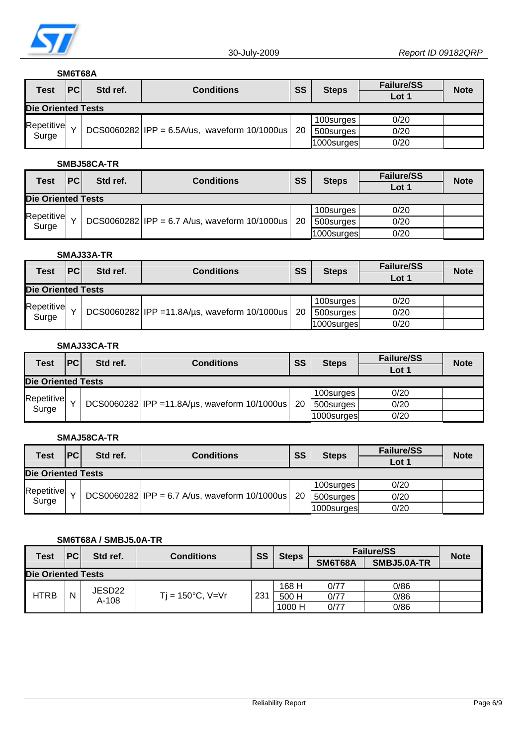

#### **SM6T68A**

| Test                      | PC | Std ref. | Conditions                                          | SS | <b>Steps</b> | <b>Failure/SS</b><br>Lot 1 | <b>Note</b> |
|---------------------------|----|----------|-----------------------------------------------------|----|--------------|----------------------------|-------------|
| <b>Die Oriented Tests</b> |    |          |                                                     |    |              |                            |             |
| Repetitive                |    |          |                                                     |    | 100surges    | 0/20                       |             |
| Surge                     |    |          | $DCS0060282$  IPP = 6.5A/us, waveform 10/1000us  20 |    | 500surges    | 0/20                       |             |
|                           |    |          |                                                     |    | 1000surges   | 0/20                       |             |

#### **SMBJ58CA-TR**

| <b>Test</b>               | PC | Std ref. | <b>Conditions</b>                                     | SS | <b>Steps</b> | <b>Failure/SS</b><br>Lot 1 | <b>Note</b> |
|---------------------------|----|----------|-------------------------------------------------------|----|--------------|----------------------------|-------------|
| <b>Die Oriented Tests</b> |    |          |                                                       |    |              |                            |             |
| Repetitive                |    |          |                                                       |    | 100surges    | 0/20                       |             |
| Surge                     |    |          | DCS0060282 IPP = 6.7 A/us, waveform $10/1000$ us   20 |    | 500surges    | 0/20                       |             |
|                           |    |          |                                                       |    | 1000surges   | 0/20                       |             |

#### **SMAJ33A-TR**

| <b>Test</b>               | <b>PC</b> | Std ref. | <b>Conditions</b>                                  | SS | <b>Steps</b> | <b>Failure/SS</b><br>Lot 1 | <b>Note</b> |
|---------------------------|-----------|----------|----------------------------------------------------|----|--------------|----------------------------|-------------|
| <b>Die Oriented Tests</b> |           |          |                                                    |    |              |                            |             |
|                           |           |          |                                                    |    | 100surges    | 0/20                       |             |
| Repetitive<br>Surge       |           |          | DCS0060282 IPP = 11.8A/us, waveform 10/1000us   20 |    | 500surges    | 0/20                       |             |
|                           |           |          |                                                    |    | 1000surges   | 0/20                       |             |

#### **SMAJ33CA-TR**

| Test                      | PC | Std ref. | <b>Conditions</b>                               | SS  | <b>Steps</b> | <b>Failure/SS</b><br>Lot 1 | <b>Note</b> |
|---------------------------|----|----------|-------------------------------------------------|-----|--------------|----------------------------|-------------|
| <b>Die Oriented Tests</b> |    |          |                                                 |     |              |                            |             |
|                           |    |          |                                                 |     | 100surges    | 0/20                       |             |
| Repetitive<br>Surge       |    |          | $DCS0060282$ IPP = 11.8A/us, waveform 10/1000us | -20 | 500surges    | 0/20                       |             |
|                           |    |          |                                                 |     | 1000surges   | 0/20                       |             |

#### **SMAJ58CA-TR**

| Test                | <b>PC</b> | Std ref. | <b>Conditions</b>                                       | SS | <b>Steps</b> | <b>Failure/SS</b><br>Lot 1 | <b>Note</b> |
|---------------------|-----------|----------|---------------------------------------------------------|----|--------------|----------------------------|-------------|
| Die Oriented Tests  |           |          |                                                         |    |              |                            |             |
|                     |           |          |                                                         |    | 100surges    | 0/20                       |             |
| Repetitive<br>Surge |           |          | DCS0060282   IPP = 6.7 A/us, waveform $10/1000$ us   20 |    | 500surges    | 0/20                       |             |
|                     |           |          |                                                         |    | 1000surges   | 0/20                       |             |

#### **SM6T68A / SMBJ5.0A-TR**

| <b>Test</b>               | PC | Std ref. | <b>Conditions</b>          | SS  | <b>Steps</b> | <b>Failure/SS</b> | <b>Note</b> |  |
|---------------------------|----|----------|----------------------------|-----|--------------|-------------------|-------------|--|
|                           |    |          |                            |     |              | SM6T68A           | SMBJ5.0A-TR |  |
| <b>Die Oriented Tests</b> |    |          |                            |     |              |                   |             |  |
|                           |    | JESD22   |                            |     | 168 H        | 0/77              | 0/86        |  |
| <b>HTRB</b>               | N  | $A-108$  | $Ti = 150^{\circ}C$ , V=Vr | 231 | 500 H        | 0/77              | 0/86        |  |
|                           |    |          |                            |     | 1000 H       | 0/77              | 0/86        |  |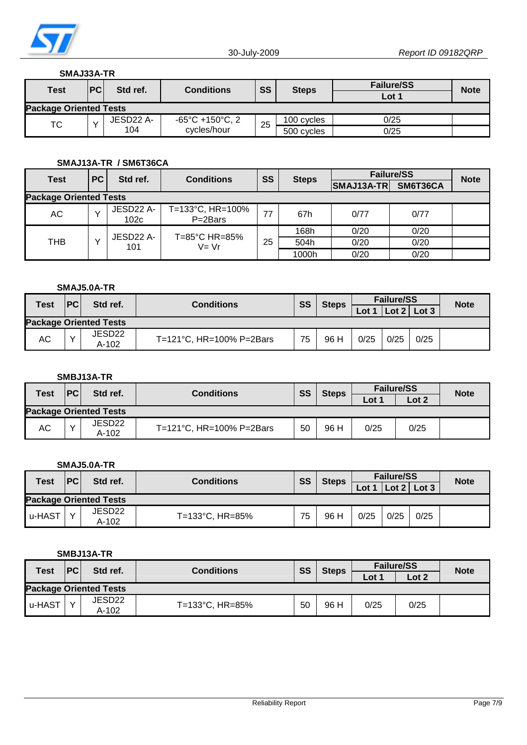

#### **SMAJ33A-TR**

| <b>Test</b>                   | <b>PC</b> | Std ref.              | <b>Conditions</b>                    |                    |            | <b>Failure/SS</b> | <b>Note</b> |
|-------------------------------|-----------|-----------------------|--------------------------------------|--------------------|------------|-------------------|-------------|
|                               |           |                       |                                      | SS<br><b>Steps</b> |            | $\textsf{Lot}~$   |             |
| <b>Package Oriented Tests</b> |           |                       |                                      |                    |            |                   |             |
| тс                            |           | JESD <sub>22</sub> A- | $-65^{\circ}$ C +150 $^{\circ}$ C, 2 | 25                 | 100 cycles | 0/25              |             |
|                               |           | 104                   | cycles/hour                          |                    | 500 cycles | 0/25              |             |

#### **SMAJ13A-TR / SM6T36CA**

| <b>Test</b>                   | <b>PC</b> | Std ref.          | <b>Conditions</b>              | <b>SS</b> | <b>Steps</b> | <b>Failure/SS</b> | <b>Note</b> |  |
|-------------------------------|-----------|-------------------|--------------------------------|-----------|--------------|-------------------|-------------|--|
|                               |           |                   |                                |           |              | SMAJ13A-TR        | SM6T36CA    |  |
| <b>Package Oriented Tests</b> |           |                   |                                |           |              |                   |             |  |
| АC                            |           | JESD22 A-<br>102c | T=133°C, HR=100%<br>P=2Bars    | 77        | 67h          | 0/77              | 0/77        |  |
|                               |           | JESD22 A-         | $T = 85^{\circ}$ C HR $= 85\%$ |           | 168h         | 0/20              | 0/20        |  |
| THB                           |           | 101               | $V = Vr$                       | 25        | 504h         | 0/20              | 0/20        |  |
|                               |           |                   |                                |           | 1000h        | 0/20              | 0/20        |  |

#### **SMAJ5.0A-TR**

| <b>Test</b> | PC | Std ref.                      | <b>Conditions</b>        | SS | <b>Steps</b> | <b>Failure/SS</b> |          |       | <b>Note</b> |
|-------------|----|-------------------------------|--------------------------|----|--------------|-------------------|----------|-------|-------------|
|             |    |                               |                          |    |              | Lot               | Lot $21$ | Lot 3 |             |
|             |    | <b>Package Oriented Tests</b> |                          |    |              |                   |          |       |             |
| АC          |    | JESD22<br>A-102               | T=121°C, HR=100% P=2Bars | 75 | 96 H         | 0/25              | 0/25     | 0/25  |             |

#### **SMBJ13A-TR**

| <b>Test</b><br>PC             |  | Std ref.        | <b>Conditions</b>        |    | SS<br><b>Steps</b> | <b>Failure/SS</b> |       | <b>Note</b> |
|-------------------------------|--|-----------------|--------------------------|----|--------------------|-------------------|-------|-------------|
|                               |  |                 |                          |    |                    | $\text{\_}ot$     | Lot 2 |             |
| <b>Package Oriented Tests</b> |  |                 |                          |    |                    |                   |       |             |
| АC                            |  | JESD22<br>A-102 | T=121°C, HR=100% P=2Bars | 50 | 96 H               | 0/25              | 0/25  |             |

#### **SMAJ5.0A-TR**

| <b>Test</b>                   | PC | Std ref.        | <b>Conditions</b> | SS<br><b>Steps</b> | <b>Failure/SS</b> |      |          | <b>Note</b> |  |
|-------------------------------|----|-----------------|-------------------|--------------------|-------------------|------|----------|-------------|--|
|                               |    |                 |                   |                    |                   | Lot  | Lot $21$ | Lot 3       |  |
| <b>Package Oriented Tests</b> |    |                 |                   |                    |                   |      |          |             |  |
| u-HAST                        |    | JESD22<br>A-102 | T=133°C, HR=85%   | 75                 | 96 H              | 0/25 | 0/25     | 0/25        |  |

#### **SMBJ13A-TR**

| <b>Test</b>                   | PC | Std ref.        | <b>Conditions</b> |    | SS<br><b>Steps</b> | <b>Failure/SS</b>   |       | <b>Note</b> |
|-------------------------------|----|-----------------|-------------------|----|--------------------|---------------------|-------|-------------|
|                               |    |                 |                   |    |                    | $\text{\_}ot \cdot$ | Lot 2 |             |
| <b>Package Oriented Tests</b> |    |                 |                   |    |                    |                     |       |             |
| u-HAST                        |    | JESD22<br>A-102 | T=133°C, HR=85%   | 50 | 96 H               | 0/25                | 0/25  |             |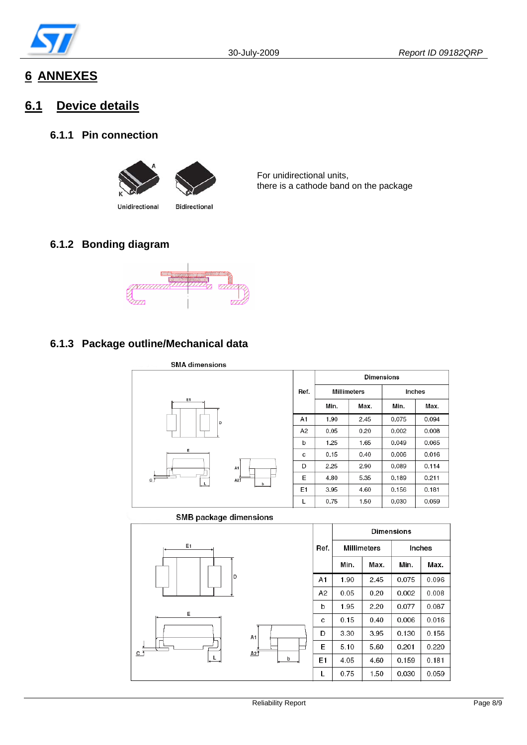

# **6 ANNEXES**

## **6.1 Device details**

#### **6.1.1 Pin connection**



Unidirectional

For unidirectional units, there is a cathode band on the package

#### **6.1.2 Bonding diagram**



**Bidirectional** 

### **6.1.3 Package outline/Mechanical data**



#### SMB package dimensions

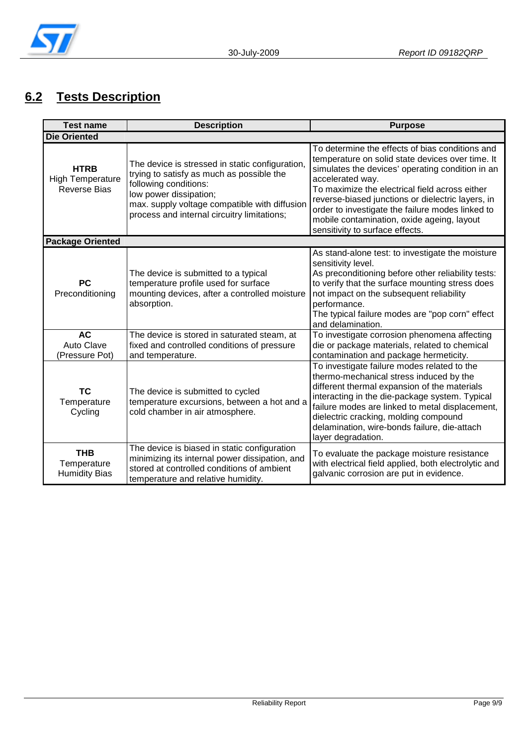

# **6.2 Tests Description**

| <b>Test name</b>                                              | <b>Description</b>                                                                                                                                                                                                                              | <b>Purpose</b>                                                                                                                                                                                                                                                                                                                                                                                                          |  |  |  |  |
|---------------------------------------------------------------|-------------------------------------------------------------------------------------------------------------------------------------------------------------------------------------------------------------------------------------------------|-------------------------------------------------------------------------------------------------------------------------------------------------------------------------------------------------------------------------------------------------------------------------------------------------------------------------------------------------------------------------------------------------------------------------|--|--|--|--|
| <b>Die Oriented</b>                                           |                                                                                                                                                                                                                                                 |                                                                                                                                                                                                                                                                                                                                                                                                                         |  |  |  |  |
| <b>HTRB</b><br><b>High Temperature</b><br><b>Reverse Bias</b> | The device is stressed in static configuration,<br>trying to satisfy as much as possible the<br>following conditions:<br>low power dissipation;<br>max. supply voltage compatible with diffusion<br>process and internal circuitry limitations; | To determine the effects of bias conditions and<br>temperature on solid state devices over time. It<br>simulates the devices' operating condition in an<br>accelerated way.<br>To maximize the electrical field across either<br>reverse-biased junctions or dielectric layers, in<br>order to investigate the failure modes linked to<br>mobile contamination, oxide ageing, layout<br>sensitivity to surface effects. |  |  |  |  |
| <b>Package Oriented</b>                                       |                                                                                                                                                                                                                                                 |                                                                                                                                                                                                                                                                                                                                                                                                                         |  |  |  |  |
| <b>PC</b><br>Preconditioning                                  | The device is submitted to a typical<br>temperature profile used for surface<br>mounting devices, after a controlled moisture<br>absorption.                                                                                                    | As stand-alone test: to investigate the moisture<br>sensitivity level.<br>As preconditioning before other reliability tests:<br>to verify that the surface mounting stress does<br>not impact on the subsequent reliability<br>performance.<br>The typical failure modes are "pop corn" effect<br>and delamination.                                                                                                     |  |  |  |  |
| <b>AC</b><br><b>Auto Clave</b><br>(Pressure Pot)              | The device is stored in saturated steam, at<br>fixed and controlled conditions of pressure<br>and temperature.                                                                                                                                  | To investigate corrosion phenomena affecting<br>die or package materials, related to chemical<br>contamination and package hermeticity.                                                                                                                                                                                                                                                                                 |  |  |  |  |
| <b>TC</b><br>Temperature<br>Cycling                           | The device is submitted to cycled<br>temperature excursions, between a hot and a<br>cold chamber in air atmosphere.                                                                                                                             | To investigate failure modes related to the<br>thermo-mechanical stress induced by the<br>different thermal expansion of the materials<br>interacting in the die-package system. Typical<br>failure modes are linked to metal displacement,<br>dielectric cracking, molding compound<br>delamination, wire-bonds failure, die-attach<br>layer degradation.                                                              |  |  |  |  |
| <b>THB</b><br>Temperature<br><b>Humidity Bias</b>             | The device is biased in static configuration<br>minimizing its internal power dissipation, and<br>stored at controlled conditions of ambient<br>temperature and relative humidity.                                                              | To evaluate the package moisture resistance<br>with electrical field applied, both electrolytic and<br>galvanic corrosion are put in evidence.                                                                                                                                                                                                                                                                          |  |  |  |  |